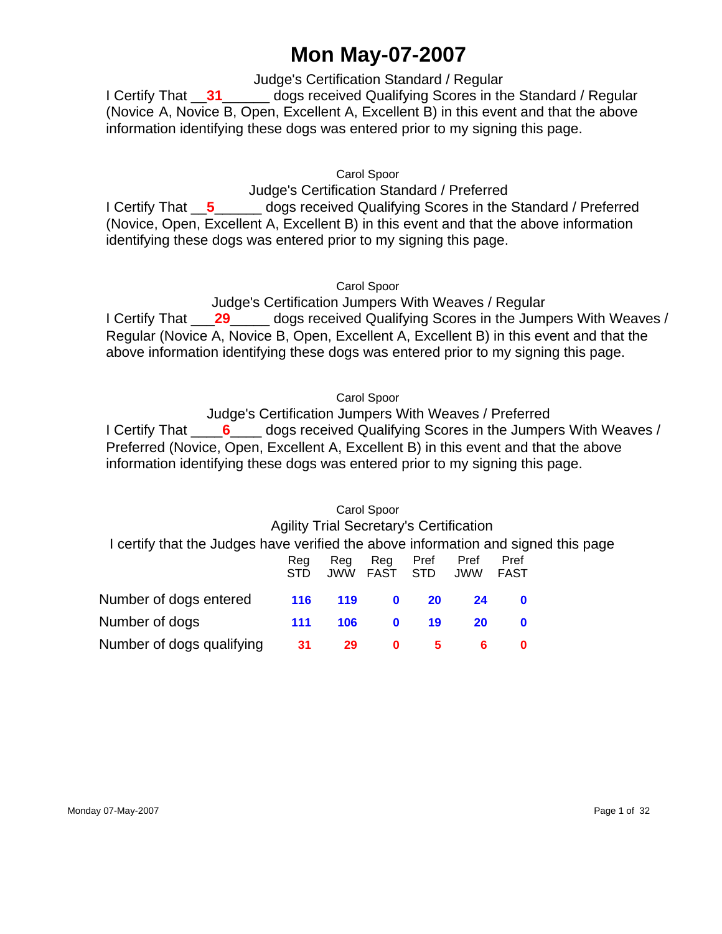# **Mon May-07-2007**

Judge's Certification Standard / Regular

 I Certify That \_\_**31**\_\_\_\_\_\_ dogs received Qualifying Scores in the Standard / Regular (Novice A, Novice B, Open, Excellent A, Excellent B) in this event and that the above information identifying these dogs was entered prior to my signing this page.

Carol Spoor

Judge's Certification Standard / Preferred I Certify That \_\_**5**\_\_\_\_\_\_ dogs received Qualifying Scores in the Standard / Preferred (Novice, Open, Excellent A, Excellent B) in this event and that the above information identifying these dogs was entered prior to my signing this page.

Carol Spoor

Judge's Certification Jumpers With Weaves / Regular I Certify That \_\_\_**29**\_\_\_\_\_ dogs received Qualifying Scores in the Jumpers With Weaves / Regular (Novice A, Novice B, Open, Excellent A, Excellent B) in this event and that the above information identifying these dogs was entered prior to my signing this page.

Carol Spoor

Judge's Certification Jumpers With Weaves / Preferred I Certify That \_\_\_\_**6**\_\_\_\_ dogs received Qualifying Scores in the Jumpers With Weaves / Preferred (Novice, Open, Excellent A, Excellent B) in this event and that the above information identifying these dogs was entered prior to my signing this page.

#### Carol Spoor Agility Trial Secretary's Certification I certify that the Judges have verified the above information and signed this page Reg Reg Reg Pref Pref Pref STD JWW FAST STD JWW FAST Number of dogs entered **116 119 0 20 24 0**

| <b>NUMBER OF GOOS CHILDED</b> |       | -116 - 119 - | <b>U</b> 20 |           | - 24      |  |
|-------------------------------|-------|--------------|-------------|-----------|-----------|--|
| Number of dogs                |       | 106          |             | <u>19</u> | <b>20</b> |  |
| Number of dogs qualifying     | 31 29 |              |             | - 5       |           |  |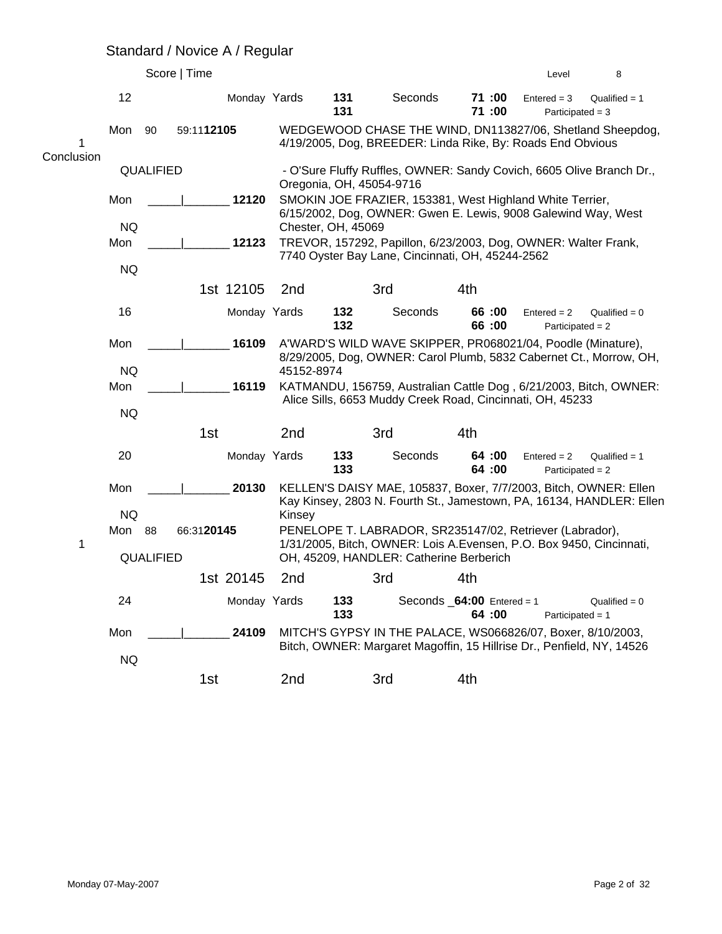## Standard / Novice A / Regular

|            |                  |                  | Score   Time |              |                    |            |                                                                                                                                          |     |                | Level         | 8                                     |  |
|------------|------------------|------------------|--------------|--------------|--------------------|------------|------------------------------------------------------------------------------------------------------------------------------------------|-----|----------------|---------------|---------------------------------------|--|
|            | 12               |                  |              | Monday Yards |                    | 131<br>131 | Seconds                                                                                                                                  |     | 71:00<br>71:00 | $Entered = 3$ | Qualified $= 1$<br>Participated = $3$ |  |
|            | Mon              | 90               | 59:1112105   |              |                    |            | WEDGEWOOD CHASE THE WIND, DN113827/06, Shetland Sheepdog,<br>4/19/2005, Dog, BREEDER: Linda Rike, By: Roads End Obvious                  |     |                |               |                                       |  |
| Conclusion |                  | <b>QUALIFIED</b> |              |              |                    |            | - O'Sure Fluffy Ruffles, OWNER: Sandy Covich, 6605 Olive Branch Dr.,<br>Oregonia, OH, 45054-9716                                         |     |                |               |                                       |  |
|            | Mon<br><b>NQ</b> |                  |              | 12120        |                    |            | SMOKIN JOE FRAZIER, 153381, West Highland White Terrier,<br>6/15/2002, Dog, OWNER: Gwen E. Lewis, 9008 Galewind Way, West                |     |                |               |                                       |  |
|            | Mon              |                  |              | 12123        | Chester, OH, 45069 |            | TREVOR, 157292, Papillon, 6/23/2003, Dog, OWNER: Walter Frank,<br>7740 Oyster Bay Lane, Cincinnati, OH, 45244-2562                       |     |                |               |                                       |  |
|            | <b>NQ</b>        |                  |              | 1st 12105    | 2 <sub>nd</sub>    |            | 3rd                                                                                                                                      | 4th |                |               |                                       |  |
|            |                  |                  |              |              |                    |            |                                                                                                                                          |     |                |               |                                       |  |
|            | 16               |                  |              | Monday Yards |                    | 132<br>132 | Seconds                                                                                                                                  |     | 66:00<br>66:00 | $Entered = 2$ | Qualified $= 0$<br>Participated = $2$ |  |
|            | Mon              |                  |              | 16109        |                    |            | A'WARD'S WILD WAVE SKIPPER, PR068021/04, Poodle (Minature),                                                                              |     |                |               |                                       |  |
|            | <b>NQ</b>        |                  |              |              | 45152-8974         |            | 8/29/2005, Dog, OWNER: Carol Plumb, 5832 Cabernet Ct., Morrow, OH,                                                                       |     |                |               |                                       |  |
|            | Mon              |                  |              | 16119        |                    |            | KATMANDU, 156759, Australian Cattle Dog, 6/21/2003, Bitch, OWNER:<br>Alice Sills, 6653 Muddy Creek Road, Cincinnati, OH, 45233           |     |                |               |                                       |  |
|            | <b>NQ</b>        |                  |              |              |                    |            |                                                                                                                                          |     |                |               |                                       |  |
|            |                  |                  | 1st          |              | 2 <sub>nd</sub>    |            | 3rd                                                                                                                                      | 4th |                |               |                                       |  |
|            | 20               |                  |              | Monday Yards |                    | 133<br>133 | Seconds                                                                                                                                  |     | 64:00<br>64:00 | $Entered = 2$ | Qualified $= 1$<br>Participated = $2$ |  |
|            | Mon              |                  |              | 20130        |                    |            | KELLEN'S DAISY MAE, 105837, Boxer, 7/7/2003, Bitch, OWNER: Ellen<br>Kay Kinsey, 2803 N. Fourth St., Jamestown, PA, 16134, HANDLER: Ellen |     |                |               |                                       |  |
|            | <b>NQ</b><br>Mon | 88               | 66:3120145   |              | Kinsey             |            | PENELOPE T. LABRADOR, SR235147/02, Retriever (Labrador),                                                                                 |     |                |               |                                       |  |
| 1          |                  | <b>QUALIFIED</b> |              |              |                    |            | 1/31/2005, Bitch, OWNER: Lois A. Evensen, P.O. Box 9450, Cincinnati,<br>OH, 45209, HANDLER: Catherine Berberich                          |     |                |               |                                       |  |
|            |                  |                  |              | 1st 20145    | 2nd                |            | 3rd                                                                                                                                      | 4th |                |               |                                       |  |
|            | 24               |                  |              | Monday Yards |                    | 133<br>133 | Seconds $_64:00$ Entered = 1                                                                                                             |     | 64 :00         |               | $Qualified = 0$<br>Participated = $1$ |  |
|            | Mon              |                  |              | 24109        |                    |            | MITCH'S GYPSY IN THE PALACE, WS066826/07, Boxer, 8/10/2003,<br>Bitch, OWNER: Margaret Magoffin, 15 Hillrise Dr., Penfield, NY, 14526     |     |                |               |                                       |  |
|            | <b>NQ</b>        |                  |              |              |                    |            |                                                                                                                                          |     |                |               |                                       |  |
|            |                  |                  | 1st          |              | 2nd                |            | 3rd                                                                                                                                      | 4th |                |               |                                       |  |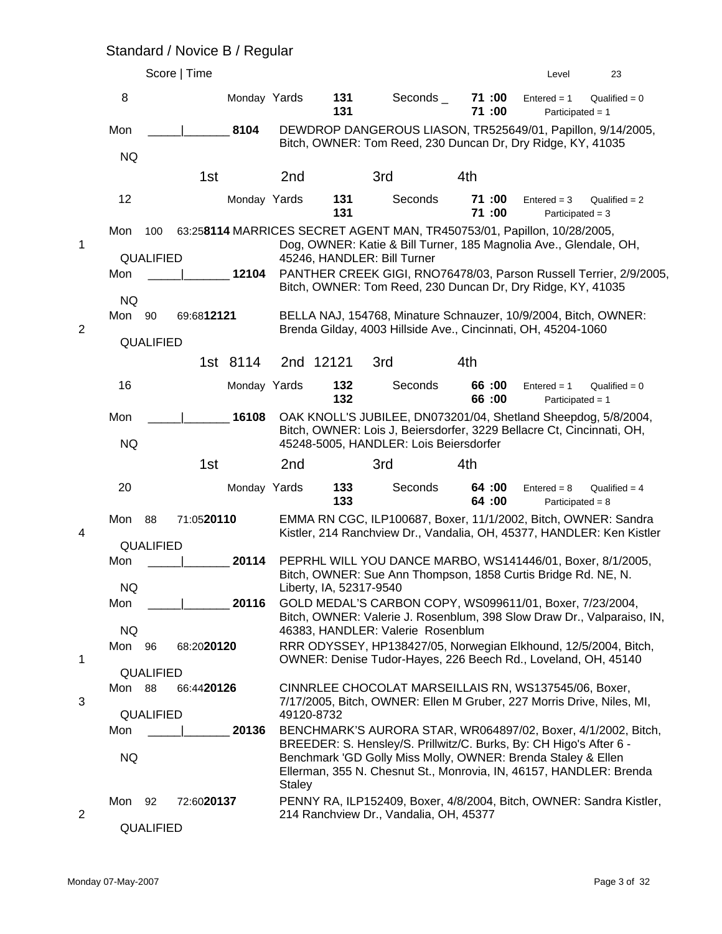## Standard / Novice B / Regular

|                  |                  | Score   Time |              |                 |                         |                                                                                                                                              |     |                 | Level                               | 23                                                                     |
|------------------|------------------|--------------|--------------|-----------------|-------------------------|----------------------------------------------------------------------------------------------------------------------------------------------|-----|-----------------|-------------------------------------|------------------------------------------------------------------------|
|                  | 8                |              | Monday Yards |                 | 131<br>131              | Seconds $_{-}$                                                                                                                               |     | 71:00<br>71:00  | $Entered = 1$<br>Participated = $1$ | $Qualified = 0$                                                        |
|                  | Mon              |              | 8104         |                 |                         | DEWDROP DANGEROUS LIASON, TR525649/01, Papillon, 9/14/2005,<br>Bitch, OWNER: Tom Reed, 230 Duncan Dr, Dry Ridge, KY, 41035                   |     |                 |                                     |                                                                        |
|                  | <b>NQ</b>        |              |              |                 |                         |                                                                                                                                              |     |                 |                                     |                                                                        |
|                  |                  | 1st          |              | 2 <sub>nd</sub> |                         | 3rd                                                                                                                                          | 4th |                 |                                     |                                                                        |
|                  | 12               |              | Monday Yards |                 | 131<br>131              | Seconds                                                                                                                                      |     | 71:00<br>71 :00 | $Entered = 3$<br>Participated = $3$ | Qualified $= 2$                                                        |
| 1                | Mon<br>100       |              |              |                 |                         | 63:258114 MARRICES SECRET AGENT MAN, TR450753/01, Papillon, 10/28/2005,<br>Dog, OWNER: Katie & Bill Turner, 185 Magnolia Ave., Glendale, OH, |     |                 |                                     |                                                                        |
|                  | QUALIFIED<br>Mon |              | 12104        |                 |                         | 45246, HANDLER: Bill Turner                                                                                                                  |     |                 |                                     | PANTHER CREEK GIGI, RNO76478/03, Parson Russell Terrier, 2/9/2005,     |
|                  |                  |              |              |                 |                         | Bitch, OWNER: Tom Reed, 230 Duncan Dr, Dry Ridge, KY, 41035                                                                                  |     |                 |                                     |                                                                        |
|                  | <b>NQ</b>        |              |              |                 |                         |                                                                                                                                              |     |                 |                                     |                                                                        |
| $\boldsymbol{2}$ | Mon 90           | 69:6812121   |              |                 |                         | BELLA NAJ, 154768, Minature Schnauzer, 10/9/2004, Bitch, OWNER:<br>Brenda Gilday, 4003 Hillside Ave., Cincinnati, OH, 45204-1060             |     |                 |                                     |                                                                        |
|                  | QUALIFIED        |              |              |                 |                         |                                                                                                                                              |     |                 |                                     |                                                                        |
|                  |                  |              | 1st 8114     |                 | 2nd 12121               | 3rd                                                                                                                                          | 4th |                 |                                     |                                                                        |
|                  | 16               |              | Monday Yards |                 | 132<br>132              | Seconds                                                                                                                                      |     | 66:00<br>66:00  | $Entered = 1$<br>Participated = $1$ | Qualified = $0$                                                        |
|                  | Mon              |              | 16108        |                 |                         | OAK KNOLL'S JUBILEE, DN073201/04, Shetland Sheepdog, 5/8/2004,<br>Bitch, OWNER: Lois J, Beiersdorfer, 3229 Bellacre Ct, Cincinnati, OH,      |     |                 |                                     |                                                                        |
|                  | <b>NQ</b>        |              |              |                 |                         | 45248-5005, HANDLER: Lois Beiersdorfer                                                                                                       |     |                 |                                     |                                                                        |
|                  |                  | 1st          |              | 2 <sub>nd</sub> |                         | 3rd                                                                                                                                          | 4th |                 |                                     |                                                                        |
|                  | 20               |              | Monday Yards |                 | 133<br>133              | Seconds                                                                                                                                      |     | 64 :00<br>64:00 | $Entered = 8$<br>Participated = $8$ | Qualified $= 4$                                                        |
| 4                | Mon<br>88        | 71:0520110   |              |                 |                         | EMMA RN CGC, ILP100687, Boxer, 11/1/2002, Bitch, OWNER: Sandra                                                                               |     |                 |                                     | Kistler, 214 Ranchview Dr., Vandalia, OH, 45377, HANDLER: Ken Kistler  |
|                  | QUALIFIED<br>Mon |              | 20114        |                 |                         | PEPRHL WILL YOU DANCE MARBO, WS141446/01, Boxer, 8/1/2005,                                                                                   |     |                 |                                     |                                                                        |
|                  | <b>NQ</b>        |              |              |                 |                         | Bitch, OWNER: Sue Ann Thompson, 1858 Curtis Bridge Rd. NE, N.                                                                                |     |                 |                                     |                                                                        |
|                  | Mon              |              | 20116        |                 | Liberty, IA, 52317-9540 | GOLD MEDAL'S CARBON COPY, WS099611/01, Boxer, 7/23/2004,                                                                                     |     |                 |                                     |                                                                        |
|                  | <b>NQ</b>        |              |              |                 |                         | 46383, HANDLER: Valerie Rosenblum                                                                                                            |     |                 |                                     | Bitch, OWNER: Valerie J. Rosenblum, 398 Slow Draw Dr., Valparaiso, IN, |
| 1                | Mon 96           | 68:2020120   |              |                 |                         | RRR ODYSSEY, HP138427/05, Norwegian Elkhound, 12/5/2004, Bitch,<br>OWNER: Denise Tudor-Hayes, 226 Beech Rd., Loveland, OH, 45140             |     |                 |                                     |                                                                        |
|                  | QUALIFIED        |              |              |                 |                         |                                                                                                                                              |     |                 |                                     |                                                                        |
| 3                | Mon 88           | 66:4420126   |              |                 |                         | CINNRLEE CHOCOLAT MARSEILLAIS RN, WS137545/06, Boxer,<br>7/17/2005, Bitch, OWNER: Ellen M Gruber, 227 Morris Drive, Niles, MI,               |     |                 |                                     |                                                                        |
|                  | <b>QUALIFIED</b> |              |              |                 | 49120-8732              |                                                                                                                                              |     |                 |                                     |                                                                        |
|                  | Mon              |              | 20136        |                 |                         | BREEDER: S. Hensley/S. Prillwitz/C. Burks, By: CH Higo's After 6 -                                                                           |     |                 |                                     | BENCHMARK'S AURORA STAR, WR064897/02, Boxer, 4/1/2002, Bitch,          |
|                  | <b>NQ</b>        |              |              | <b>Staley</b>   |                         | Benchmark 'GD Golly Miss Molly, OWNER: Brenda Staley & Ellen<br>Ellerman, 355 N. Chesnut St., Monrovia, IN, 46157, HANDLER: Brenda           |     |                 |                                     |                                                                        |
| $\overline{c}$   | Mon 92           | 72:6020137   |              |                 |                         | 214 Ranchview Dr., Vandalia, OH, 45377                                                                                                       |     |                 |                                     | PENNY RA, ILP152409, Boxer, 4/8/2004, Bitch, OWNER: Sandra Kistler,    |
|                  | <b>QUALIFIED</b> |              |              |                 |                         |                                                                                                                                              |     |                 |                                     |                                                                        |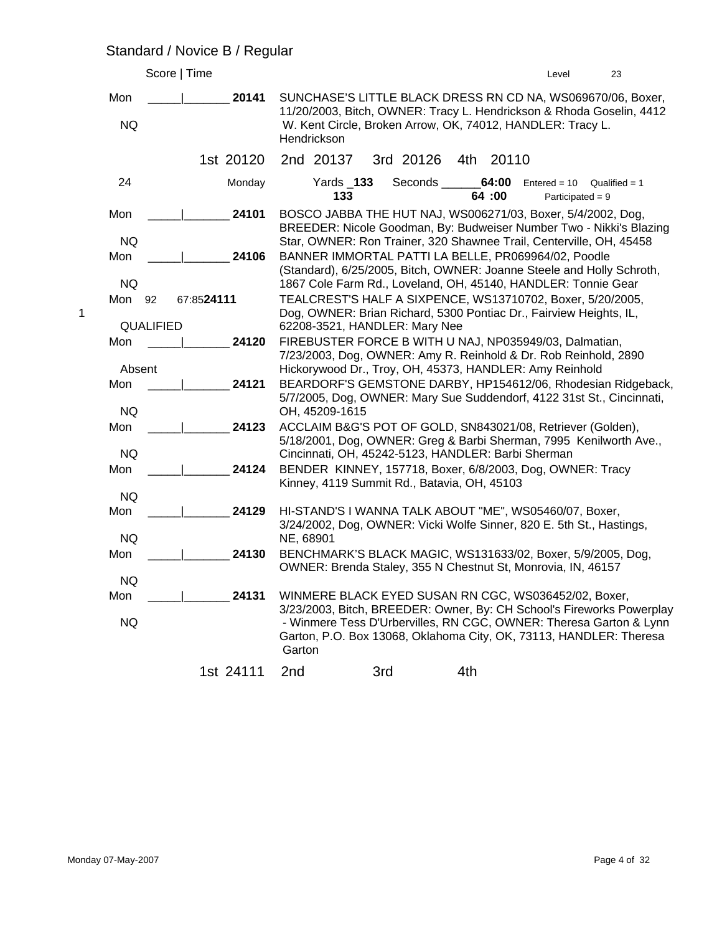#### Standard / Novice B / Regular

| Score   Time     |            |                                                                                                                                                                                                                  |            |     |                | Level                                              | 23                                                                                                                                          |
|------------------|------------|------------------------------------------------------------------------------------------------------------------------------------------------------------------------------------------------------------------|------------|-----|----------------|----------------------------------------------------|---------------------------------------------------------------------------------------------------------------------------------------------|
| Mon<br>NQ        | 20141      | SUNCHASE'S LITTLE BLACK DRESS RN CD NA, WS069670/06, Boxer,<br>11/20/2003, Bitch, OWNER: Tracy L. Hendrickson & Rhoda Goselin, 4412<br>W. Kent Circle, Broken Arrow, OK, 74012, HANDLER: Tracy L.<br>Hendrickson |            |     |                |                                                    |                                                                                                                                             |
|                  | 1st 20120  | 2nd 20137                                                                                                                                                                                                        | 3rd 20126  |     | 4th 20110      |                                                    |                                                                                                                                             |
| 24               | Monday     | Yards $\_133$<br>133                                                                                                                                                                                             | Seconds __ |     | 64:00<br>64:00 | $Entered = 10$ Qualified = 1<br>Participated = $9$ |                                                                                                                                             |
| Mon              | 24101      | BOSCO JABBA THE HUT NAJ, WS006271/03, Boxer, 5/4/2002, Dog,                                                                                                                                                      |            |     |                |                                                    |                                                                                                                                             |
| <b>NQ</b><br>Mon | 24106      | Star, OWNER: Ron Trainer, 320 Shawnee Trail, Centerville, OH, 45458<br>BANNER IMMORTAL PATTI LA BELLE, PR069964/02, Poodle                                                                                       |            |     |                |                                                    | BREEDER: Nicole Goodman, By: Budweiser Number Two - Nikki's Blazing                                                                         |
| <b>NQ</b>        |            | (Standard), 6/25/2005, Bitch, OWNER: Joanne Steele and Holly Schroth,<br>1867 Cole Farm Rd., Loveland, OH, 45140, HANDLER: Tonnie Gear                                                                           |            |     |                |                                                    |                                                                                                                                             |
| Mon 92           | 67:8524111 | TEALCREST'S HALF A SIXPENCE, WS13710702, Boxer, 5/20/2005,<br>Dog, OWNER: Brian Richard, 5300 Pontiac Dr., Fairview Heights, IL,                                                                                 |            |     |                |                                                    |                                                                                                                                             |
| QUALIFIED<br>Mon | 24120      | 62208-3521, HANDLER: Mary Nee<br>FIREBUSTER FORCE B WITH U NAJ, NP035949/03, Dalmatian,                                                                                                                          |            |     |                |                                                    |                                                                                                                                             |
| Absent           |            | 7/23/2003, Dog, OWNER: Amy R. Reinhold & Dr. Rob Reinhold, 2890<br>Hickorywood Dr., Troy, OH, 45373, HANDLER: Amy Reinhold                                                                                       |            |     |                |                                                    |                                                                                                                                             |
| Mon<br><b>NQ</b> | 24121      | 5/7/2005, Dog, OWNER: Mary Sue Suddendorf, 4122 31st St., Cincinnati,<br>OH, 45209-1615                                                                                                                          |            |     |                |                                                    | BEARDORF'S GEMSTONE DARBY, HP154612/06, Rhodesian Ridgeback,                                                                                |
| Mon              | 24123      | ACCLAIM B&G'S POT OF GOLD, SN843021/08, Retriever (Golden),<br>5/18/2001, Dog, OWNER: Greg & Barbi Sherman, 7995 Kenilworth Ave.,                                                                                |            |     |                |                                                    |                                                                                                                                             |
| <b>NQ</b><br>Mon | 24124      | Cincinnati, OH, 45242-5123, HANDLER: Barbi Sherman<br>BENDER KINNEY, 157718, Boxer, 6/8/2003, Dog, OWNER: Tracy<br>Kinney, 4119 Summit Rd., Batavia, OH, 45103                                                   |            |     |                |                                                    |                                                                                                                                             |
| <b>NQ</b>        |            |                                                                                                                                                                                                                  |            |     |                |                                                    |                                                                                                                                             |
| Mon<br><b>NQ</b> | 24129      | HI-STAND'S I WANNA TALK ABOUT "ME", WS05460/07, Boxer,<br>3/24/2002, Dog, OWNER: Vicki Wolfe Sinner, 820 E. 5th St., Hastings,<br>NE, 68901                                                                      |            |     |                |                                                    |                                                                                                                                             |
| Mon              | 24130      | BENCHMARK'S BLACK MAGIC, WS131633/02, Boxer, 5/9/2005, Dog,                                                                                                                                                      |            |     |                |                                                    |                                                                                                                                             |
| <b>NQ</b>        |            | OWNER: Brenda Staley, 355 N Chestnut St, Monrovia, IN, 46157                                                                                                                                                     |            |     |                |                                                    |                                                                                                                                             |
| Mon              | 24131      | WINMERE BLACK EYED SUSAN RN CGC, WS036452/02, Boxer,                                                                                                                                                             |            |     |                |                                                    |                                                                                                                                             |
| NQ               |            | Garton, P.O. Box 13068, Oklahoma City, OK, 73113, HANDLER: Theresa<br>Garton                                                                                                                                     |            |     |                |                                                    | 3/23/2003, Bitch, BREEDER: Owner, By: CH School's Fireworks Powerplay<br>- Winmere Tess D'Urbervilles, RN CGC, OWNER: Theresa Garton & Lynn |
|                  | 1st 24111  | 2nd                                                                                                                                                                                                              | 3rd        | 4th |                |                                                    |                                                                                                                                             |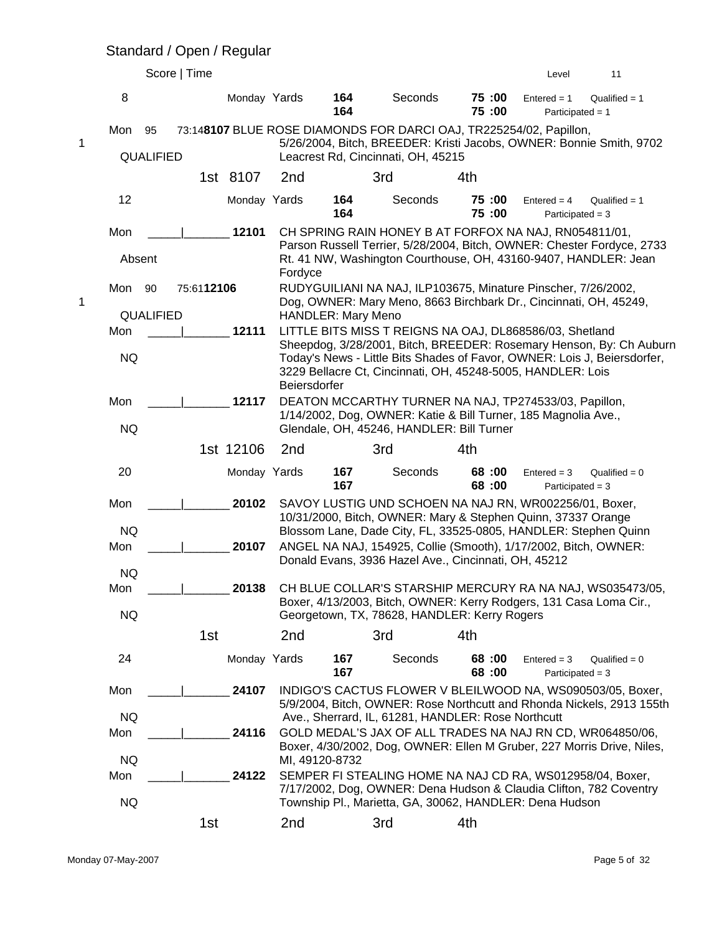## Standard / Open / Regular

|   |                     | Score   Time |              |                 |                           |                                                                                                                                    |                  | Level                               | 11                                                                       |
|---|---------------------|--------------|--------------|-----------------|---------------------------|------------------------------------------------------------------------------------------------------------------------------------|------------------|-------------------------------------|--------------------------------------------------------------------------|
|   | 8                   |              | Monday Yards |                 | 164<br>164                | Seconds                                                                                                                            | 75:00<br>75 :00  | $Entered = 1$<br>Participated = $1$ | Qualified $= 1$                                                          |
| 1 | Mon 95<br>QUALIFIED |              |              |                 |                           | 73:148107 BLUE ROSE DIAMONDS FOR DARCI OAJ, TR225254/02, Papillon,<br>Leacrest Rd, Cincinnati, OH, 45215                           |                  |                                     | 5/26/2004, Bitch, BREEDER: Kristi Jacobs, OWNER: Bonnie Smith, 9702      |
|   |                     |              | 1st 8107     | 2nd             |                           | 3rd                                                                                                                                | 4th              |                                     |                                                                          |
|   | 12                  |              | Monday Yards |                 | 164<br>164                | Seconds                                                                                                                            | 75 :00<br>75 :00 | $Entered = 4$<br>Participated = $3$ | Qualified $= 1$                                                          |
|   | Mon                 |              | 12101        |                 |                           | CH SPRING RAIN HONEY B AT FORFOX NA NAJ, RN054811/01,                                                                              |                  |                                     | Parson Russell Terrier, 5/28/2004, Bitch, OWNER: Chester Fordyce, 2733   |
|   | Absent              |              |              | Fordyce         |                           | Rt. 41 NW, Washington Courthouse, OH, 43160-9407, HANDLER: Jean                                                                    |                  |                                     |                                                                          |
| 1 | Mon 90              | 75:6112106   |              |                 |                           | RUDYGUILIANI NA NAJ, ILP103675, Minature Pinscher, 7/26/2002,<br>Dog, OWNER: Mary Meno, 8663 Birchbark Dr., Cincinnati, OH, 45249, |                  |                                     |                                                                          |
|   | <b>QUALIFIED</b>    |              |              |                 | <b>HANDLER: Mary Meno</b> |                                                                                                                                    |                  |                                     |                                                                          |
|   | Mon                 |              | 12111        |                 |                           | LITTLE BITS MISS T REIGNS NA OAJ, DL868586/03, Shetland                                                                            |                  |                                     | Sheepdog, 3/28/2001, Bitch, BREEDER: Rosemary Henson, By: Ch Auburn      |
|   | <b>NQ</b>           |              |              | Beiersdorfer    |                           | 3229 Bellacre Ct, Cincinnati, OH, 45248-5005, HANDLER: Lois                                                                        |                  |                                     | Today's News - Little Bits Shades of Favor, OWNER: Lois J, Beiersdorfer, |
|   | Mon                 |              | 12117        |                 |                           | DEATON MCCARTHY TURNER NA NAJ, TP274533/03, Papillon,                                                                              |                  |                                     |                                                                          |
|   | <b>NQ</b>           |              |              |                 |                           | 1/14/2002, Dog, OWNER: Katie & Bill Turner, 185 Magnolia Ave.,<br>Glendale, OH, 45246, HANDLER: Bill Turner                        |                  |                                     |                                                                          |
|   |                     |              | 1st 12106    | 2 <sub>nd</sub> |                           | 3rd                                                                                                                                | 4th              |                                     |                                                                          |
|   | 20                  |              | Monday Yards |                 | 167<br>167                | Seconds                                                                                                                            | 68:00<br>68:00   | $Entered = 3$<br>Participated = $3$ | $Qualified = 0$                                                          |
|   | Mon                 |              | 20102        |                 |                           | SAVOY LUSTIG UND SCHOEN NA NAJ RN, WR002256/01, Boxer,<br>10/31/2000, Bitch, OWNER: Mary & Stephen Quinn, 37337 Orange             |                  |                                     |                                                                          |
|   | <b>NQ</b>           |              |              |                 |                           | Blossom Lane, Dade City, FL, 33525-0805, HANDLER: Stephen Quinn                                                                    |                  |                                     |                                                                          |
|   | Mon                 |              | 20107        |                 |                           | ANGEL NA NAJ, 154925, Collie (Smooth), 1/17/2002, Bitch, OWNER:<br>Donald Evans, 3936 Hazel Ave., Cincinnati, OH, 45212            |                  |                                     |                                                                          |
|   | NQ                  |              |              |                 |                           |                                                                                                                                    |                  |                                     |                                                                          |
|   | Mon                 |              | 20138        |                 |                           | Boxer, 4/13/2003, Bitch, OWNER: Kerry Rodgers, 131 Casa Loma Cir.,                                                                 |                  |                                     | CH BLUE COLLAR'S STARSHIP MERCURY RA NA NAJ, WS035473/05,                |
|   | <b>NQ</b>           |              |              |                 |                           | Georgetown, TX, 78628, HANDLER: Kerry Rogers                                                                                       |                  |                                     |                                                                          |
|   |                     | 1st          |              | 2 <sub>nd</sub> |                           | 3rd                                                                                                                                | 4th              |                                     |                                                                          |
|   | 24                  |              | Monday Yards |                 | 167<br>167                | Seconds                                                                                                                            | 68:00<br>68:00   | $Entered = 3$<br>Participated = $3$ | Qualified = $0$                                                          |
|   | Mon                 |              | 24107        |                 |                           |                                                                                                                                    |                  |                                     | INDIGO'S CACTUS FLOWER V BLEILWOOD NA, WS090503/05, Boxer,               |
|   | <b>NQ</b>           |              |              |                 |                           | Ave., Sherrard, IL, 61281, HANDLER: Rose Northcutt                                                                                 |                  |                                     | 5/9/2004, Bitch, OWNER: Rose Northcutt and Rhonda Nickels, 2913 155th    |
|   | Mon                 |              | 24116        |                 |                           | GOLD MEDAL'S JAX OF ALL TRADES NA NAJ RN CD, WR064850/06,                                                                          |                  |                                     |                                                                          |
|   | <b>NQ</b>           |              |              | MI, 49120-8732  |                           |                                                                                                                                    |                  |                                     | Boxer, 4/30/2002, Dog, OWNER: Ellen M Gruber, 227 Morris Drive, Niles,   |
|   | Mon                 |              | 24122        |                 |                           | SEMPER FI STEALING HOME NA NAJ CD RA, WS012958/04, Boxer,                                                                          |                  |                                     |                                                                          |
|   | <b>NQ</b>           |              |              |                 |                           | 7/17/2002, Dog, OWNER: Dena Hudson & Claudia Clifton, 782 Coventry<br>Township Pl., Marietta, GA, 30062, HANDLER: Dena Hudson      |                  |                                     |                                                                          |
|   |                     | 1st          |              | 2nd             |                           | 3rd                                                                                                                                | 4th              |                                     |                                                                          |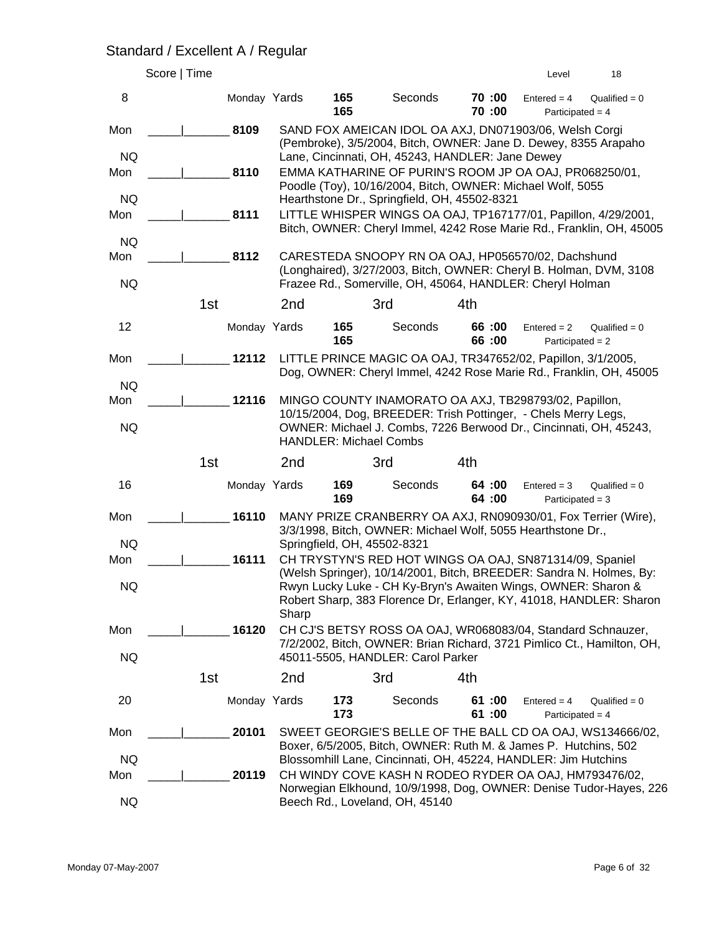|           | Score   Time |              |                 |            |                                                                                                                                      |                 | Level                               | 18                                                                     |
|-----------|--------------|--------------|-----------------|------------|--------------------------------------------------------------------------------------------------------------------------------------|-----------------|-------------------------------------|------------------------------------------------------------------------|
| 8         |              | Monday Yards |                 | 165        | Seconds                                                                                                                              | 70:00           | $Entered = 4$                       | $Qualified = 0$                                                        |
|           |              |              |                 | 165        |                                                                                                                                      | 70:00           | Participated = $4$                  |                                                                        |
| Mon       |              | 8109         |                 |            | SAND FOX AMEICAN IDOL OA AXJ, DN071903/06, Welsh Corgi<br>(Pembroke), 3/5/2004, Bitch, OWNER: Jane D. Dewey, 8355 Arapaho            |                 |                                     |                                                                        |
| <b>NQ</b> |              |              |                 |            | Lane, Cincinnati, OH, 45243, HANDLER: Jane Dewey                                                                                     |                 |                                     |                                                                        |
| Mon       |              | 8110         |                 |            | EMMA KATHARINE OF PURIN'S ROOM JP OA OAJ, PR068250/01,<br>Poodle (Toy), 10/16/2004, Bitch, OWNER: Michael Wolf, 5055                 |                 |                                     |                                                                        |
| <b>NQ</b> |              |              |                 |            | Hearthstone Dr., Springfield, OH, 45502-8321                                                                                         |                 |                                     |                                                                        |
| Mon       |              | 8111         |                 |            | LITTLE WHISPER WINGS OA OAJ, TP167177/01, Papillon, 4/29/2001,                                                                       |                 |                                     | Bitch, OWNER: Cheryl Immel, 4242 Rose Marie Rd., Franklin, OH, 45005   |
| <b>NQ</b> |              |              |                 |            |                                                                                                                                      |                 |                                     |                                                                        |
| Mon       |              | 8112         |                 |            | CARESTEDA SNOOPY RN OA OAJ, HP056570/02, Dachshund<br>(Longhaired), 3/27/2003, Bitch, OWNER: Cheryl B. Holman, DVM, 3108             |                 |                                     |                                                                        |
| <b>NQ</b> |              |              |                 |            | Frazee Rd., Somerville, OH, 45064, HANDLER: Cheryl Holman                                                                            |                 |                                     |                                                                        |
|           | 1st          |              | 2nd             |            | 3rd                                                                                                                                  | 4th             |                                     |                                                                        |
| 12        |              | Monday Yards |                 | 165<br>165 | Seconds                                                                                                                              | 66:00<br>66:00  | $Entered = 2$<br>Participated = $2$ | $Qualified = 0$                                                        |
| Mon       |              | 12112        |                 |            | LITTLE PRINCE MAGIC OA OAJ, TR347652/02, Papillon, 3/1/2005,<br>Dog, OWNER: Cheryl Immel, 4242 Rose Marie Rd., Franklin, OH, 45005   |                 |                                     |                                                                        |
| <b>NQ</b> |              |              |                 |            |                                                                                                                                      |                 |                                     |                                                                        |
| Mon       |              | 12116        |                 |            | MINGO COUNTY INAMORATO OA AXJ, TB298793/02, Papillon,<br>10/15/2004, Dog, BREEDER: Trish Pottinger, - Chels Merry Legs,              |                 |                                     |                                                                        |
| <b>NQ</b> |              |              |                 |            | OWNER: Michael J. Combs, 7226 Berwood Dr., Cincinnati, OH, 45243,<br><b>HANDLER: Michael Combs</b>                                   |                 |                                     |                                                                        |
|           | 1st          |              | 2 <sub>nd</sub> |            | 3rd                                                                                                                                  | 4th             |                                     |                                                                        |
| 16        |              | Monday Yards |                 | 169<br>169 | Seconds                                                                                                                              | 64:00<br>64 :00 | $Entered = 3$<br>Participated = $3$ | $Qualified = 0$                                                        |
| Mon       |              | 16110        |                 |            | MANY PRIZE CRANBERRY OA AXJ, RN090930/01, Fox Terrier (Wire),                                                                        |                 |                                     |                                                                        |
| <b>NQ</b> |              |              |                 |            | 3/3/1998, Bitch, OWNER: Michael Wolf, 5055 Hearthstone Dr.,<br>Springfield, OH, 45502-8321                                           |                 |                                     |                                                                        |
| Mon       |              | 16111        |                 |            | CH TRYSTYN'S RED HOT WINGS OA OAJ, SN871314/09, Spaniel                                                                              |                 |                                     |                                                                        |
| <b>NQ</b> |              |              |                 |            | (Welsh Springer), 10/14/2001, Bitch, BREEDER: Sandra N. Holmes, By:<br>Rwyn Lucky Luke - CH Ky-Bryn's Awaiten Wings, OWNER: Sharon & |                 |                                     |                                                                        |
|           |              |              | Sharp           |            |                                                                                                                                      |                 |                                     | Robert Sharp, 383 Florence Dr, Erlanger, KY, 41018, HANDLER: Sharon    |
| Mon       |              | 16120        |                 |            | CH CJ'S BETSY ROSS OA OAJ, WR068083/04, Standard Schnauzer,                                                                          |                 |                                     |                                                                        |
| NQ        |              |              |                 |            | 45011-5505, HANDLER: Carol Parker                                                                                                    |                 |                                     | 7/2/2002, Bitch, OWNER: Brian Richard, 3721 Pimlico Ct., Hamilton, OH, |
|           | 1st          |              | 2nd             |            | 3rd                                                                                                                                  | 4th             |                                     |                                                                        |
| 20        |              | Monday Yards |                 | 173<br>173 | Seconds                                                                                                                              | 61:00<br>61:00  | $Entered = 4$<br>Participated = $4$ | $Qualified = 0$                                                        |
| Mon       |              | 20101        |                 |            | SWEET GEORGIE'S BELLE OF THE BALL CD OA OAJ, WS134666/02,                                                                            |                 |                                     |                                                                        |
| <b>NQ</b> |              |              |                 |            | Boxer, 6/5/2005, Bitch, OWNER: Ruth M. & James P. Hutchins, 502                                                                      |                 |                                     |                                                                        |
| Mon       |              | 20119        |                 |            | Blossomhill Lane, Cincinnati, OH, 45224, HANDLER: Jim Hutchins<br>CH WINDY COVE KASH N RODEO RYDER OA OAJ, HM793476/02,              |                 |                                     |                                                                        |
|           |              |              |                 |            |                                                                                                                                      |                 |                                     | Norwegian Elkhound, 10/9/1998, Dog, OWNER: Denise Tudor-Hayes, 226     |
| <b>NQ</b> |              |              |                 |            | Beech Rd., Loveland, OH, 45140                                                                                                       |                 |                                     |                                                                        |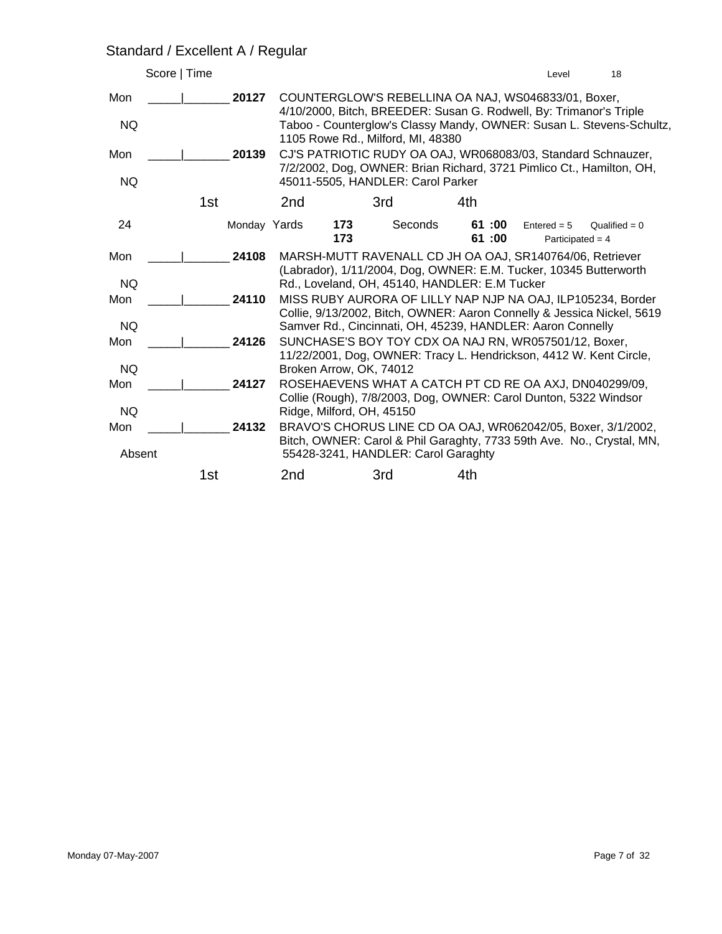| Score   Time |              |                           |            |                                     |                                               | Level                                                                                                                     | 18                                                                     |
|--------------|--------------|---------------------------|------------|-------------------------------------|-----------------------------------------------|---------------------------------------------------------------------------------------------------------------------------|------------------------------------------------------------------------|
| Mon          | 20127        |                           |            |                                     |                                               | COUNTERGLOW'S REBELLINA OA NAJ, WS046833/01, Boxer,<br>4/10/2000, Bitch, BREEDER: Susan G. Rodwell, By: Trimanor's Triple |                                                                        |
| <b>NQ</b>    |              |                           |            | 1105 Rowe Rd., Milford, MI, 48380   |                                               |                                                                                                                           | Taboo - Counterglow's Classy Mandy, OWNER: Susan L. Stevens-Schultz,   |
| Mon          | 20139        |                           |            |                                     |                                               |                                                                                                                           | CJ'S PATRIOTIC RUDY OA OAJ, WR068083/03, Standard Schnauzer,           |
| <b>NQ</b>    |              |                           |            | 45011-5505, HANDLER: Carol Parker   |                                               |                                                                                                                           | 7/2/2002, Dog, OWNER: Brian Richard, 3721 Pimlico Ct., Hamilton, OH,   |
|              | 1st          | 2 <sub>nd</sub>           | 3rd        |                                     | 4th                                           |                                                                                                                           |                                                                        |
| 24           | Monday Yards |                           | 173<br>173 | Seconds                             | 61:00<br>61:00                                | $Entered = 5$<br>Participated = $4$                                                                                       | Qualified = $0$                                                        |
| Mon          | 24108        |                           |            |                                     |                                               | MARSH-MUTT RAVENALL CD JH OA OAJ, SR140764/06, Retriever                                                                  |                                                                        |
| <b>NQ</b>    |              |                           |            |                                     | Rd., Loveland, OH, 45140, HANDLER: E.M Tucker |                                                                                                                           | (Labrador), 1/11/2004, Dog, OWNER: E.M. Tucker, 10345 Butterworth      |
| Mon          | 24110        |                           |            |                                     |                                               |                                                                                                                           | MISS RUBY AURORA OF LILLY NAP NJP NA OAJ, ILP105234, Border            |
| NQ.          |              |                           |            |                                     |                                               | Samver Rd., Cincinnati, OH, 45239, HANDLER: Aaron Connelly                                                                | Collie, 9/13/2002, Bitch, OWNER: Aaron Connelly & Jessica Nickel, 5619 |
| Mon          | 24126        |                           |            |                                     |                                               | SUNCHASE'S BOY TOY CDX OA NAJ RN, WR057501/12, Boxer,                                                                     | 11/22/2001, Dog, OWNER: Tracy L. Hendrickson, 4412 W. Kent Circle,     |
| <b>NQ</b>    |              | Broken Arrow, OK, 74012   |            |                                     |                                               |                                                                                                                           |                                                                        |
| Mon          | 24127        |                           |            |                                     |                                               |                                                                                                                           | ROSEHAEVENS WHAT A CATCH PT CD RE OA AXJ, DN040299/09,                 |
| <b>NQ</b>    |              | Ridge, Milford, OH, 45150 |            |                                     |                                               | Collie (Rough), 7/8/2003, Dog, OWNER: Carol Dunton, 5322 Windsor                                                          |                                                                        |
| Mon          | 24132        |                           |            |                                     |                                               |                                                                                                                           | BRAVO'S CHORUS LINE CD OA OAJ, WR062042/05, Boxer, 3/1/2002,           |
| Absent       |              |                           |            | 55428-3241, HANDLER: Carol Garaghty |                                               |                                                                                                                           | Bitch, OWNER: Carol & Phil Garaghty, 7733 59th Ave. No., Crystal, MN,  |
|              | 1st          | 2 <sub>nd</sub>           | 3rd        |                                     | 4th                                           |                                                                                                                           |                                                                        |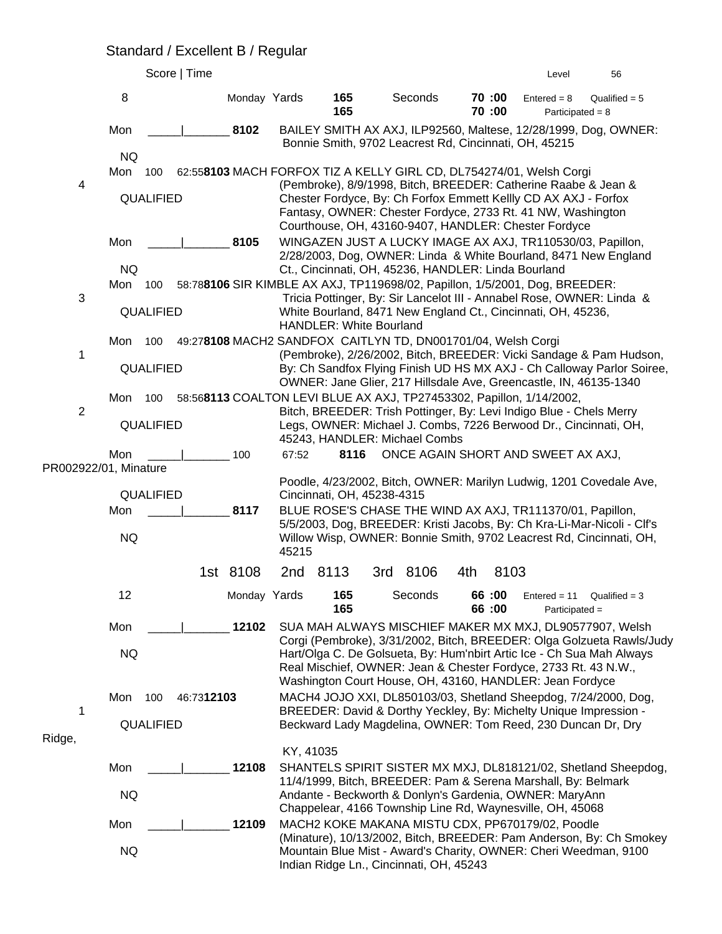|                       |                               | Score   Time     |            |                          |                                                                                                                                                                                                                                                                                                                                                                                                                                                                                                                |                                    |  |                               |                                                              | Level                                                                                                                                                                                                                                                                                                                                                                                                                  | 56                                                                                                                                                                                                                    |
|-----------------------|-------------------------------|------------------|------------|--------------------------|----------------------------------------------------------------------------------------------------------------------------------------------------------------------------------------------------------------------------------------------------------------------------------------------------------------------------------------------------------------------------------------------------------------------------------------------------------------------------------------------------------------|------------------------------------|--|-------------------------------|--------------------------------------------------------------|------------------------------------------------------------------------------------------------------------------------------------------------------------------------------------------------------------------------------------------------------------------------------------------------------------------------------------------------------------------------------------------------------------------------|-----------------------------------------------------------------------------------------------------------------------------------------------------------------------------------------------------------------------|
|                       | 8                             |                  |            | Monday Yards             |                                                                                                                                                                                                                                                                                                                                                                                                                                                                                                                | 165<br>165                         |  | Seconds                       | 70:00<br>70:00                                               | $Entered = 8$<br>Participated = $8$                                                                                                                                                                                                                                                                                                                                                                                    | Qualified = $5$                                                                                                                                                                                                       |
|                       | Mon                           |                  |            | 8102                     |                                                                                                                                                                                                                                                                                                                                                                                                                                                                                                                |                                    |  |                               |                                                              | Bonnie Smith, 9702 Leacrest Rd, Cincinnati, OH, 45215                                                                                                                                                                                                                                                                                                                                                                  | BAILEY SMITH AX AXJ, ILP92560, Maltese, 12/28/1999, Dog, OWNER:                                                                                                                                                       |
| 4                     | <b>NQ</b><br>Mon              | 100<br>QUALIFIED |            |                          |                                                                                                                                                                                                                                                                                                                                                                                                                                                                                                                |                                    |  |                               |                                                              | 62:558103 MACH FORFOX TIZ A KELLY GIRL CD, DL754274/01, Welsh Corgi<br>(Pembroke), 8/9/1998, Bitch, BREEDER: Catherine Raabe & Jean &<br>Chester Fordyce, By: Ch Forfox Emmett Kellly CD AX AXJ - Forfox<br>Fantasy, OWNER: Chester Fordyce, 2733 Rt. 41 NW, Washington<br>Courthouse, OH, 43160-9407, HANDLER: Chester Fordyce                                                                                        |                                                                                                                                                                                                                       |
|                       | Mon<br><b>NQ</b>              |                  |            | 8105                     |                                                                                                                                                                                                                                                                                                                                                                                                                                                                                                                |                                    |  |                               | Ct., Cincinnati, OH, 45236, HANDLER: Linda Bourland          | WINGAZEN JUST A LUCKY IMAGE AX AXJ, TR110530/03, Papillon,<br>2/28/2003, Dog, OWNER: Linda & White Bourland, 8471 New England                                                                                                                                                                                                                                                                                          |                                                                                                                                                                                                                       |
| 3                     | Mon                           | 100<br>QUALIFIED |            |                          |                                                                                                                                                                                                                                                                                                                                                                                                                                                                                                                | <b>HANDLER: White Bourland</b>     |  |                               |                                                              | 58:788106 SIR KIMBLE AX AXJ, TP119698/02, Papillon, 1/5/2001, Dog, BREEDER:<br>Tricia Pottinger, By: Sir Lancelot III - Annabel Rose, OWNER: Linda &<br>White Bourland, 8471 New England Ct., Cincinnati, OH, 45236,                                                                                                                                                                                                   |                                                                                                                                                                                                                       |
| 1                     | Mon                           | 100<br>QUALIFIED |            |                          |                                                                                                                                                                                                                                                                                                                                                                                                                                                                                                                |                                    |  |                               | 49:278108 MACH2 SANDFOX CAITLYN TD, DN001701/04, Welsh Corgi | OWNER: Jane Glier, 217 Hillsdale Ave, Greencastle, IN, 46135-1340                                                                                                                                                                                                                                                                                                                                                      | (Pembroke), 2/26/2002, Bitch, BREEDER: Vicki Sandage & Pam Hudson,<br>By: Ch Sandfox Flying Finish UD HS MX AXJ - Ch Calloway Parlor Soiree,                                                                          |
| $\overline{2}$        | Mon                           | 100<br>QUALIFIED |            |                          |                                                                                                                                                                                                                                                                                                                                                                                                                                                                                                                |                                    |  | 45243, HANDLER: Michael Combs |                                                              | 58:568113 COALTON LEVI BLUE AX AXJ, TP27453302, Papillon, 1/14/2002,<br>Bitch, BREEDER: Trish Pottinger, By: Levi Indigo Blue - Chels Merry<br>Legs, OWNER: Michael J. Combs, 7226 Berwood Dr., Cincinnati, OH,                                                                                                                                                                                                        |                                                                                                                                                                                                                       |
| PR002922/01, Minature | Mon<br>Mon<br><b>NQ</b>       | QUALIFIED        |            | 100<br>8117              | 67:52<br>45215                                                                                                                                                                                                                                                                                                                                                                                                                                                                                                 | 8116<br>Cincinnati, OH, 45238-4315 |  |                               |                                                              | ONCE AGAIN SHORT AND SWEET AX AXJ,<br>BLUE ROSE'S CHASE THE WIND AX AXJ, TR111370/01, Papillon,                                                                                                                                                                                                                                                                                                                        | Poodle, 4/23/2002, Bitch, OWNER: Marilyn Ludwig, 1201 Covedale Ave,<br>5/5/2003, Dog, BREEDER: Kristi Jacobs, By: Ch Kra-Li-Mar-Nicoli - Clf's<br>Willow Wisp, OWNER: Bonnie Smith, 9702 Leacrest Rd, Cincinnati, OH, |
|                       | 12                            |                  |            | 1st 8108<br>Monday Yards | 2nd 8113                                                                                                                                                                                                                                                                                                                                                                                                                                                                                                       | 165                                |  | 3rd 8106<br>Seconds           | 8103<br>4th<br>66:00                                         | $Entered = 11$ Qualified = 3                                                                                                                                                                                                                                                                                                                                                                                           |                                                                                                                                                                                                                       |
| 1                     | Mon<br><b>NQ</b><br>Mon       | 100<br>QUALIFIED | 46:7312103 | 12102                    |                                                                                                                                                                                                                                                                                                                                                                                                                                                                                                                | 165                                |  |                               | 66:00                                                        | Participated =<br>SUA MAH ALWAYS MISCHIEF MAKER MX MXJ, DL90577907, Welsh<br>Hart/Olga C. De Golsueta, By: Hum'nbirt Artic Ice - Ch Sua Mah Always<br>Real Mischief, OWNER: Jean & Chester Fordyce, 2733 Rt. 43 N.W.,<br>Washington Court House, OH, 43160, HANDLER: Jean Fordyce<br>BREEDER: David & Dorthy Yeckley, By: Michelty Unique Impression -<br>Beckward Lady Magdelina, OWNER: Tom Reed, 230 Duncan Dr, Dry | Corgi (Pembroke), 3/31/2002, Bitch, BREEDER: Olga Golzueta Rawls/Judy<br>MACH4 JOJO XXI, DL850103/03, Shetland Sheepdog, 7/24/2000, Dog,                                                                              |
| Ridge,                | Mon<br>NQ<br>Mon<br><b>NQ</b> |                  |            | 12108<br>12109           | KY, 41035<br>SHANTELS SPIRIT SISTER MX MXJ, DL818121/02, Shetland Sheepdog,<br>11/4/1999, Bitch, BREEDER: Pam & Serena Marshall, By: Belmark<br>Andante - Beckworth & Donlyn's Gardenia, OWNER: MaryAnn<br>Chappelear, 4166 Township Line Rd, Waynesville, OH, 45068<br>MACH2 KOKE MAKANA MISTU CDX, PP670179/02, Poodle<br>(Minature), 10/13/2002, Bitch, BREEDER: Pam Anderson, By: Ch Smokey<br>Mountain Blue Mist - Award's Charity, OWNER: Cheri Weedman, 9100<br>Indian Ridge Ln., Cincinnati, OH, 45243 |                                    |  |                               |                                                              |                                                                                                                                                                                                                                                                                                                                                                                                                        |                                                                                                                                                                                                                       |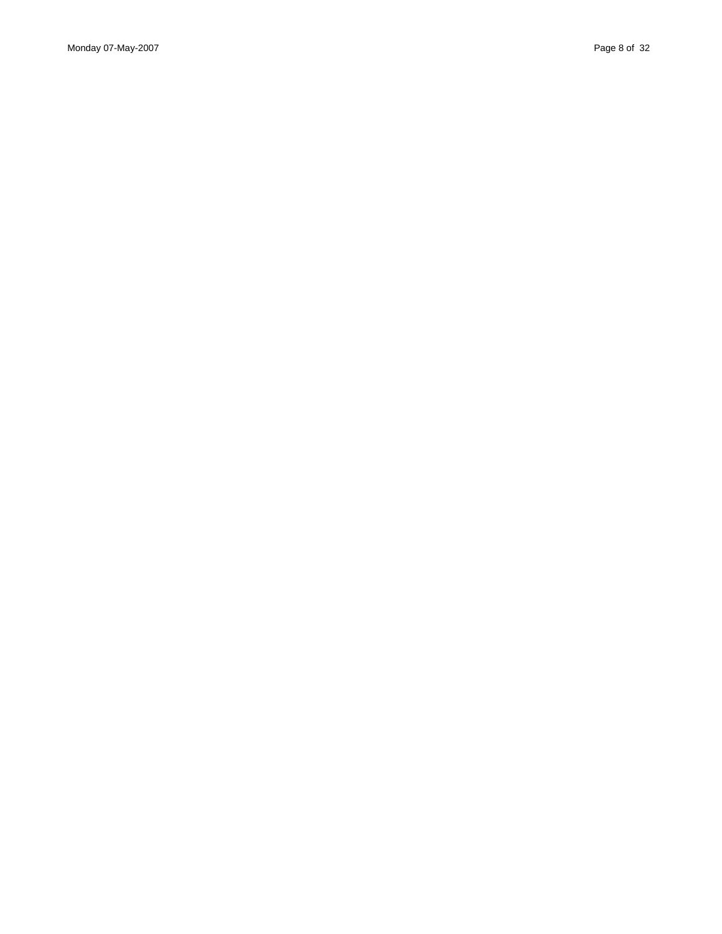Monday 07-May-2007 Page 8 of 32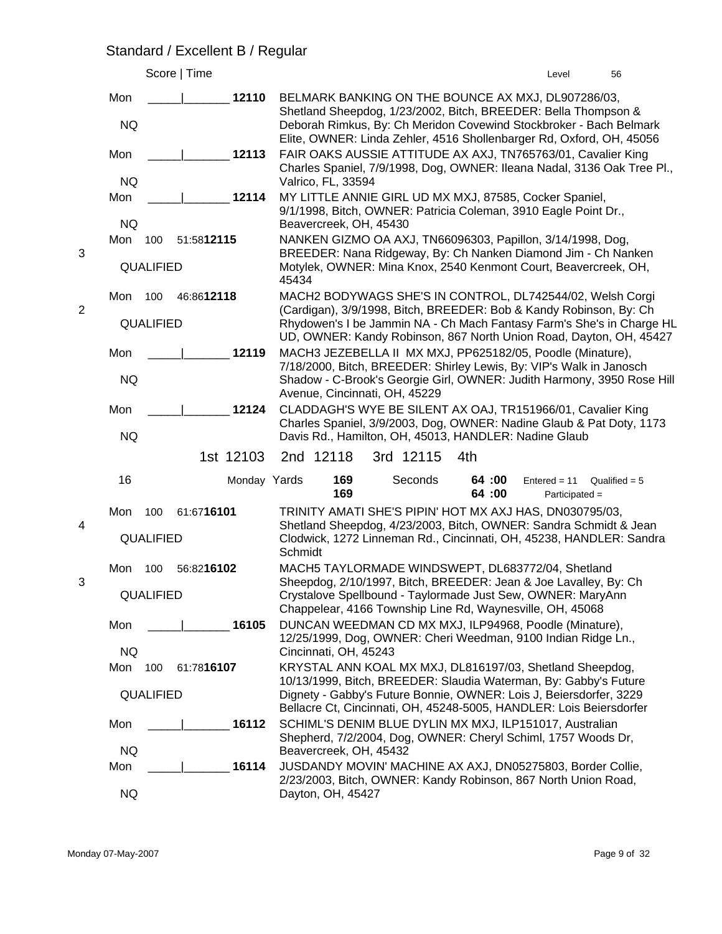|                | Score   Time              | 56<br>Level                                                                                                                                                                                                                                                        |  |  |  |  |  |  |  |  |
|----------------|---------------------------|--------------------------------------------------------------------------------------------------------------------------------------------------------------------------------------------------------------------------------------------------------------------|--|--|--|--|--|--|--|--|
|                | Mon<br>12110<br><b>NQ</b> | BELMARK BANKING ON THE BOUNCE AX MXJ, DL907286/03,<br>Shetland Sheepdog, 1/23/2002, Bitch, BREEDER: Bella Thompson &<br>Deborah Rimkus, By: Ch Meridon Covewind Stockbroker - Bach Belmark<br>Elite, OWNER: Linda Zehler, 4516 Shollenbarger Rd, Oxford, OH, 45056 |  |  |  |  |  |  |  |  |
|                | 12113<br>Mon<br><b>NQ</b> | FAIR OAKS AUSSIE ATTITUDE AX AXJ, TN765763/01, Cavalier King<br>Charles Spaniel, 7/9/1998, Dog, OWNER: Ileana Nadal, 3136 Oak Tree Pl.,<br>Valrico, FL, 33594                                                                                                      |  |  |  |  |  |  |  |  |
|                | 12114<br>Mon              | MY LITTLE ANNIE GIRL UD MX MXJ, 87585, Cocker Spaniel,<br>9/1/1998, Bitch, OWNER: Patricia Coleman, 3910 Eagle Point Dr.,                                                                                                                                          |  |  |  |  |  |  |  |  |
|                | <b>NQ</b>                 | Beavercreek, OH, 45430                                                                                                                                                                                                                                             |  |  |  |  |  |  |  |  |
|                | 51:5812115<br>Mon<br>100  | NANKEN GIZMO OA AXJ, TN66096303, Papillon, 3/14/1998, Dog,                                                                                                                                                                                                         |  |  |  |  |  |  |  |  |
| 3              | <b>QUALIFIED</b>          | BREEDER: Nana Ridgeway, By: Ch Nanken Diamond Jim - Ch Nanken<br>Motylek, OWNER: Mina Knox, 2540 Kenmont Court, Beavercreek, OH,<br>45434                                                                                                                          |  |  |  |  |  |  |  |  |
|                | 46:8612118<br>Mon<br>100  | MACH2 BODYWAGS SHE'S IN CONTROL, DL742544/02, Welsh Corgi                                                                                                                                                                                                          |  |  |  |  |  |  |  |  |
| $\overline{2}$ | <b>QUALIFIED</b>          | (Cardigan), 3/9/1998, Bitch, BREEDER: Bob & Kandy Robinson, By: Ch.<br>Rhydowen's I be Jammin NA - Ch Mach Fantasy Farm's She's in Charge HL<br>UD, OWNER: Kandy Robinson, 867 North Union Road, Dayton, OH, 45427                                                 |  |  |  |  |  |  |  |  |
|                | 12119<br>Mon              | MACH3 JEZEBELLA II MX MXJ, PP625182/05, Poodle (Minature),                                                                                                                                                                                                         |  |  |  |  |  |  |  |  |
|                | <b>NQ</b>                 | 7/18/2000, Bitch, BREEDER: Shirley Lewis, By: VIP's Walk in Janosch<br>Shadow - C-Brook's Georgie Girl, OWNER: Judith Harmony, 3950 Rose Hill<br>Avenue, Cincinnati, OH, 45229                                                                                     |  |  |  |  |  |  |  |  |
|                | 12124<br>Mon              | CLADDAGH'S WYE BE SILENT AX OAJ, TR151966/01, Cavalier King<br>Charles Spaniel, 3/9/2003, Dog, OWNER: Nadine Glaub & Pat Doty, 1173                                                                                                                                |  |  |  |  |  |  |  |  |
|                | <b>NQ</b>                 | Davis Rd., Hamilton, OH, 45013, HANDLER: Nadine Glaub                                                                                                                                                                                                              |  |  |  |  |  |  |  |  |
|                | 1st 12103                 | 2nd 12118<br>3rd 12115<br>4th                                                                                                                                                                                                                                      |  |  |  |  |  |  |  |  |
|                | 16<br>Monday Yards        | 169<br>Seconds<br>64:00<br>$Entered = 11$<br>Qualified $= 5$<br>169<br>64 :00<br>Participated =                                                                                                                                                                    |  |  |  |  |  |  |  |  |
| 4              | 61:6716101<br>Mon<br>100  | TRINITY AMATI SHE'S PIPIN' HOT MX AXJ HAS, DN030795/03,<br>Shetland Sheepdog, 4/23/2003, Bitch, OWNER: Sandra Schmidt & Jean                                                                                                                                       |  |  |  |  |  |  |  |  |
|                | <b>QUALIFIED</b>          | Clodwick, 1272 Linneman Rd., Cincinnati, OH, 45238, HANDLER: Sandra<br>Schmidt                                                                                                                                                                                     |  |  |  |  |  |  |  |  |
| 3              | Mon<br>100<br>56:8216102  | MACH5 TAYLORMADE WINDSWEPT, DL683772/04, Shetland<br>Sheepdog, 2/10/1997, Bitch, BREEDER: Jean & Joe Lavalley, By: Ch                                                                                                                                              |  |  |  |  |  |  |  |  |
|                | QUALIFIED                 | Crystalove Spellbound - Taylormade Just Sew, OWNER: MaryAnn<br>Chappelear, 4166 Township Line Rd, Waynesville, OH, 45068                                                                                                                                           |  |  |  |  |  |  |  |  |
|                | 16105<br>Mon              | DUNCAN WEEDMAN CD MX MXJ, ILP94968, Poodle (Minature),<br>12/25/1999, Dog, OWNER: Cheri Weedman, 9100 Indian Ridge Ln.,                                                                                                                                            |  |  |  |  |  |  |  |  |
|                | <b>NQ</b>                 | Cincinnati, OH, 45243                                                                                                                                                                                                                                              |  |  |  |  |  |  |  |  |
|                | 61:7816107<br>Mon 100     | KRYSTAL ANN KOAL MX MXJ, DL816197/03, Shetland Sheepdog,<br>10/13/1999, Bitch, BREEDER: Slaudia Waterman, By: Gabby's Future                                                                                                                                       |  |  |  |  |  |  |  |  |
|                | <b>QUALIFIED</b>          | Dignety - Gabby's Future Bonnie, OWNER: Lois J, Beiersdorfer, 3229<br>Bellacre Ct, Cincinnati, OH, 45248-5005, HANDLER: Lois Beiersdorfer                                                                                                                          |  |  |  |  |  |  |  |  |
|                | Mon<br>16112              | SCHIML'S DENIM BLUE DYLIN MX MXJ, ILP151017, Australian<br>Shepherd, 7/2/2004, Dog, OWNER: Cheryl Schiml, 1757 Woods Dr,                                                                                                                                           |  |  |  |  |  |  |  |  |
|                | <b>NQ</b>                 | Beavercreek, OH, 45432                                                                                                                                                                                                                                             |  |  |  |  |  |  |  |  |
|                | 16114<br>Mon              | JUSDANDY MOVIN' MACHINE AX AXJ, DN05275803, Border Collie,<br>2/23/2003, Bitch, OWNER: Kandy Robinson, 867 North Union Road,                                                                                                                                       |  |  |  |  |  |  |  |  |
|                | <b>NQ</b>                 | Dayton, OH, 45427                                                                                                                                                                                                                                                  |  |  |  |  |  |  |  |  |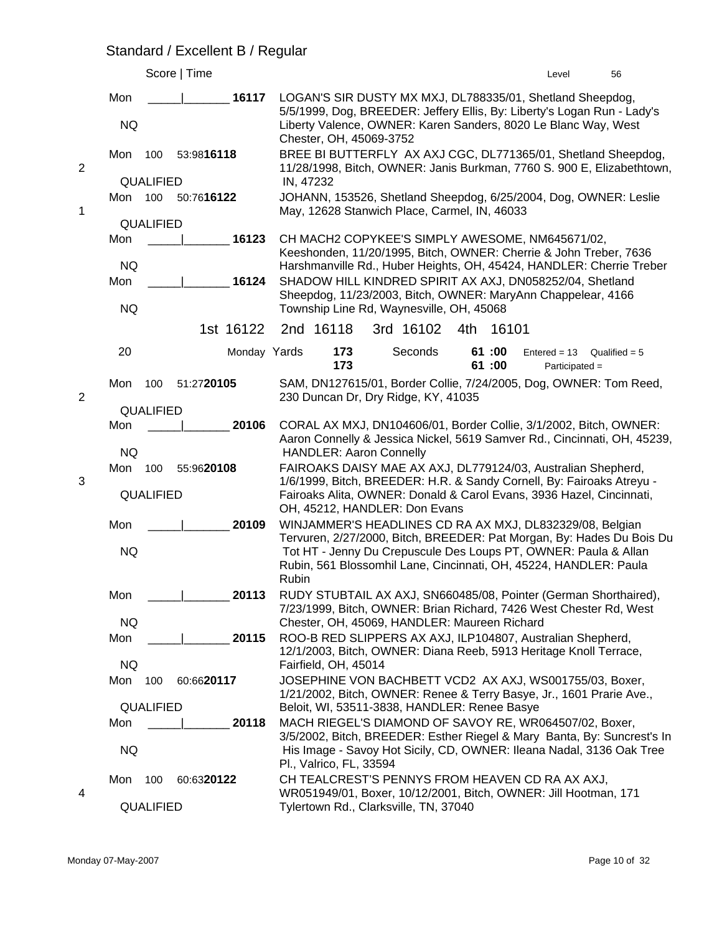|                |                             | Score   Time |                         |                                                                                                                                                                                                               |                | Level                              | 56              |
|----------------|-----------------------------|--------------|-------------------------|---------------------------------------------------------------------------------------------------------------------------------------------------------------------------------------------------------------|----------------|------------------------------------|-----------------|
|                | Mon<br><b>NQ</b>            | 16117        | Chester, OH, 45069-3752 | LOGAN'S SIR DUSTY MX MXJ, DL788335/01, Shetland Sheepdog,<br>5/5/1999, Dog, BREEDER: Jeffery Ellis, By: Liberty's Logan Run - Lady's<br>Liberty Valence, OWNER: Karen Sanders, 8020 Le Blanc Way, West        |                |                                    |                 |
| $\overline{2}$ | Mon<br>100                  | 53:9816118   |                         | BREE BI BUTTERFLY AX AXJ CGC, DL771365/01, Shetland Sheepdog,<br>11/28/1998, Bitch, OWNER: Janis Burkman, 7760 S. 900 E, Elizabethtown,                                                                       |                |                                    |                 |
|                | QUALIFIED                   |              | IN, 47232               |                                                                                                                                                                                                               |                |                                    |                 |
| 1              | Mon 100<br><b>QUALIFIED</b> | 50:7616122   |                         | JOHANN, 153526, Shetland Sheepdog, 6/25/2004, Dog, OWNER: Leslie<br>May, 12628 Stanwich Place, Carmel, IN, 46033                                                                                              |                |                                    |                 |
|                | Mon                         | 16123        |                         | CH MACH2 COPYKEE'S SIMPLY AWESOME, NM645671/02,                                                                                                                                                               |                |                                    |                 |
|                |                             |              |                         | Keeshonden, 11/20/1995, Bitch, OWNER: Cherrie & John Treber, 7636                                                                                                                                             |                |                                    |                 |
|                | <b>NQ</b>                   |              |                         | Harshmanville Rd., Huber Heights, OH, 45424, HANDLER: Cherrie Treber                                                                                                                                          |                |                                    |                 |
|                | Mon                         | 16124        |                         | SHADOW HILL KINDRED SPIRIT AX AXJ, DN058252/04, Shetland                                                                                                                                                      |                |                                    |                 |
|                | <b>NQ</b>                   |              |                         | Sheepdog, 11/23/2003, Bitch, OWNER: MaryAnn Chappelear, 4166<br>Township Line Rd, Waynesville, OH, 45068                                                                                                      |                |                                    |                 |
|                |                             | 1st 16122    | 2nd 16118               | 3rd 16102                                                                                                                                                                                                     | 4th 16101      |                                    |                 |
|                |                             |              |                         |                                                                                                                                                                                                               |                |                                    |                 |
|                | 20                          | Monday Yards | 173<br>173              | Seconds                                                                                                                                                                                                       | 61:00<br>61:00 | $Entered = 13$<br>$Participated =$ | Qualified = $5$ |
| $\overline{2}$ | Mon<br>100<br>QUALIFIED     | 51:2720105   |                         | SAM, DN127615/01, Border Collie, 7/24/2005, Dog, OWNER: Tom Reed,<br>230 Duncan Dr, Dry Ridge, KY, 41035                                                                                                      |                |                                    |                 |
|                | Mon                         | 20106        |                         | CORAL AX MXJ, DN104606/01, Border Collie, 3/1/2002, Bitch, OWNER:                                                                                                                                             |                |                                    |                 |
|                | <b>NQ</b>                   |              |                         | Aaron Connelly & Jessica Nickel, 5619 Samver Rd., Cincinnati, OH, 45239,<br><b>HANDLER: Aaron Connelly</b>                                                                                                    |                |                                    |                 |
|                | Mon<br>100                  | 55:9620108   |                         | FAIROAKS DAISY MAE AX AXJ, DL779124/03, Australian Shepherd,                                                                                                                                                  |                |                                    |                 |
| 3              | <b>QUALIFIED</b>            |              |                         | 1/6/1999, Bitch, BREEDER: H.R. & Sandy Cornell, By: Fairoaks Atreyu -<br>Fairoaks Alita, OWNER: Donald & Carol Evans, 3936 Hazel, Cincinnati,<br>OH, 45212, HANDLER: Don Evans                                |                |                                    |                 |
|                | Mon                         | 20109        |                         | WINJAMMER'S HEADLINES CD RA AX MXJ, DL832329/08, Belgian                                                                                                                                                      |                |                                    |                 |
|                | <b>NQ</b>                   |              |                         | Tervuren, 2/27/2000, Bitch, BREEDER: Pat Morgan, By: Hades Du Bois Du<br>Tot HT - Jenny Du Crepuscule Des Loups PT, OWNER: Paula & Allan<br>Rubin, 561 Blossomhil Lane, Cincinnati, OH, 45224, HANDLER: Paula |                |                                    |                 |
|                |                             |              | Rubin                   |                                                                                                                                                                                                               |                |                                    |                 |
|                | Mon                         | 20113        |                         | RUDY STUBTAIL AX AXJ, SN660485/08, Pointer (German Shorthaired),                                                                                                                                              |                |                                    |                 |
|                | NQ                          |              |                         | 7/23/1999, Bitch, OWNER: Brian Richard, 7426 West Chester Rd, West<br>Chester, OH, 45069, HANDLER: Maureen Richard                                                                                            |                |                                    |                 |
|                | Mon                         | 20115        |                         | ROO-B RED SLIPPERS AX AXJ, ILP104807, Australian Shepherd,                                                                                                                                                    |                |                                    |                 |
|                | NQ                          |              | Fairfield, OH, 45014    | 12/1/2003, Bitch, OWNER: Diana Reeb, 5913 Heritage Knoll Terrace,                                                                                                                                             |                |                                    |                 |
|                | Mon<br>100                  | 60:6620117   |                         | JOSEPHINE VON BACHBETT VCD2 AX AXJ, WS001755/03, Boxer,                                                                                                                                                       |                |                                    |                 |
|                | QUALIFIED                   |              |                         | 1/21/2002, Bitch, OWNER: Renee & Terry Basye, Jr., 1601 Prarie Ave.,<br>Beloit, WI, 53511-3838, HANDLER: Renee Basye                                                                                          |                |                                    |                 |
|                | Mon                         | 20118        |                         | MACH RIEGEL'S DIAMOND OF SAVOY RE, WR064507/02, Boxer,                                                                                                                                                        |                |                                    |                 |
|                |                             |              |                         | 3/5/2002, Bitch, BREEDER: Esther Riegel & Mary Banta, By: Suncrest's In                                                                                                                                       |                |                                    |                 |
|                | <b>NQ</b>                   |              | Pl., Valrico, FL, 33594 | His Image - Savoy Hot Sicily, CD, OWNER: Ileana Nadal, 3136 Oak Tree                                                                                                                                          |                |                                    |                 |
| 4              | Mon<br>100                  | 60:6320122   |                         | CH TEALCREST'S PENNYS FROM HEAVEN CD RA AX AXJ,<br>WR051949/01, Boxer, 10/12/2001, Bitch, OWNER: Jill Hootman, 171                                                                                            |                |                                    |                 |
|                | <b>QUALIFIED</b>            |              |                         | Tylertown Rd., Clarksville, TN, 37040                                                                                                                                                                         |                |                                    |                 |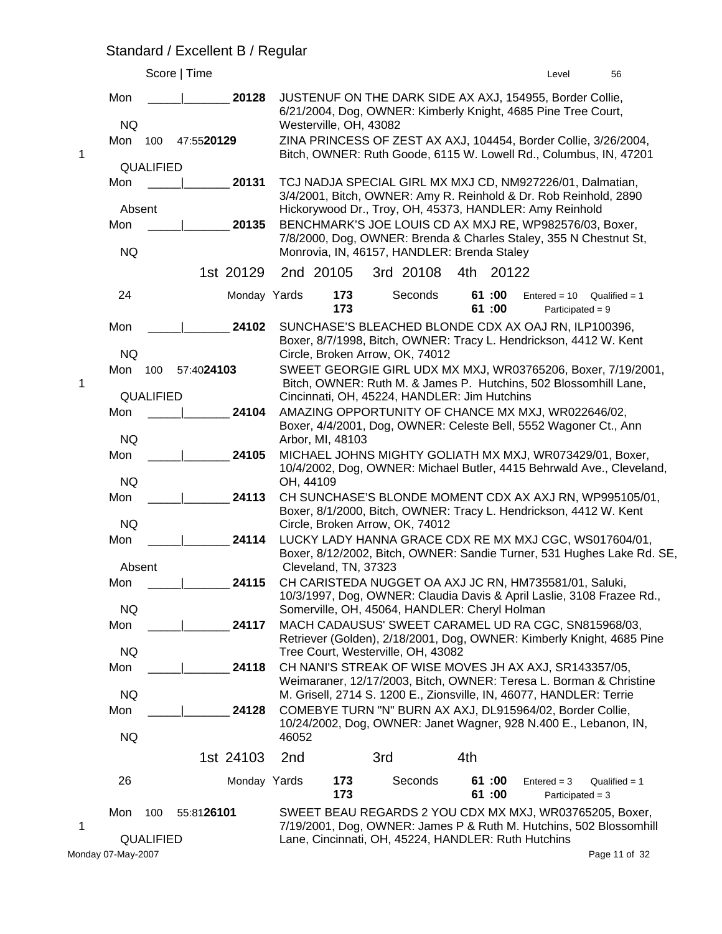|   |                    |           | Score   Time |              |                 |                        |                                                                                                                                  |     |                 | Level         | 56                                                 |  |
|---|--------------------|-----------|--------------|--------------|-----------------|------------------------|----------------------------------------------------------------------------------------------------------------------------------|-----|-----------------|---------------|----------------------------------------------------|--|
|   | Mon<br><b>NQ</b>   |           |              | 20128        |                 | Westerville, OH, 43082 | JUSTENUF ON THE DARK SIDE AX AXJ, 154955, Border Collie,<br>6/21/2004, Dog, OWNER: Kimberly Knight, 4685 Pine Tree Court,        |     |                 |               |                                                    |  |
|   | Mon                | 100       | 47:5520129   |              |                 |                        | ZINA PRINCESS OF ZEST AX AXJ, 104454, Border Collie, 3/26/2004,                                                                  |     |                 |               |                                                    |  |
| 1 |                    |           |              |              |                 |                        | Bitch, OWNER: Ruth Goode, 6115 W. Lowell Rd., Columbus, IN, 47201                                                                |     |                 |               |                                                    |  |
|   | Mon                | QUALIFIED |              | 20131        |                 |                        | TCJ NADJA SPECIAL GIRL MX MXJ CD, NM927226/01, Dalmatian,                                                                        |     |                 |               |                                                    |  |
|   |                    |           |              |              |                 |                        | 3/4/2001, Bitch, OWNER: Amy R. Reinhold & Dr. Rob Reinhold, 2890                                                                 |     |                 |               |                                                    |  |
|   | Absent             |           |              |              |                 |                        | Hickorywood Dr., Troy, OH, 45373, HANDLER: Amy Reinhold                                                                          |     |                 |               |                                                    |  |
|   | Mon                |           |              | 20135        |                 |                        | BENCHMARK'S JOE LOUIS CD AX MXJ RE, WP982576/03, Boxer,                                                                          |     |                 |               |                                                    |  |
|   | <b>NQ</b>          |           |              |              |                 |                        | 7/8/2000, Dog, OWNER: Brenda & Charles Staley, 355 N Chestnut St,<br>Monrovia, IN, 46157, HANDLER: Brenda Staley                 |     |                 |               |                                                    |  |
|   |                    |           |              |              |                 |                        |                                                                                                                                  |     |                 |               |                                                    |  |
|   |                    |           |              | 1st 20129    |                 | 2nd 20105              | 3rd 20108                                                                                                                        | 4th | 20122           |               |                                                    |  |
|   | 24                 |           |              | Monday Yards |                 | 173<br>173             | Seconds                                                                                                                          |     | 61:00<br>61 :00 |               | $Entered = 10$ Qualified = 1<br>Participated = $9$ |  |
|   | Mon                |           |              | 24102        |                 |                        | SUNCHASE'S BLEACHED BLONDE CDX AX OAJ RN, ILP100396,                                                                             |     |                 |               |                                                    |  |
|   | <b>NQ</b>          |           |              |              |                 |                        | Boxer, 8/7/1998, Bitch, OWNER: Tracy L. Hendrickson, 4412 W. Kent<br>Circle, Broken Arrow, OK, 74012                             |     |                 |               |                                                    |  |
|   | Mon 100            |           | 57:4024103   |              |                 |                        | SWEET GEORGIE GIRL UDX MX MXJ, WR03765206, Boxer, 7/19/2001,                                                                     |     |                 |               |                                                    |  |
| 1 |                    |           |              |              |                 |                        | Bitch, OWNER: Ruth M. & James P. Hutchins, 502 Blossomhill Lane,                                                                 |     |                 |               |                                                    |  |
|   |                    | QUALIFIED |              |              |                 |                        | Cincinnati, OH, 45224, HANDLER: Jim Hutchins                                                                                     |     |                 |               |                                                    |  |
|   | Mon                |           |              | 24104        |                 |                        | AMAZING OPPORTUNITY OF CHANCE MX MXJ, WR022646/02,<br>Boxer, 4/4/2001, Dog, OWNER: Celeste Bell, 5552 Wagoner Ct., Ann           |     |                 |               |                                                    |  |
|   | <b>NQ</b>          |           |              |              |                 | Arbor, MI, 48103       |                                                                                                                                  |     |                 |               |                                                    |  |
|   | Mon                |           |              | 24105        |                 |                        | MICHAEL JOHNS MIGHTY GOLIATH MX MXJ, WR073429/01, Boxer,                                                                         |     |                 |               |                                                    |  |
|   |                    |           |              |              |                 |                        | 10/4/2002, Dog, OWNER: Michael Butler, 4415 Behrwald Ave., Cleveland,                                                            |     |                 |               |                                                    |  |
|   | <b>NQ</b>          |           |              |              | OH, 44109       |                        |                                                                                                                                  |     |                 |               |                                                    |  |
|   | Mon                |           |              | 24113        |                 |                        | CH SUNCHASE'S BLONDE MOMENT CDX AX AXJ RN, WP995105/01,<br>Boxer, 8/1/2000, Bitch, OWNER: Tracy L. Hendrickson, 4412 W. Kent     |     |                 |               |                                                    |  |
|   | <b>NQ</b>          |           |              |              |                 |                        | Circle, Broken Arrow, OK, 74012                                                                                                  |     |                 |               |                                                    |  |
|   | Mon                |           |              | 24114        |                 |                        | LUCKY LADY HANNA GRACE CDX RE MX MXJ CGC, WS017604/01,                                                                           |     |                 |               |                                                    |  |
|   | Absent             |           |              |              |                 | Cleveland, TN, 37323   | Boxer, 8/12/2002, Bitch, OWNER: Sandie Turner, 531 Hughes Lake Rd. SE,                                                           |     |                 |               |                                                    |  |
|   | Mon                |           |              | 24115        |                 |                        | CH CARISTEDA NUGGET OA AXJ JC RN, HM735581/01, Saluki,                                                                           |     |                 |               |                                                    |  |
|   |                    |           |              |              |                 |                        | 10/3/1997, Dog, OWNER: Claudia Davis & April Laslie, 3108 Frazee Rd.,                                                            |     |                 |               |                                                    |  |
|   | <b>NQ</b>          |           |              |              |                 |                        | Somerville, OH, 45064, HANDLER: Cheryl Holman                                                                                    |     |                 |               |                                                    |  |
|   | Mon                |           |              | 24117        |                 |                        | MACH CADAUSUS' SWEET CARAMEL UD RA CGC, SN815968/03,<br>Retriever (Golden), 2/18/2001, Dog, OWNER: Kimberly Knight, 4685 Pine    |     |                 |               |                                                    |  |
|   | NQ.                |           |              |              |                 |                        | Tree Court, Westerville, OH, 43082                                                                                               |     |                 |               |                                                    |  |
|   | Mon                |           |              | 24118        |                 |                        | CH NANI'S STREAK OF WISE MOVES JH AX AXJ, SR143357/05,                                                                           |     |                 |               |                                                    |  |
|   |                    |           |              |              |                 |                        | Weimaraner, 12/17/2003, Bitch, OWNER: Teresa L. Borman & Christine                                                               |     |                 |               |                                                    |  |
|   | NQ.<br>Mon         |           |              | 24128        |                 |                        | M. Grisell, 2714 S. 1200 E., Zionsville, IN, 46077, HANDLER: Terrie<br>COMEBYE TURN "N" BURN AX AXJ, DL915964/02, Border Collie, |     |                 |               |                                                    |  |
|   |                    |           |              |              |                 |                        | 10/24/2002, Dog, OWNER: Janet Wagner, 928 N.400 E., Lebanon, IN,                                                                 |     |                 |               |                                                    |  |
|   | NQ.                |           |              |              | 46052           |                        |                                                                                                                                  |     |                 |               |                                                    |  |
|   |                    |           |              | 1st 24103    | 2 <sub>nd</sub> |                        | 3rd                                                                                                                              | 4th |                 |               |                                                    |  |
|   | 26                 |           |              | Monday Yards |                 | 173<br>173             | Seconds                                                                                                                          |     | 61:00<br>61:00  | $Entered = 3$ | Qualified $= 1$<br>Participated = $3$              |  |
|   | Mon                | 100       | 55:8126101   |              |                 |                        | SWEET BEAU REGARDS 2 YOU CDX MX MXJ, WR03765205, Boxer,                                                                          |     |                 |               |                                                    |  |
| 1 |                    |           |              |              |                 |                        | 7/19/2001, Dog, OWNER: James P & Ruth M. Hutchins, 502 Blossomhill                                                               |     |                 |               |                                                    |  |
|   |                    | QUALIFIED |              |              |                 |                        | Lane, Cincinnati, OH, 45224, HANDLER: Ruth Hutchins                                                                              |     |                 |               |                                                    |  |
|   | Monday 07-May-2007 |           |              |              |                 |                        |                                                                                                                                  |     |                 |               | Page 11 of 32                                      |  |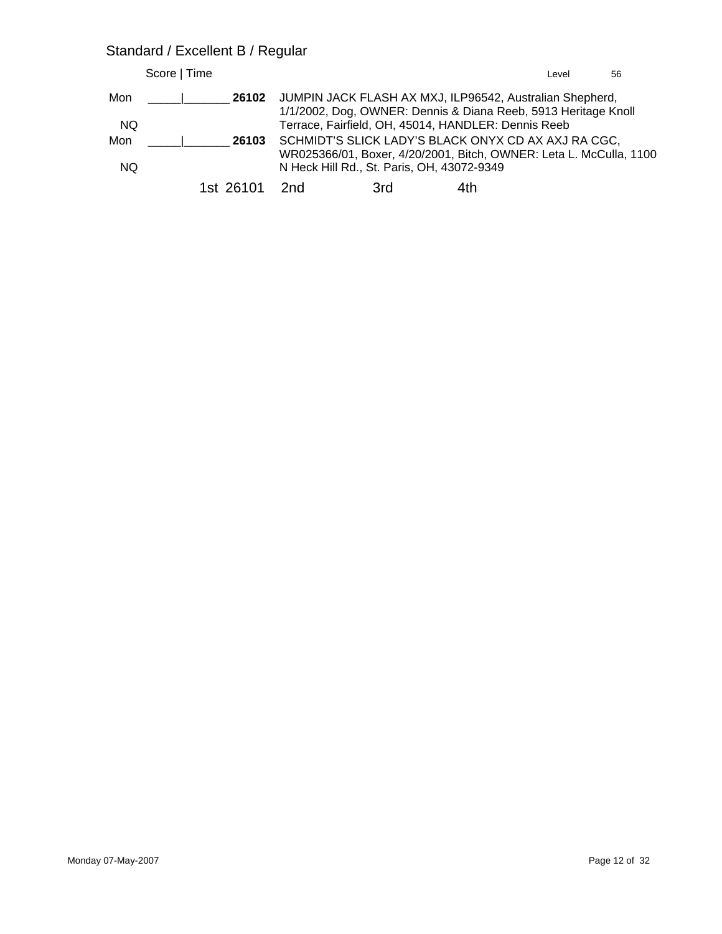| Score   Time |       |                                            |     |                                                                                                                                                                                         | Level | 56 |
|--------------|-------|--------------------------------------------|-----|-----------------------------------------------------------------------------------------------------------------------------------------------------------------------------------------|-------|----|
| Mon<br>NQ.   |       |                                            |     | 26102 JUMPIN JACK FLASH AX MXJ, ILP96542, Australian Shepherd,<br>1/1/2002, Dog, OWNER: Dennis & Diana Reeb, 5913 Heritage Knoll<br>Terrace, Fairfield, OH, 45014, HANDLER: Dennis Reeb |       |    |
| Mon<br>NQ.   | 26103 | N Heck Hill Rd., St. Paris, OH, 43072-9349 |     | SCHMIDT'S SLICK LADY'S BLACK ONYX CD AX AXJ RA CGC,<br>WR025366/01, Boxer, 4/20/2001, Bitch, OWNER: Leta L. McCulla, 1100                                                               |       |    |
| 1st 26101    |       | 2nd                                        | 3rd | 4th                                                                                                                                                                                     |       |    |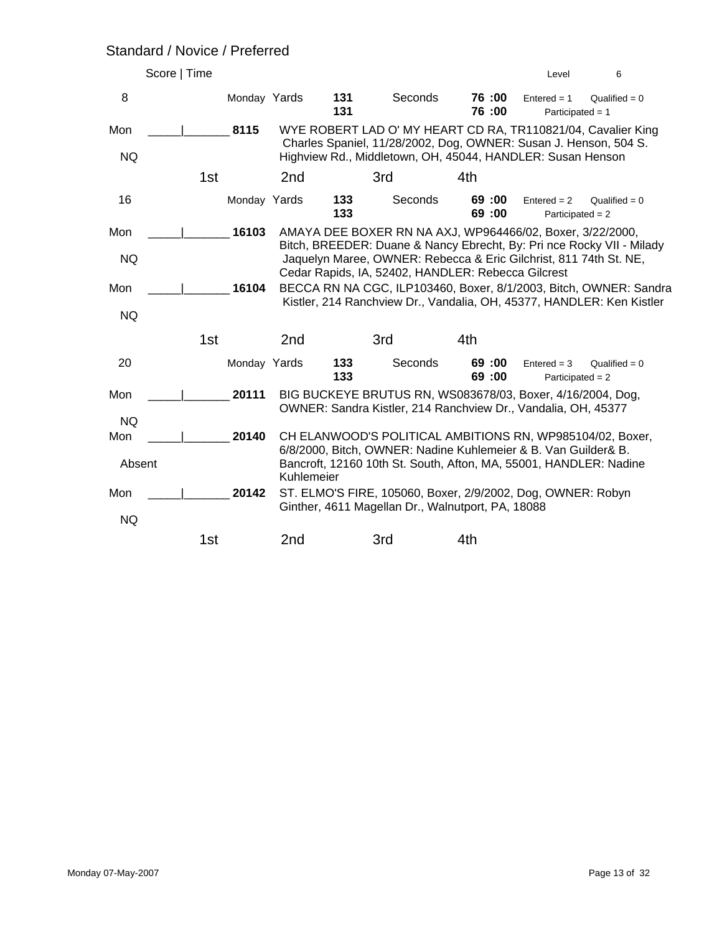#### Standard / Novice / Preferred

| Score   Time     |              |                 |            |                                                                                                                                |                | Level                               | 6                                                                                                                                          |
|------------------|--------------|-----------------|------------|--------------------------------------------------------------------------------------------------------------------------------|----------------|-------------------------------------|--------------------------------------------------------------------------------------------------------------------------------------------|
| 8                | Monday Yards |                 | 131<br>131 | Seconds                                                                                                                        | 76:00<br>76:00 | $Entered = 1$<br>Participated = $1$ | $Qualified = 0$                                                                                                                            |
| Mon<br><b>NQ</b> | 8115         |                 |            | Charles Spaniel, 11/28/2002, Dog, OWNER: Susan J. Henson, 504 S.<br>Highview Rd., Middletown, OH, 45044, HANDLER: Susan Henson |                |                                     | WYE ROBERT LAD O' MY HEART CD RA, TR110821/04, Cavalier King                                                                               |
| 1st              |              | 2 <sub>nd</sub> |            | 3rd                                                                                                                            | 4th            |                                     |                                                                                                                                            |
| 16               | Monday Yards |                 | 133<br>133 | Seconds                                                                                                                        | 69:00<br>69:00 | $Entered = 2$<br>Participated = $2$ | Qualified = $0$                                                                                                                            |
| Mon              | 16103        |                 |            | AMAYA DEE BOXER RN NA AXJ, WP964466/02, Boxer, 3/22/2000,                                                                      |                |                                     |                                                                                                                                            |
| <b>NQ</b>        |              |                 |            | Jaquelyn Maree, OWNER: Rebecca & Eric Gilchrist, 811 74th St. NE,<br>Cedar Rapids, IA, 52402, HANDLER: Rebecca Gilcrest        |                |                                     | Bitch, BREEDER: Duane & Nancy Ebrecht, By: Pri nce Rocky VII - Milady                                                                      |
| Mon              | 16104        |                 |            |                                                                                                                                |                |                                     | BECCA RN NA CGC, ILP103460, Boxer, 8/1/2003, Bitch, OWNER: Sandra<br>Kistler, 214 Ranchview Dr., Vandalia, OH, 45377, HANDLER: Ken Kistler |
| <b>NQ</b>        |              |                 |            |                                                                                                                                |                |                                     |                                                                                                                                            |
| 1st              |              | 2nd             |            | 3rd                                                                                                                            | 4th            |                                     |                                                                                                                                            |
| 20               | Monday Yards |                 | 133<br>133 | Seconds                                                                                                                        | 69:00<br>69:00 | $Entered = 3$<br>Participated = $2$ | Qualified = $0$                                                                                                                            |
| Mon              | 20111        |                 |            | BIG BUCKEYE BRUTUS RN, WS083678/03, Boxer, 4/16/2004, Dog,                                                                     |                |                                     |                                                                                                                                            |
| <b>NQ</b>        |              |                 |            | OWNER: Sandra Kistler, 214 Ranchview Dr., Vandalia, OH, 45377                                                                  |                |                                     |                                                                                                                                            |
| Mon              | 20140        |                 |            | CH ELANWOOD'S POLITICAL AMBITIONS RN, WP985104/02, Boxer,<br>6/8/2000, Bitch, OWNER: Nadine Kuhlemeier & B. Van Guilder& B.    |                |                                     |                                                                                                                                            |
| Absent           |              | Kuhlemeier      |            | Bancroft, 12160 10th St. South, Afton, MA, 55001, HANDLER: Nadine                                                              |                |                                     |                                                                                                                                            |
| Mon              | 20142        |                 |            | ST. ELMO'S FIRE, 105060, Boxer, 2/9/2002, Dog, OWNER: Robyn                                                                    |                |                                     |                                                                                                                                            |
| <b>NQ</b>        |              |                 |            | Ginther, 4611 Magellan Dr., Walnutport, PA, 18088                                                                              |                |                                     |                                                                                                                                            |
| 1st              |              | 2nd             |            | 3rd                                                                                                                            | 4th            |                                     |                                                                                                                                            |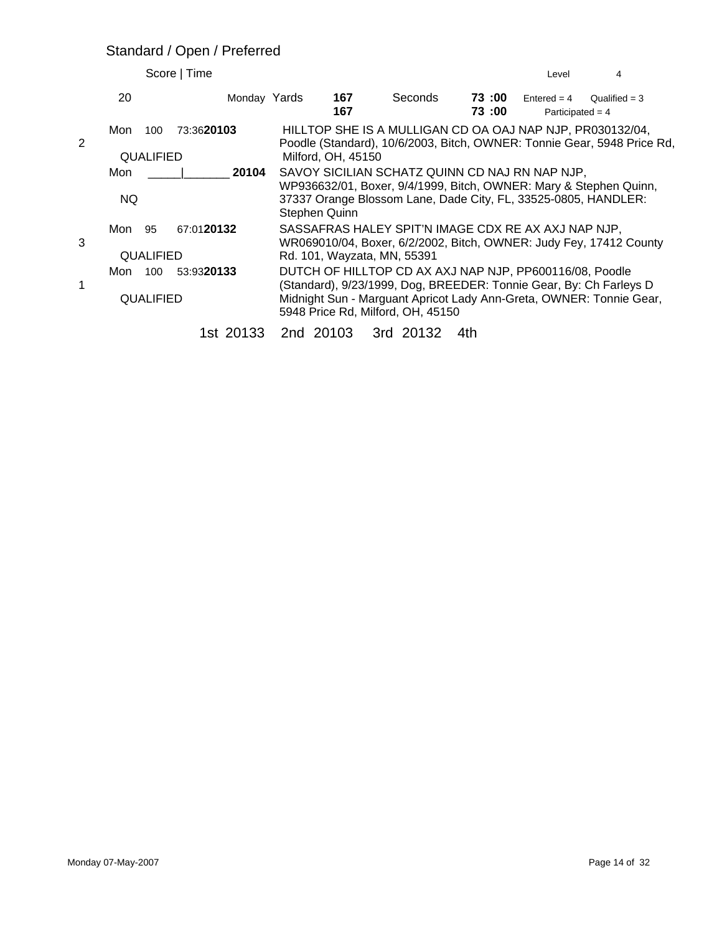## Standard / Open / Preferred

|   |        |                         | Score   Time |                             |            |                                                                |                | Level                               | 4                                                                                                                                         |
|---|--------|-------------------------|--------------|-----------------------------|------------|----------------------------------------------------------------|----------------|-------------------------------------|-------------------------------------------------------------------------------------------------------------------------------------------|
|   | 20     |                         | Monday Yards |                             | 167<br>167 | Seconds                                                        | 73:00<br>73:00 | $Entered = 4$<br>Participated = $4$ | Qualified = $3$                                                                                                                           |
| 2 | Mon    | 100<br>QUALIFIED        | 73:3620103   | Milford, OH, 45150          |            |                                                                |                |                                     | HILLTOP SHE IS A MULLIGAN CD OA OAJ NAP NJP, PR030132/04,<br>Poodle (Standard), 10/6/2003, Bitch, OWNER: Tonnie Gear, 5948 Price Rd,      |
|   | Mon    |                         | 20104        |                             |            | SAVOY SICILIAN SCHATZ QUINN CD NAJ RN NAP NJP,                 |                |                                     |                                                                                                                                           |
|   | NQ.    |                         |              | Stephen Quinn               |            | 37337 Orange Blossom Lane, Dade City, FL, 33525-0805, HANDLER: |                |                                     | WP936632/01, Boxer, 9/4/1999, Bitch, OWNER: Mary & Stephen Quinn,                                                                         |
| 3 | Mon 95 |                         | 67:0120132   |                             |            | SASSAFRAS HALEY SPIT'N IMAGE CDX RE AX AXJ NAP NJP,            |                |                                     | WR069010/04, Boxer, 6/2/2002, Bitch, OWNER: Judy Fey, 17412 County                                                                        |
|   | Mon    | <b>QUALIFIED</b><br>100 | 53:9320133   | Rd. 101, Wayzata, MN, 55391 |            | DUTCH OF HILLTOP CD AX AXJ NAP NJP, PP600116/08, Poodle        |                |                                     |                                                                                                                                           |
|   |        | <b>QUALIFIED</b>        |              |                             |            | 5948 Price Rd, Milford, OH, 45150                              |                |                                     | (Standard), 9/23/1999, Dog, BREEDER: Tonnie Gear, By: Ch Farleys D<br>Midnight Sun - Marguant Apricot Lady Ann-Greta, OWNER: Tonnie Gear, |
|   |        |                         | 1st 20133    | 2nd 20103                   |            | 3rd 20132                                                      | 4th            |                                     |                                                                                                                                           |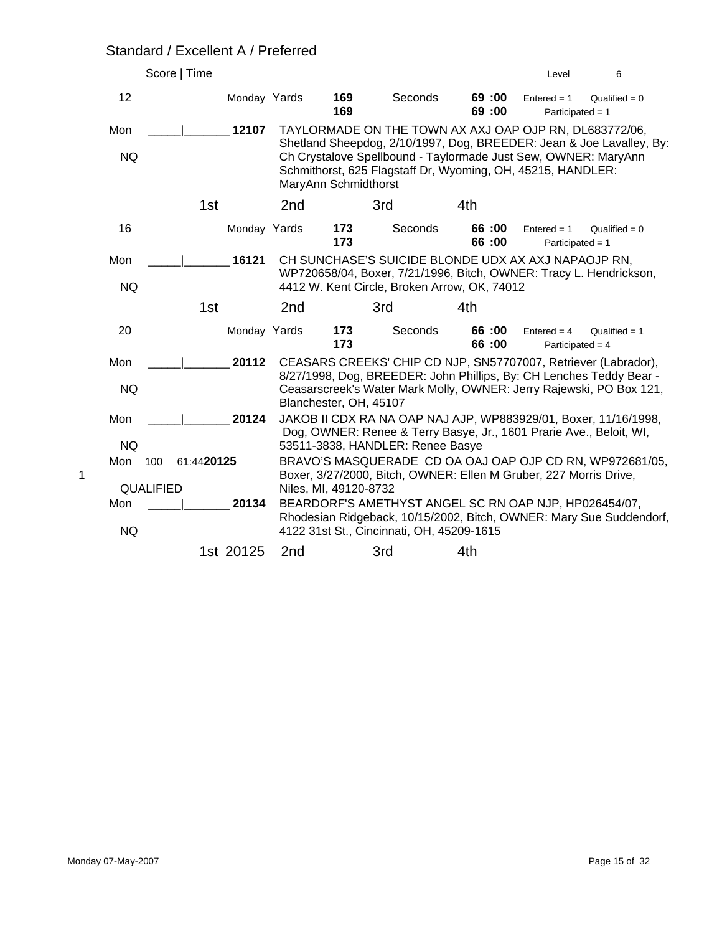#### Standard / Excellent A / Preferred

|                  | Score   Time                   |              |                 |                        |                                                                                                                                                                                         |                | Level                               | 6                                                                                                                                                                                                            |
|------------------|--------------------------------|--------------|-----------------|------------------------|-----------------------------------------------------------------------------------------------------------------------------------------------------------------------------------------|----------------|-------------------------------------|--------------------------------------------------------------------------------------------------------------------------------------------------------------------------------------------------------------|
| 12               |                                | Monday Yards |                 | 169<br>169             | Seconds                                                                                                                                                                                 | 69:00<br>69:00 | $Entered = 1$<br>Participated = $1$ | Qualified = $0$                                                                                                                                                                                              |
| Mon<br><b>NQ</b> |                                | 12107        |                 | MaryAnn Schmidthorst   | TAYLORMADE ON THE TOWN AX AXJ OAP OJP RN, DL683772/06,<br>Ch Crystalove Spellbound - Taylormade Just Sew, OWNER: MaryAnn<br>Schmithorst, 625 Flagstaff Dr, Wyoming, OH, 45215, HANDLER: |                |                                     | Shetland Sheepdog, 2/10/1997, Dog, BREEDER: Jean & Joe Lavalley, By:                                                                                                                                         |
|                  | 1st                            |              | 2 <sub>nd</sub> |                        | 3rd                                                                                                                                                                                     | 4th            |                                     |                                                                                                                                                                                                              |
| 16               |                                | Monday Yards |                 | 173<br>173             | Seconds                                                                                                                                                                                 | 66:00<br>66:00 | $Entered = 1$<br>Participated = $1$ | Qualified = $0$                                                                                                                                                                                              |
| Mon<br><b>NQ</b> |                                | 16121        |                 |                        | CH SUNCHASE'S SUICIDE BLONDE UDX AX AXJ NAPAOJP RN,<br>4412 W. Kent Circle, Broken Arrow, OK, 74012                                                                                     |                |                                     | WP720658/04, Boxer, 7/21/1996, Bitch, OWNER: Tracy L. Hendrickson,                                                                                                                                           |
|                  | 1st                            |              | 2 <sub>nd</sub> |                        | 3rd                                                                                                                                                                                     | 4th            |                                     |                                                                                                                                                                                                              |
| 20               |                                | Monday Yards |                 | 173<br>173             | Seconds                                                                                                                                                                                 | 66:00<br>66:00 | $Entered = 4$<br>Participated = $4$ | Qualified $= 1$                                                                                                                                                                                              |
| Mon<br><b>NQ</b> |                                | 20112        |                 | Blanchester, OH, 45107 |                                                                                                                                                                                         |                |                                     | CEASARS CREEKS' CHIP CD NJP, SN57707007, Retriever (Labrador),<br>8/27/1998, Dog, BREEDER: John Phillips, By: CH Lenches Teddy Bear -<br>Ceasarscreek's Water Mark Molly, OWNER: Jerry Rajewski, PO Box 121, |
| Mon<br><b>NQ</b> |                                | 20124        |                 |                        | Dog, OWNER: Renee & Terry Basye, Jr., 1601 Prarie Ave., Beloit, WI,<br>53511-3838, HANDLER: Renee Basye                                                                                 |                |                                     | JAKOB II CDX RA NA OAP NAJ AJP, WP883929/01, Boxer, 11/16/1998,                                                                                                                                              |
| Mon<br>1         | 100<br>61:4420125<br>QUALIFIED |              |                 | Niles, MI, 49120-8732  | Boxer, 3/27/2000, Bitch, OWNER: Ellen M Gruber, 227 Morris Drive,                                                                                                                       |                |                                     | BRAVO'S MASQUERADE CD OA OAJ OAP OJP CD RN, WP972681/05,                                                                                                                                                     |
| Mon<br><b>NQ</b> |                                | 20134        |                 |                        | BEARDORF'S AMETHYST ANGEL SC RN OAP NJP, HP026454/07,<br>4122 31st St., Cincinnati, OH, 45209-1615                                                                                      |                |                                     | Rhodesian Ridgeback, 10/15/2002, Bitch, OWNER: Mary Sue Suddendorf,                                                                                                                                          |
|                  |                                | 1st 20125    | 2nd             |                        | 3rd                                                                                                                                                                                     | 4th            |                                     |                                                                                                                                                                                                              |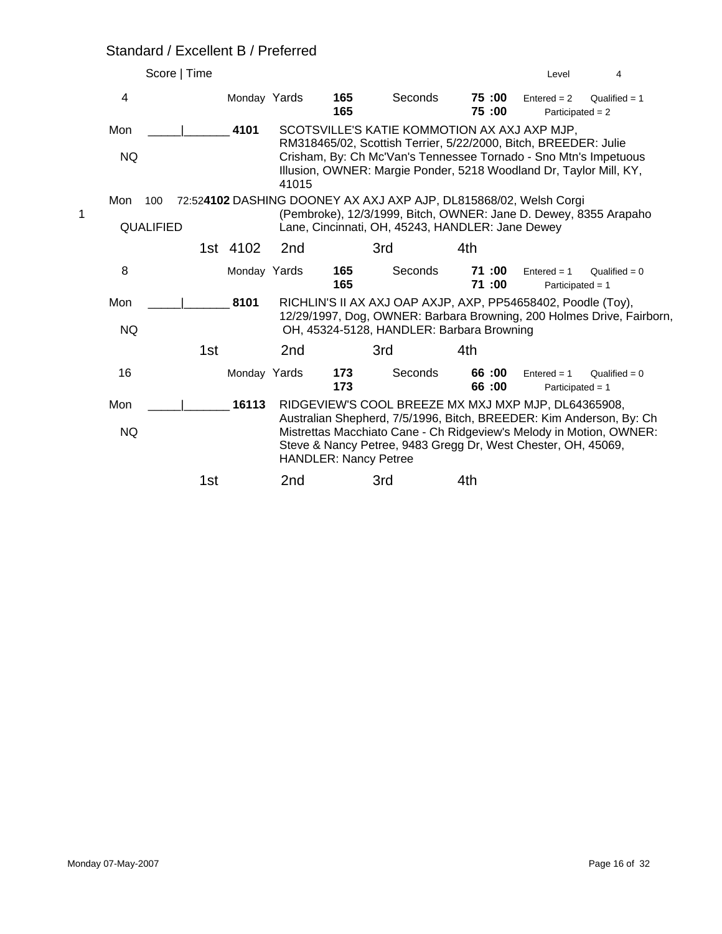#### Standard / Excellent B / Preferred

| Score   Time                        |                 |                                                                                                                                                                                                                                                                                                    | Level                            | 4                                     |
|-------------------------------------|-----------------|----------------------------------------------------------------------------------------------------------------------------------------------------------------------------------------------------------------------------------------------------------------------------------------------------|----------------------------------|---------------------------------------|
| 4                                   | Monday Yards    | 165<br>Seconds<br>165                                                                                                                                                                                                                                                                              | 75:00<br>$Entered = 2$<br>75 :00 | Qualified $= 1$<br>Participated $= 2$ |
| Mon<br><b>NQ</b>                    | 4101<br>41015   | SCOTSVILLE'S KATIE KOMMOTION AX AXJ AXP MJP,<br>RM318465/02, Scottish Terrier, 5/22/2000, Bitch, BREEDER: Julie<br>Crisham, By: Ch Mc'Van's Tennessee Tornado - Sno Mtn's Impetuous<br>Illusion, OWNER: Margie Ponder, 5218 Woodland Dr, Taylor Mill, KY,                                          |                                  |                                       |
| Mon<br>100<br>1<br><b>QUALIFIED</b> |                 | 72:524102 DASHING DOONEY AX AXJ AXP AJP, DL815868/02, Welsh Corgi<br>(Pembroke), 12/3/1999, Bitch, OWNER: Jane D. Dewey, 8355 Arapaho<br>Lane, Cincinnati, OH, 45243, HANDLER: Jane Dewey                                                                                                          |                                  |                                       |
|                                     | 1st 4102<br>2nd | 3rd                                                                                                                                                                                                                                                                                                | 4th                              |                                       |
| 8                                   | Monday Yards    | 165<br>Seconds<br>165                                                                                                                                                                                                                                                                              | 71:00<br>$Entered = 1$<br>71:00  | Qualified = $0$<br>Participated = $1$ |
| Mon<br><b>NQ</b>                    | 8101            | RICHLIN'S II AX AXJ OAP AXJP, AXP, PP54658402, Poodle (Toy),<br>12/29/1997, Dog, OWNER: Barbara Browning, 200 Holmes Drive, Fairborn,<br>OH, 45324-5128, HANDLER: Barbara Browning                                                                                                                 |                                  |                                       |
| 1st                                 | 2 <sub>nd</sub> | 3rd                                                                                                                                                                                                                                                                                                | 4th                              |                                       |
| 16                                  | Monday Yards    | 173<br>Seconds<br>173                                                                                                                                                                                                                                                                              | 66:00<br>$Entered = 1$<br>66:00  | Qualified = $0$<br>Participated = $1$ |
| Mon<br><b>NQ</b>                    | 16113           | RIDGEVIEW'S COOL BREEZE MX MXJ MXP MJP, DL64365908,<br>Australian Shepherd, 7/5/1996, Bitch, BREEDER: Kim Anderson, By: Ch<br>Mistrettas Macchiato Cane - Ch Ridgeview's Melody in Motion, OWNER:<br>Steve & Nancy Petree, 9483 Gregg Dr, West Chester, OH, 45069,<br><b>HANDLER: Nancy Petree</b> |                                  |                                       |
| 1st                                 | 2nd             | 3rd                                                                                                                                                                                                                                                                                                | 4th                              |                                       |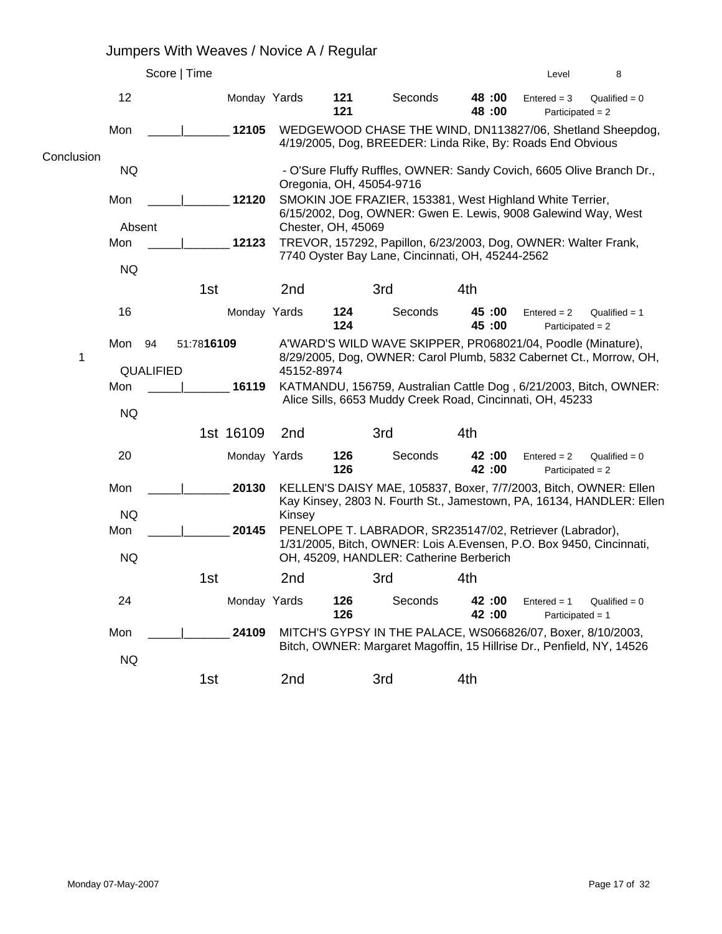## Jumpers With Weaves / Novice A / Regular

|            |                  |                  | Score   Time |              |                    |            |                                                                                                                                          |                 | Level                               | 8               |
|------------|------------------|------------------|--------------|--------------|--------------------|------------|------------------------------------------------------------------------------------------------------------------------------------------|-----------------|-------------------------------------|-----------------|
|            | 12               |                  |              | Monday Yards |                    | 121<br>121 | Seconds                                                                                                                                  | 48:00<br>48 :00 | $Entered = 3$<br>Participated = $2$ | $Qualified = 0$ |
|            | Mon              |                  |              | 12105        |                    |            | WEDGEWOOD CHASE THE WIND, DN113827/06, Shetland Sheepdog,<br>4/19/2005, Dog, BREEDER: Linda Rike, By: Roads End Obvious                  |                 |                                     |                 |
| Conclusion | <b>NQ</b>        |                  |              |              |                    |            | - O'Sure Fluffy Ruffles, OWNER: Sandy Covich, 6605 Olive Branch Dr.,<br>Oregonia, OH, 45054-9716                                         |                 |                                     |                 |
|            | Mon<br>Absent    |                  |              | 12120        | Chester, OH, 45069 |            | SMOKIN JOE FRAZIER, 153381, West Highland White Terrier,<br>6/15/2002, Dog, OWNER: Gwen E. Lewis, 9008 Galewind Way, West                |                 |                                     |                 |
|            | Mon              |                  |              | 12123        |                    |            | TREVOR, 157292, Papillon, 6/23/2003, Dog, OWNER: Walter Frank,<br>7740 Oyster Bay Lane, Cincinnati, OH, 45244-2562                       |                 |                                     |                 |
|            | <b>NQ</b>        |                  | 1st          |              | 2 <sub>nd</sub>    |            | 3rd                                                                                                                                      | 4th             |                                     |                 |
|            | 16               |                  |              | Monday Yards |                    | 124<br>124 | Seconds                                                                                                                                  | 45:00<br>45:00  | $Entered = 2$<br>Participated = $2$ | Qualified $= 1$ |
| 1          | Mon              | 94               | 51:7816109   |              |                    |            | A'WARD'S WILD WAVE SKIPPER, PR068021/04, Poodle (Minature),<br>8/29/2005, Dog, OWNER: Carol Plumb, 5832 Cabernet Ct., Morrow, OH,        |                 |                                     |                 |
|            | Mon              | <b>QUALIFIED</b> |              | 16119        | 45152-8974         |            | KATMANDU, 156759, Australian Cattle Dog, 6/21/2003, Bitch, OWNER:<br>Alice Sills, 6653 Muddy Creek Road, Cincinnati, OH, 45233           |                 |                                     |                 |
|            | <b>NQ</b>        |                  |              | 1st 16109    |                    |            | 3rd                                                                                                                                      | 4th             |                                     |                 |
|            | 20               |                  |              | Monday Yards | 2 <sub>nd</sub>    | 126<br>126 | Seconds                                                                                                                                  | 42:00<br>42:00  | $Entered = 2$<br>Participated = $2$ | Qualified = $0$ |
|            | Mon              |                  |              | 20130        |                    |            | KELLEN'S DAISY MAE, 105837, Boxer, 7/7/2003, Bitch, OWNER: Ellen<br>Kay Kinsey, 2803 N. Fourth St., Jamestown, PA, 16134, HANDLER: Ellen |                 |                                     |                 |
|            | <b>NQ</b><br>Mon |                  |              | 20145        | Kinsey             |            | PENELOPE T. LABRADOR, SR235147/02, Retriever (Labrador),<br>1/31/2005, Bitch, OWNER: Lois A. Evensen, P.O. Box 9450, Cincinnati,         |                 |                                     |                 |
|            | <b>NQ</b>        |                  | 1st          |              | 2 <sub>nd</sub>    |            | OH, 45209, HANDLER: Catherine Berberich<br>3rd                                                                                           | 4th             |                                     |                 |
|            | 24               |                  |              | Monday Yards |                    | 126<br>126 | Seconds                                                                                                                                  | 42:00<br>42 :00 | $Entered = 1$<br>Participated = $1$ | Qualified $= 0$ |
|            | Mon              |                  |              | 24109        |                    |            | MITCH'S GYPSY IN THE PALACE, WS066826/07, Boxer, 8/10/2003,<br>Bitch, OWNER: Margaret Magoffin, 15 Hillrise Dr., Penfield, NY, 14526     |                 |                                     |                 |
|            | <b>NQ</b>        |                  | 1st          |              | 2nd                |            | 3rd                                                                                                                                      | 4th             |                                     |                 |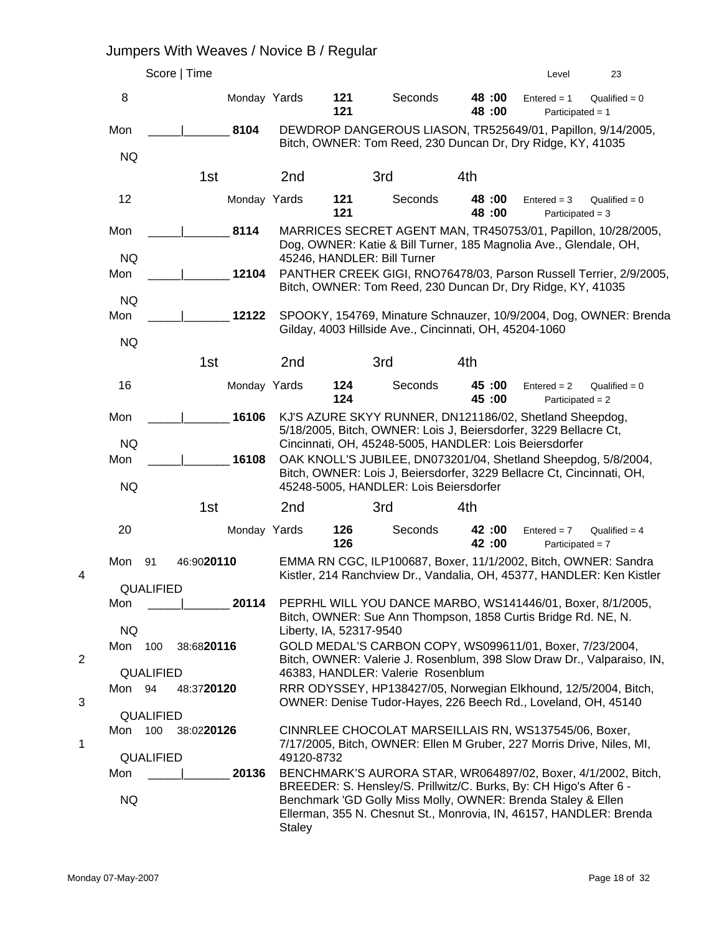## Jumpers With Weaves / Novice B / Regular

|                |                     | Score   Time |                 |                         |                                                                                                                                         |                 | Level                               | 23                                                                     |
|----------------|---------------------|--------------|-----------------|-------------------------|-----------------------------------------------------------------------------------------------------------------------------------------|-----------------|-------------------------------------|------------------------------------------------------------------------|
|                | 8                   | Monday Yards |                 | 121<br>121              | Seconds                                                                                                                                 | 48 :00<br>48:00 | $Entered = 1$<br>Participated = $1$ | $Qualified = 0$                                                        |
|                | Mon                 | 8104         |                 |                         | DEWDROP DANGEROUS LIASON, TR525649/01, Papillon, 9/14/2005,<br>Bitch, OWNER: Tom Reed, 230 Duncan Dr, Dry Ridge, KY, 41035              |                 |                                     |                                                                        |
|                | <b>NQ</b>           |              |                 |                         |                                                                                                                                         |                 |                                     |                                                                        |
|                |                     | 1st          | 2nd             |                         | 3rd                                                                                                                                     | 4th             |                                     |                                                                        |
|                | 12                  | Monday Yards |                 | 121<br>121              | Seconds                                                                                                                                 | 48:00<br>48 :00 | $Entered = 3$<br>Participated = $3$ | $Qualified = 0$                                                        |
|                | Mon                 | 8114         |                 |                         | Dog, OWNER: Katie & Bill Turner, 185 Magnolia Ave., Glendale, OH,                                                                       |                 |                                     | MARRICES SECRET AGENT MAN, TR450753/01, Papillon, 10/28/2005,          |
|                | <b>NQ</b><br>Mon    | 12104        |                 |                         | 45246, HANDLER: Bill Turner                                                                                                             |                 |                                     | PANTHER CREEK GIGI, RNO76478/03, Parson Russell Terrier, 2/9/2005,     |
|                |                     |              |                 |                         | Bitch, OWNER: Tom Reed, 230 Duncan Dr, Dry Ridge, KY, 41035                                                                             |                 |                                     |                                                                        |
|                | <b>NQ</b><br>Mon    | 12122        |                 |                         |                                                                                                                                         |                 |                                     | SPOOKY, 154769, Minature Schnauzer, 10/9/2004, Dog, OWNER: Brenda      |
|                | <b>NQ</b>           |              |                 |                         | Gilday, 4003 Hillside Ave., Cincinnati, OH, 45204-1060                                                                                  |                 |                                     |                                                                        |
|                |                     | 1st          | 2 <sub>nd</sub> |                         | 3rd                                                                                                                                     | 4th             |                                     |                                                                        |
|                | 16                  | Monday Yards |                 | 124<br>124              | Seconds                                                                                                                                 | 45:00<br>45 :00 | $Entered = 2$<br>Participated = $2$ | Qualified = $0$                                                        |
|                | Mon                 | 16106        |                 |                         | KJ'S AZURE SKYY RUNNER, DN121186/02, Shetland Sheepdog,<br>5/18/2005, Bitch, OWNER: Lois J, Beiersdorfer, 3229 Bellacre Ct,             |                 |                                     |                                                                        |
|                | <b>NQ</b>           |              |                 |                         | Cincinnati, OH, 45248-5005, HANDLER: Lois Beiersdorfer                                                                                  |                 |                                     |                                                                        |
|                | Mon                 | 16108        |                 |                         | OAK KNOLL'S JUBILEE, DN073201/04, Shetland Sheepdog, 5/8/2004,<br>Bitch, OWNER: Lois J, Beiersdorfer, 3229 Bellacre Ct, Cincinnati, OH, |                 |                                     |                                                                        |
|                | <b>NQ</b>           | 1st          | 2 <sub>nd</sub> |                         | 45248-5005, HANDLER: Lois Beiersdorfer<br>3rd                                                                                           | 4th             |                                     |                                                                        |
|                | 20                  | Monday Yards |                 | 126<br>126              | Seconds                                                                                                                                 | 42:00<br>42:00  | $Entered = 7$<br>Participated $= 7$ | Qualified $= 4$                                                        |
| 4              | Mon<br>91           | 46:9020110   |                 |                         | EMMA RN CGC, ILP100687, Boxer, 11/1/2002, Bitch, OWNER: Sandra                                                                          |                 |                                     | Kistler, 214 Ranchview Dr., Vandalia, OH, 45377, HANDLER: Ken Kistler  |
|                | <b>QUALIFIED</b>    | 20114        |                 |                         | PEPRHL WILL YOU DANCE MARBO, WS141446/01, Boxer, 8/1/2005,                                                                              |                 |                                     |                                                                        |
|                | Mon<br><b>NQ</b>    |              |                 | Liberty, IA, 52317-9540 | Bitch, OWNER: Sue Ann Thompson, 1858 Curtis Bridge Rd. NE, N.                                                                           |                 |                                     |                                                                        |
| $\overline{2}$ | Mon 100             | 38:6820116   |                 |                         | GOLD MEDAL'S CARBON COPY, WS099611/01, Boxer, 7/23/2004,                                                                                |                 |                                     | Bitch, OWNER: Valerie J. Rosenblum, 398 Slow Draw Dr., Valparaiso, IN, |
|                | QUALIFIED           |              |                 |                         | 46383, HANDLER: Valerie Rosenblum                                                                                                       |                 |                                     |                                                                        |
| 3              | Mon 94<br>QUALIFIED | 48:3720120   |                 |                         | RRR ODYSSEY, HP138427/05, Norwegian Elkhound, 12/5/2004, Bitch,<br>OWNER: Denise Tudor-Hayes, 226 Beech Rd., Loveland, OH, 45140        |                 |                                     |                                                                        |
|                | Mon 100             | 38:0220126   |                 |                         | CINNRLEE CHOCOLAT MARSEILLAIS RN, WS137545/06, Boxer,                                                                                   |                 |                                     |                                                                        |
| 1              | QUALIFIED           |              | 49120-8732      |                         | 7/17/2005, Bitch, OWNER: Ellen M Gruber, 227 Morris Drive, Niles, MI,                                                                   |                 |                                     |                                                                        |
|                | Mon                 | 20136        |                 |                         | BREEDER: S. Hensley/S. Prillwitz/C. Burks, By: CH Higo's After 6 -                                                                      |                 |                                     | BENCHMARK'S AURORA STAR, WR064897/02, Boxer, 4/1/2002, Bitch,          |
|                | NQ                  |              | <b>Staley</b>   |                         | Benchmark 'GD Golly Miss Molly, OWNER: Brenda Staley & Ellen<br>Ellerman, 355 N. Chesnut St., Monrovia, IN, 46157, HANDLER: Brenda      |                 |                                     |                                                                        |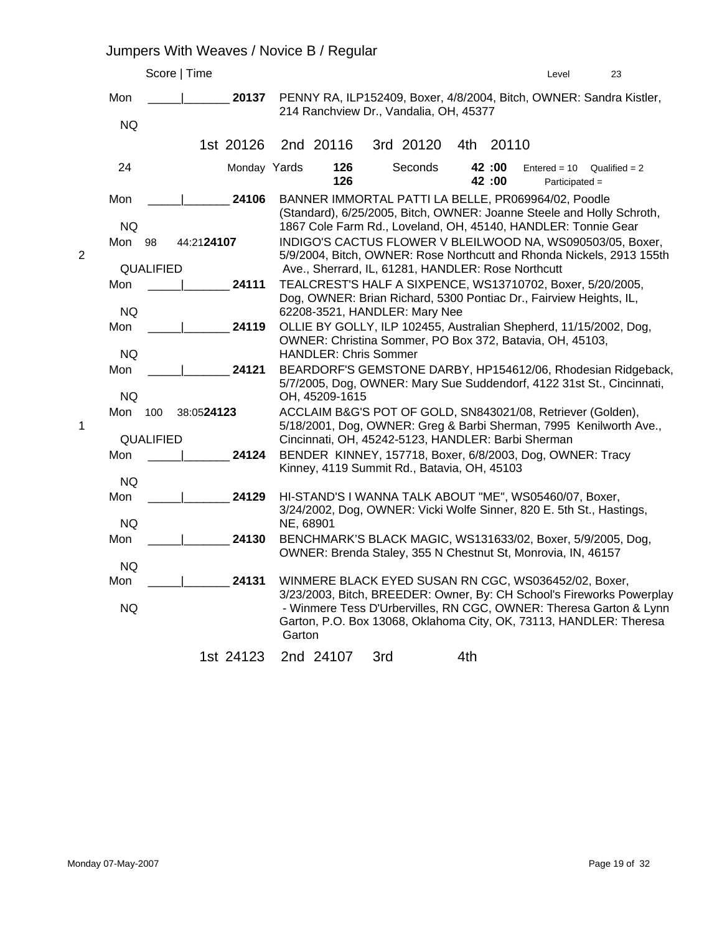#### Jumpers With Weaves / Novice B / Regular

|   |                      | Score   Time |            |              |           |                              |                                                                                                                                          |     |                | Level                                            | 23 |
|---|----------------------|--------------|------------|--------------|-----------|------------------------------|------------------------------------------------------------------------------------------------------------------------------------------|-----|----------------|--------------------------------------------------|----|
|   | Mon                  |              |            | 20137        |           |                              | PENNY RA, ILP152409, Boxer, 4/8/2004, Bitch, OWNER: Sandra Kistler,                                                                      |     |                |                                                  |    |
|   | <b>NQ</b>            |              |            |              |           |                              | 214 Ranchview Dr., Vandalia, OH, 45377                                                                                                   |     |                |                                                  |    |
|   |                      |              |            |              |           |                              |                                                                                                                                          |     |                |                                                  |    |
|   |                      |              |            | 1st 20126    |           | 2nd 20116                    | 3rd 20120                                                                                                                                | 4th | 20110          |                                                  |    |
|   | 24                   |              |            | Monday Yards |           | 126<br>126                   | Seconds                                                                                                                                  |     | 42:00<br>42:00 | $Entered = 10$ Qualified = 2<br>$Participated =$ |    |
|   | Mon                  |              |            | 24106        |           |                              | BANNER IMMORTAL PATTI LA BELLE, PR069964/02, Poodle                                                                                      |     |                |                                                  |    |
|   |                      |              |            |              |           |                              | (Standard), 6/25/2005, Bitch, OWNER: Joanne Steele and Holly Schroth,                                                                    |     |                |                                                  |    |
|   | <b>NQ</b><br>Mon 98  |              | 44:2124107 |              |           |                              | 1867 Cole Farm Rd., Loveland, OH, 45140, HANDLER: Tonnie Gear<br>INDIGO'S CACTUS FLOWER V BLEILWOOD NA, WS090503/05, Boxer,              |     |                |                                                  |    |
|   |                      |              |            |              |           |                              | 5/9/2004, Bitch, OWNER: Rose Northcutt and Rhonda Nickels, 2913 155th                                                                    |     |                |                                                  |    |
|   | <b>QUALIFIED</b>     |              |            |              |           |                              | Ave., Sherrard, IL, 61281, HANDLER: Rose Northcutt                                                                                       |     |                |                                                  |    |
|   | Mon                  |              |            | 24111        |           |                              | TEALCREST'S HALF A SIXPENCE, WS13710702, Boxer, 5/20/2005,                                                                               |     |                |                                                  |    |
|   | <b>NQ</b>            |              |            |              |           |                              | Dog, OWNER: Brian Richard, 5300 Pontiac Dr., Fairview Heights, IL,                                                                       |     |                |                                                  |    |
|   | Mon                  |              |            | 24119        |           |                              | 62208-3521, HANDLER: Mary Nee<br>OLLIE BY GOLLY, ILP 102455, Australian Shepherd, 11/15/2002, Dog,                                       |     |                |                                                  |    |
|   |                      |              |            |              |           |                              | OWNER: Christina Sommer, PO Box 372, Batavia, OH, 45103,                                                                                 |     |                |                                                  |    |
|   | <b>NQ</b>            |              |            |              |           | <b>HANDLER: Chris Sommer</b> |                                                                                                                                          |     |                |                                                  |    |
|   | Mon                  |              |            | 24121        |           |                              | BEARDORF'S GEMSTONE DARBY, HP154612/06, Rhodesian Ridgeback,                                                                             |     |                |                                                  |    |
|   |                      |              |            |              |           |                              | 5/7/2005, Dog, OWNER: Mary Sue Suddendorf, 4122 31st St., Cincinnati,                                                                    |     |                |                                                  |    |
|   | <b>NQ</b><br>Mon 100 |              | 38:0524123 |              |           | OH, 45209-1615               | ACCLAIM B&G'S POT OF GOLD, SN843021/08, Retriever (Golden),                                                                              |     |                |                                                  |    |
|   |                      |              |            |              |           |                              | 5/18/2001, Dog, OWNER: Greg & Barbi Sherman, 7995 Kenilworth Ave.,                                                                       |     |                |                                                  |    |
| 1 | QUALIFIED            |              |            |              |           |                              | Cincinnati, OH, 45242-5123, HANDLER: Barbi Sherman                                                                                       |     |                |                                                  |    |
|   | Mon                  |              |            | 24124        |           |                              | BENDER KINNEY, 157718, Boxer, 6/8/2003, Dog, OWNER: Tracy                                                                                |     |                |                                                  |    |
|   |                      |              |            |              |           |                              | Kinney, 4119 Summit Rd., Batavia, OH, 45103                                                                                              |     |                |                                                  |    |
|   | <b>NQ</b><br>Mon     |              |            | 24129        |           |                              | HI-STAND'S I WANNA TALK ABOUT "ME", WS05460/07, Boxer,                                                                                   |     |                |                                                  |    |
|   |                      |              |            |              |           |                              | 3/24/2002, Dog, OWNER: Vicki Wolfe Sinner, 820 E. 5th St., Hastings,                                                                     |     |                |                                                  |    |
|   | <b>NQ</b>            |              |            |              | NE, 68901 |                              |                                                                                                                                          |     |                |                                                  |    |
|   | Mon                  |              |            | 24130        |           |                              | BENCHMARK'S BLACK MAGIC, WS131633/02, Boxer, 5/9/2005, Dog,                                                                              |     |                |                                                  |    |
|   | <b>NQ</b>            |              |            |              |           |                              | OWNER: Brenda Staley, 355 N Chestnut St, Monrovia, IN, 46157                                                                             |     |                |                                                  |    |
|   | Mon                  |              |            | 24131        |           |                              | WINMERE BLACK EYED SUSAN RN CGC, WS036452/02, Boxer,                                                                                     |     |                |                                                  |    |
|   |                      |              |            |              |           |                              | 3/23/2003, Bitch, BREEDER: Owner, By: CH School's Fireworks Powerplay                                                                    |     |                |                                                  |    |
|   | <b>NQ</b>            |              |            |              | Garton    |                              | - Winmere Tess D'Urbervilles, RN CGC, OWNER: Theresa Garton & Lynn<br>Garton, P.O. Box 13068, Oklahoma City, OK, 73113, HANDLER: Theresa |     |                |                                                  |    |
|   |                      |              |            | 1st 24123    |           | 2nd 24107                    | 3rd                                                                                                                                      | 4th |                |                                                  |    |
|   |                      |              |            |              |           |                              |                                                                                                                                          |     |                |                                                  |    |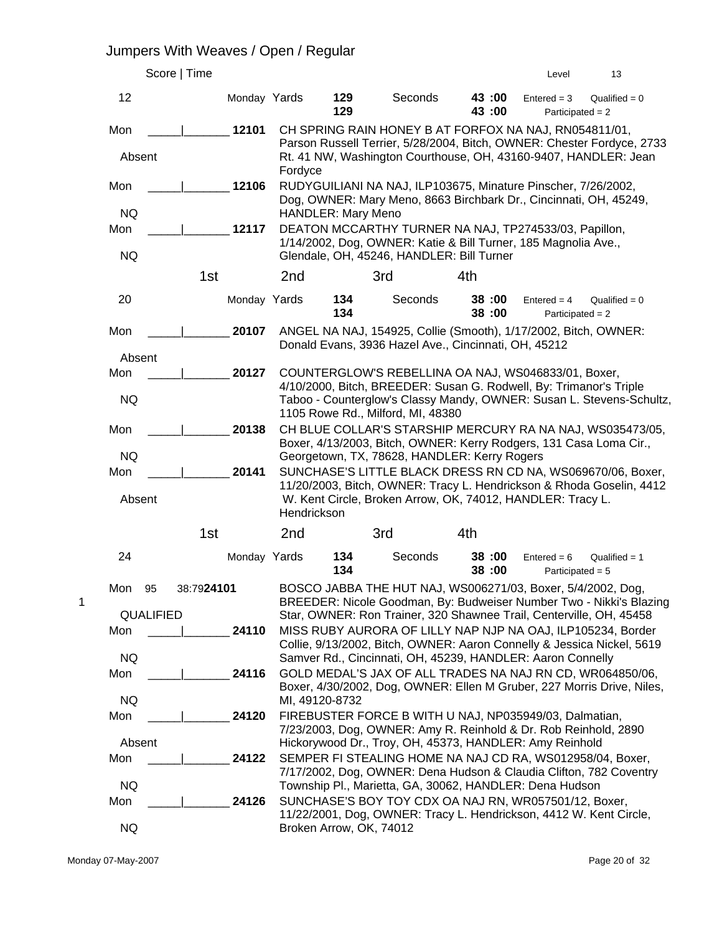## Jumpers With Weaves / Open / Regular

|   |                         | Score   Time |                 |                           |                                                                                                                             |                | Level                               | 13                                                                                                                                  |
|---|-------------------------|--------------|-----------------|---------------------------|-----------------------------------------------------------------------------------------------------------------------------|----------------|-------------------------------------|-------------------------------------------------------------------------------------------------------------------------------------|
|   | 12                      | Monday Yards |                 | 129<br>129                | Seconds                                                                                                                     | 43:00<br>43:00 | $Entered = 3$<br>Participated = $2$ | $Qualified = 0$                                                                                                                     |
|   | Mon                     | 12101        |                 |                           | CH SPRING RAIN HONEY B AT FORFOX NA NAJ, RN054811/01,                                                                       |                |                                     |                                                                                                                                     |
|   | Absent                  |              | Fordyce         |                           | Rt. 41 NW, Washington Courthouse, OH, 43160-9407, HANDLER: Jean                                                             |                |                                     | Parson Russell Terrier, 5/28/2004, Bitch, OWNER: Chester Fordyce, 2733                                                              |
|   | Mon                     | 12106        |                 |                           | RUDYGUILIANI NA NAJ, ILP103675, Minature Pinscher, 7/26/2002,                                                               |                |                                     |                                                                                                                                     |
|   | <b>NQ</b>               |              |                 | <b>HANDLER: Mary Meno</b> | Dog, OWNER: Mary Meno, 8663 Birchbark Dr., Cincinnati, OH, 45249,                                                           |                |                                     |                                                                                                                                     |
|   | Mon                     | 12117        |                 |                           | DEATON MCCARTHY TURNER NA NAJ, TP274533/03, Papillon,                                                                       |                |                                     |                                                                                                                                     |
|   | <b>NQ</b>               |              |                 |                           | 1/14/2002, Dog, OWNER: Katie & Bill Turner, 185 Magnolia Ave.,<br>Glendale, OH, 45246, HANDLER: Bill Turner                 |                |                                     |                                                                                                                                     |
|   |                         | 1st          | 2 <sub>nd</sub> |                           | 3rd                                                                                                                         | 4th            |                                     |                                                                                                                                     |
|   | 20                      | Monday Yards |                 | 134<br>134                | Seconds                                                                                                                     | 38:00<br>38:00 | $Entered = 4$<br>Participated = $2$ | $Qualified = 0$                                                                                                                     |
|   | Mon                     | 20107        |                 |                           | ANGEL NA NAJ, 154925, Collie (Smooth), 1/17/2002, Bitch, OWNER:                                                             |                |                                     |                                                                                                                                     |
|   | Absent                  |              |                 |                           | Donald Evans, 3936 Hazel Ave., Cincinnati, OH, 45212                                                                        |                |                                     |                                                                                                                                     |
|   | Mon                     | 20127        |                 |                           | COUNTERGLOW'S REBELLINA OA NAJ, WS046833/01, Boxer,                                                                         |                |                                     |                                                                                                                                     |
|   | <b>NQ</b>               |              |                 |                           | 4/10/2000, Bitch, BREEDER: Susan G. Rodwell, By: Trimanor's Triple                                                          |                |                                     | Taboo - Counterglow's Classy Mandy, OWNER: Susan L. Stevens-Schultz,                                                                |
|   |                         |              |                 |                           | 1105 Rowe Rd., Milford, MI, 48380                                                                                           |                |                                     |                                                                                                                                     |
|   | Mon                     | 20138        |                 |                           | Boxer, 4/13/2003, Bitch, OWNER: Kerry Rodgers, 131 Casa Loma Cir.,                                                          |                |                                     | CH BLUE COLLAR'S STARSHIP MERCURY RA NA NAJ, WS035473/05,                                                                           |
|   | <b>NQ</b>               |              |                 |                           | Georgetown, TX, 78628, HANDLER: Kerry Rogers                                                                                |                |                                     |                                                                                                                                     |
|   | Mon                     | 20141        |                 |                           |                                                                                                                             |                |                                     | SUNCHASE'S LITTLE BLACK DRESS RN CD NA, WS069670/06, Boxer,<br>11/20/2003, Bitch, OWNER: Tracy L. Hendrickson & Rhoda Goselin, 4412 |
|   | Absent                  |              | Hendrickson     |                           | W. Kent Circle, Broken Arrow, OK, 74012, HANDLER: Tracy L.                                                                  |                |                                     |                                                                                                                                     |
|   |                         | 1st          | 2nd             |                           | 3rd                                                                                                                         | 4th            |                                     |                                                                                                                                     |
|   | 24                      | Monday Yards |                 | 134<br>134                | Seconds                                                                                                                     | 38:00<br>38:00 | $Entered = 6$<br>Participated = $5$ | Qualified $= 1$                                                                                                                     |
| 1 | Mon<br>95               | 38:7924101   |                 |                           | BOSCO JABBA THE HUT NAJ, WS006271/03, Boxer, 5/4/2002, Dog,                                                                 |                |                                     | BREEDER: Nicole Goodman, By: Budweiser Number Two - Nikki's Blazing                                                                 |
|   | <b>QUALIFIED</b><br>Mon | 24110        |                 |                           | Star, OWNER: Ron Trainer, 320 Shawnee Trail, Centerville, OH, 45458                                                         |                |                                     | MISS RUBY AURORA OF LILLY NAP NJP NA OAJ, ILP105234, Border                                                                         |
|   |                         |              |                 |                           |                                                                                                                             |                |                                     | Collie, 9/13/2002, Bitch, OWNER: Aaron Connelly & Jessica Nickel, 5619                                                              |
|   | NQ<br>Mon               | 24116        |                 |                           | Samver Rd., Cincinnati, OH, 45239, HANDLER: Aaron Connelly                                                                  |                |                                     | GOLD MEDAL'S JAX OF ALL TRADES NA NAJ RN CD, WR064850/06,                                                                           |
|   |                         |              |                 |                           |                                                                                                                             |                |                                     | Boxer, 4/30/2002, Dog, OWNER: Ellen M Gruber, 227 Morris Drive, Niles,                                                              |
|   | NQ                      |              |                 | MI, 49120-8732            |                                                                                                                             |                |                                     |                                                                                                                                     |
|   | Mon                     | 24120        |                 |                           | FIREBUSTER FORCE B WITH U NAJ, NP035949/03, Dalmatian,<br>7/23/2003, Dog, OWNER: Amy R. Reinhold & Dr. Rob Reinhold, 2890   |                |                                     |                                                                                                                                     |
|   | Absent                  |              |                 |                           | Hickorywood Dr., Troy, OH, 45373, HANDLER: Amy Reinhold                                                                     |                |                                     |                                                                                                                                     |
|   | Mon                     | 24122        |                 |                           | SEMPER FI STEALING HOME NA NAJ CD RA, WS012958/04, Boxer,                                                                   |                |                                     | 7/17/2002, Dog, OWNER: Dena Hudson & Claudia Clifton, 782 Coventry                                                                  |
|   | NQ                      |              |                 |                           | Township Pl., Marietta, GA, 30062, HANDLER: Dena Hudson                                                                     |                |                                     |                                                                                                                                     |
|   | Mon                     | 24126        |                 |                           | SUNCHASE'S BOY TOY CDX OA NAJ RN, WR057501/12, Boxer,<br>11/22/2001, Dog, OWNER: Tracy L. Hendrickson, 4412 W. Kent Circle, |                |                                     |                                                                                                                                     |
|   | NQ                      |              |                 | Broken Arrow, OK, 74012   |                                                                                                                             |                |                                     |                                                                                                                                     |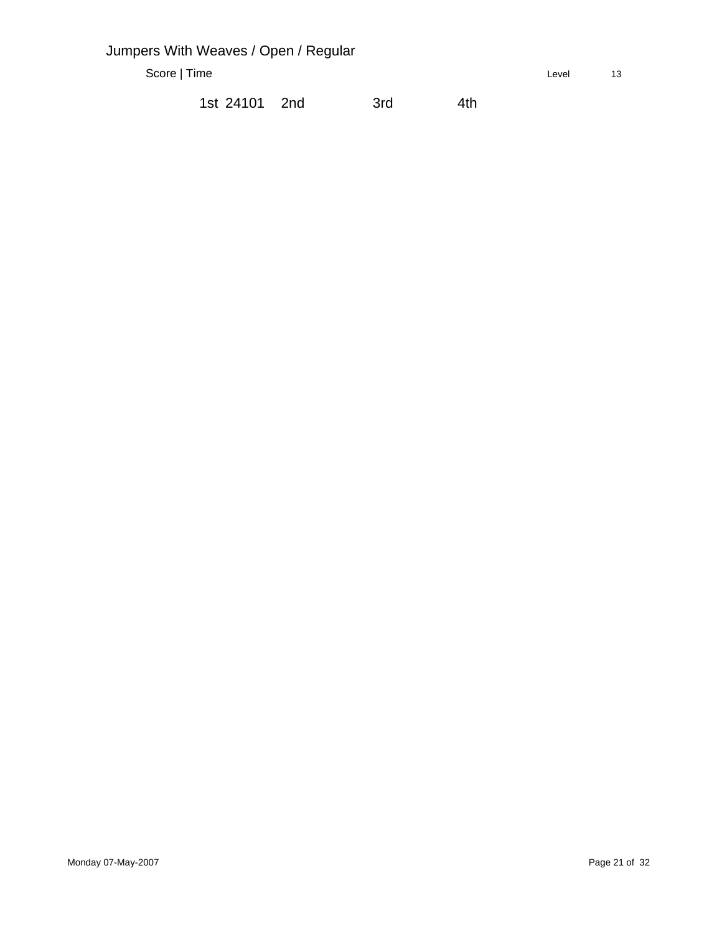## Jumpers With Weaves / Open / Regular

Score | Time Level 23

1st 24101 2nd 3rd 4th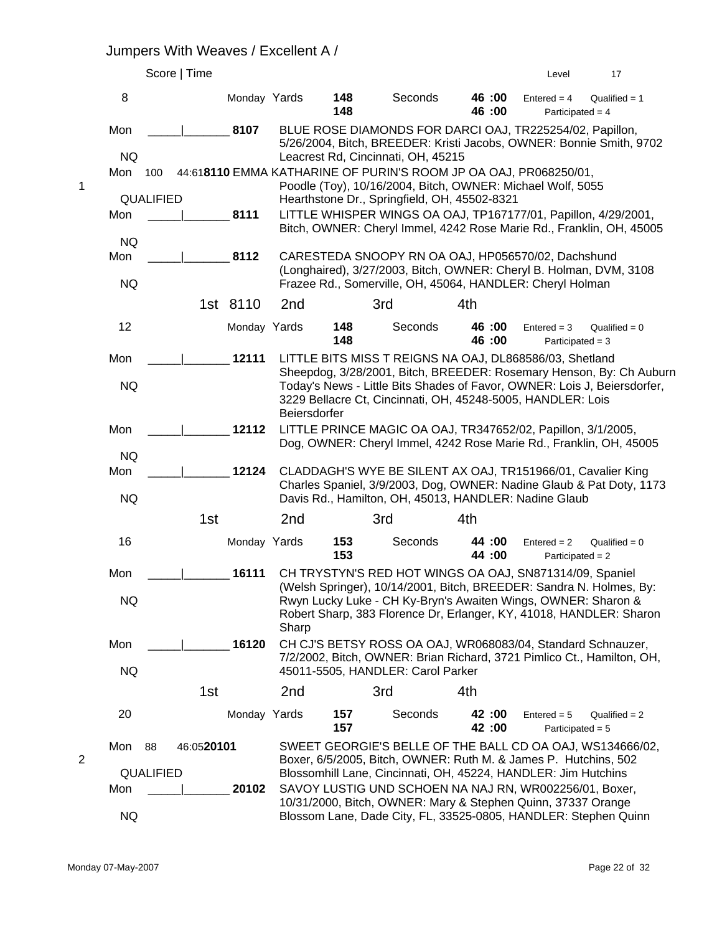|   |                  | Score   Time     |              |                 |            |                                                                                                                                                                                                                                                                        |                  | Level                               | 17                                                                       |
|---|------------------|------------------|--------------|-----------------|------------|------------------------------------------------------------------------------------------------------------------------------------------------------------------------------------------------------------------------------------------------------------------------|------------------|-------------------------------------|--------------------------------------------------------------------------|
|   | 8                |                  | Monday Yards |                 | 148<br>148 | Seconds                                                                                                                                                                                                                                                                | 46:00<br>46 :00  | $Entered = 4$<br>Participated = $4$ | Qualified $= 1$                                                          |
|   | Mon<br><b>NQ</b> |                  | 8107         |                 |            | BLUE ROSE DIAMONDS FOR DARCI OAJ, TR225254/02, Papillon,<br>Leacrest Rd, Cincinnati, OH, 45215                                                                                                                                                                         |                  |                                     | 5/26/2004, Bitch, BREEDER: Kristi Jacobs, OWNER: Bonnie Smith, 9702      |
| 1 | Mon              | 100              |              |                 |            | 44:618110 EMMA KATHARINE OF PURIN'S ROOM JP OA OAJ, PR068250/01,<br>Poodle (Toy), 10/16/2004, Bitch, OWNER: Michael Wolf, 5055                                                                                                                                         |                  |                                     |                                                                          |
|   | Mon              | QUALIFIED        | 8111         |                 |            | Hearthstone Dr., Springfield, OH, 45502-8321<br>LITTLE WHISPER WINGS OA OAJ, TP167177/01, Papillon, 4/29/2001,                                                                                                                                                         |                  |                                     | Bitch, OWNER: Cheryl Immel, 4242 Rose Marie Rd., Franklin, OH, 45005     |
|   | <b>NQ</b><br>Mon |                  | 8112         |                 |            | CARESTEDA SNOOPY RN OA OAJ, HP056570/02, Dachshund<br>(Longhaired), 3/27/2003, Bitch, OWNER: Cheryl B. Holman, DVM, 3108                                                                                                                                               |                  |                                     |                                                                          |
|   | <b>NQ</b>        |                  | 1st 8110     | 2nd             |            | Frazee Rd., Somerville, OH, 45064, HANDLER: Cheryl Holman<br>3rd                                                                                                                                                                                                       | 4th              |                                     |                                                                          |
|   | 12               |                  | Monday Yards |                 | 148<br>148 | Seconds                                                                                                                                                                                                                                                                | 46:00<br>46 :00  | $Entered = 3$<br>Participated = $3$ | $Qualified = 0$                                                          |
|   | Mon              |                  | 12111        |                 |            | LITTLE BITS MISS T REIGNS NA OAJ, DL868586/03, Shetland                                                                                                                                                                                                                |                  |                                     | Sheepdog, 3/28/2001, Bitch, BREEDER: Rosemary Henson, By: Ch Auburn      |
|   | <b>NQ</b>        |                  |              | Beiersdorfer    |            | 3229 Bellacre Ct, Cincinnati, OH, 45248-5005, HANDLER: Lois                                                                                                                                                                                                            |                  |                                     | Today's News - Little Bits Shades of Favor, OWNER: Lois J, Beiersdorfer, |
|   | Mon              |                  | 12112        |                 |            | LITTLE PRINCE MAGIC OA OAJ, TR347652/02, Papillon, 3/1/2005,<br>Dog, OWNER: Cheryl Immel, 4242 Rose Marie Rd., Franklin, OH, 45005                                                                                                                                     |                  |                                     |                                                                          |
|   | <b>NQ</b><br>Mon |                  | 12124        |                 |            | CLADDAGH'S WYE BE SILENT AX OAJ, TR151966/01, Cavalier King                                                                                                                                                                                                            |                  |                                     | Charles Spaniel, 3/9/2003, Dog, OWNER: Nadine Glaub & Pat Doty, 1173     |
|   | NQ               |                  |              |                 |            | Davis Rd., Hamilton, OH, 45013, HANDLER: Nadine Glaub                                                                                                                                                                                                                  |                  |                                     |                                                                          |
|   |                  | 1st              |              | 2nd             |            | 3rd                                                                                                                                                                                                                                                                    | 4th              |                                     |                                                                          |
|   | 16               |                  | Monday Yards |                 | 153<br>153 | Seconds                                                                                                                                                                                                                                                                | 44 :00<br>44 :00 | $Entered = 2$<br>Participated = $2$ | Qualified = $0$                                                          |
|   | Mon<br>NQ        |                  | 16111        | Sharp           |            | CH TRYSTYN'S RED HOT WINGS OA OAJ, SN871314/09, Spaniel<br>(Welsh Springer), 10/14/2001, Bitch, BREEDER: Sandra N. Holmes, By:<br>Rwyn Lucky Luke - CH Ky-Bryn's Awaiten Wings, OWNER: Sharon &<br>Robert Sharp, 383 Florence Dr, Erlanger, KY, 41018, HANDLER: Sharon |                  |                                     |                                                                          |
|   | Mon<br>NQ        |                  | 16120        |                 |            | CH CJ'S BETSY ROSS OA OAJ, WR068083/04, Standard Schnauzer,<br>7/2/2002, Bitch, OWNER: Brian Richard, 3721 Pimlico Ct., Hamilton, OH,<br>45011-5505, HANDLER: Carol Parker                                                                                             |                  |                                     |                                                                          |
|   |                  | 1st              |              | 2 <sub>nd</sub> |            | 3rd                                                                                                                                                                                                                                                                    | 4th              |                                     |                                                                          |
|   | 20               |                  | Monday Yards |                 | 157<br>157 | Seconds                                                                                                                                                                                                                                                                | 42:00<br>42:00   | $Entered = 5$<br>Participated = $5$ | $Qualified = 2$                                                          |
| 2 | Mon 88           | 46:0520101       |              |                 |            | SWEET GEORGIE'S BELLE OF THE BALL CD OA OAJ, WS134666/02,<br>Boxer, 6/5/2005, Bitch, OWNER: Ruth M. & James P. Hutchins, 502                                                                                                                                           |                  |                                     |                                                                          |
|   | Mon              | <b>QUALIFIED</b> | 20102        |                 |            | Blossomhill Lane, Cincinnati, OH, 45224, HANDLER: Jim Hutchins<br>SAVOY LUSTIG UND SCHOEN NA NAJ RN, WR002256/01, Boxer,                                                                                                                                               |                  |                                     |                                                                          |
|   | <b>NQ</b>        |                  |              |                 |            | 10/31/2000, Bitch, OWNER: Mary & Stephen Quinn, 37337 Orange<br>Blossom Lane, Dade City, FL, 33525-0805, HANDLER: Stephen Quinn                                                                                                                                        |                  |                                     |                                                                          |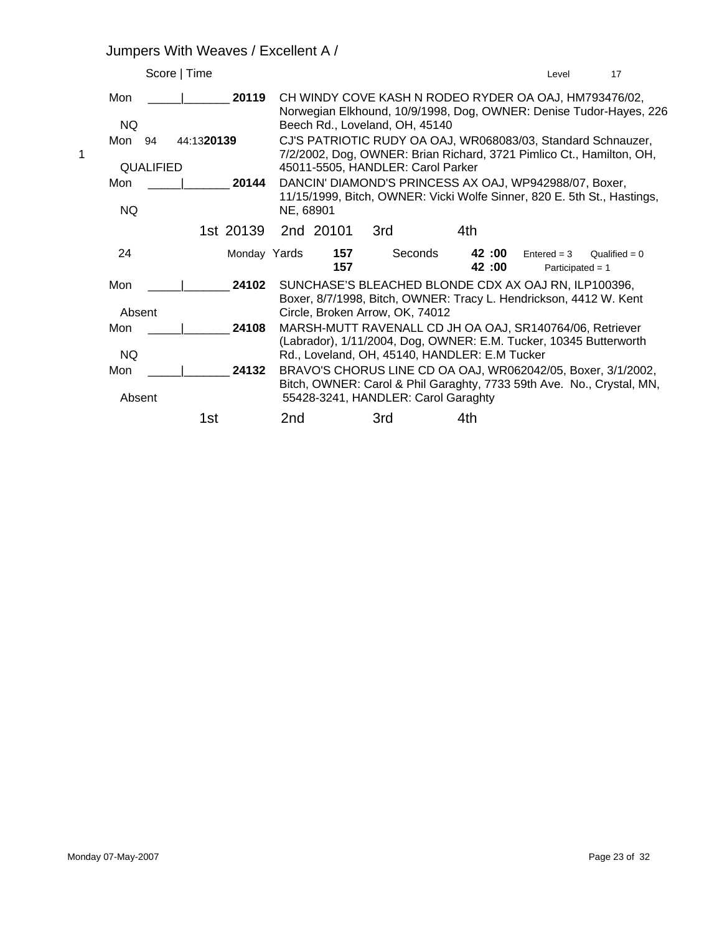|   |            |                  | Score   Time |              | 17<br>Level |                                     |     |         |                                               |                                                                   |                                                                                                                                      |  |
|---|------------|------------------|--------------|--------------|-------------|-------------------------------------|-----|---------|-----------------------------------------------|-------------------------------------------------------------------|--------------------------------------------------------------------------------------------------------------------------------------|--|
|   | Mon<br>NQ. |                  |              | 20119        |             | Beech Rd., Loveland, OH, 45140      |     |         |                                               | CH WINDY COVE KASH N RODEO RYDER OA OAJ, HM793476/02,             | Norwegian Elkhound, 10/9/1998, Dog, OWNER: Denise Tudor-Hayes, 226                                                                   |  |
| 1 | Mon 94     |                  | 44:1320139   |              |             |                                     |     |         |                                               |                                                                   | CJ'S PATRIOTIC RUDY OA OAJ, WR068083/03, Standard Schnauzer,<br>7/2/2002, Dog, OWNER: Brian Richard, 3721 Pimlico Ct., Hamilton, OH, |  |
|   |            | <b>QUALIFIED</b> |              |              |             | 45011-5505, HANDLER: Carol Parker   |     |         |                                               |                                                                   |                                                                                                                                      |  |
|   | Mon        |                  |              | 20144        |             |                                     |     |         |                                               | DANCIN' DIAMOND'S PRINCESS AX OAJ, WP942988/07, Boxer,            |                                                                                                                                      |  |
|   | NQ         |                  |              |              | NE, 68901   |                                     |     |         |                                               |                                                                   | 11/15/1999, Bitch, OWNER: Vicki Wolfe Sinner, 820 E. 5th St., Hastings,                                                              |  |
|   |            |                  |              | 1st 20139    |             | 2nd 20101                           | 3rd |         | 4th                                           |                                                                   |                                                                                                                                      |  |
|   | 24         |                  |              | Monday Yards |             | 157<br>157                          |     | Seconds | 42:00<br>42:00                                | $Entered = 3$<br>Participated = $1$                               | Qualified = $0$                                                                                                                      |  |
|   | Mon        |                  |              | 24102        |             |                                     |     |         |                                               | SUNCHASE'S BLEACHED BLONDE CDX AX OAJ RN, ILP100396,              |                                                                                                                                      |  |
|   |            |                  |              |              |             |                                     |     |         |                                               | Boxer, 8/7/1998, Bitch, OWNER: Tracy L. Hendrickson, 4412 W. Kent |                                                                                                                                      |  |
|   | Absent     |                  |              |              |             | Circle, Broken Arrow, OK, 74012     |     |         |                                               |                                                                   |                                                                                                                                      |  |
|   | Mon        |                  |              | 24108        |             |                                     |     |         |                                               | MARSH-MUTT RAVENALL CD JH OA OAJ, SR140764/06, Retriever          |                                                                                                                                      |  |
|   | NQ.        |                  |              |              |             |                                     |     |         | Rd., Loveland, OH, 45140, HANDLER: E.M Tucker | (Labrador), 1/11/2004, Dog, OWNER: E.M. Tucker, 10345 Butterworth |                                                                                                                                      |  |
|   | Mon        |                  |              | 24132        |             |                                     |     |         |                                               |                                                                   | BRAVO'S CHORUS LINE CD OA OAJ, WR062042/05, Boxer, 3/1/2002,                                                                         |  |
|   | Absent     |                  |              |              |             | 55428-3241, HANDLER: Carol Garaghty |     |         |                                               |                                                                   | Bitch, OWNER: Carol & Phil Garaghty, 7733 59th Ave. No., Crystal, MN,                                                                |  |
|   |            |                  | 1st          |              | 2nd         |                                     | 3rd |         | 4th                                           |                                                                   |                                                                                                                                      |  |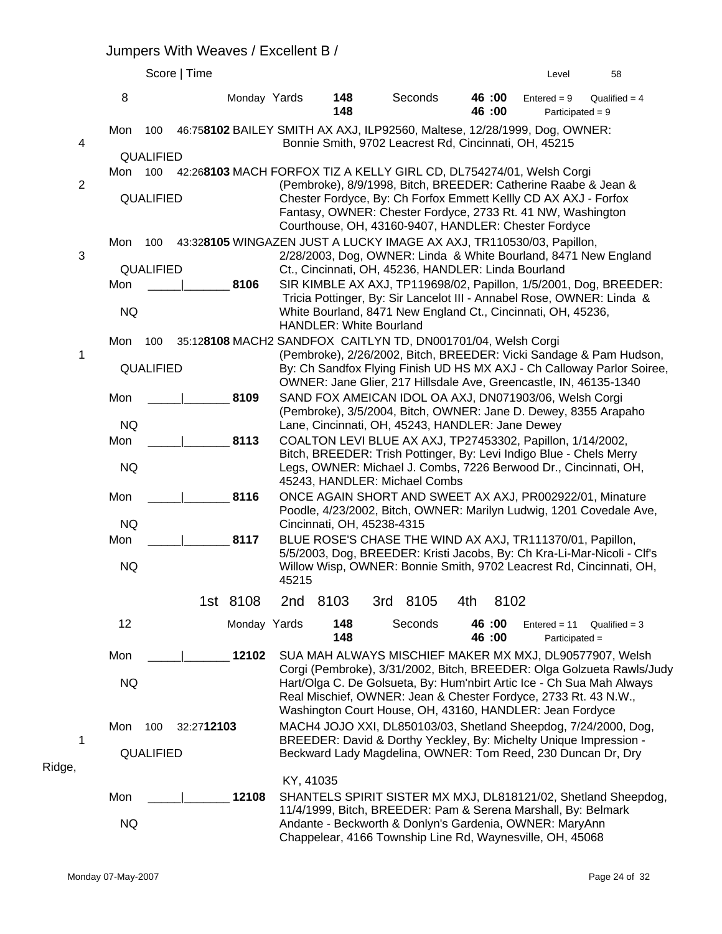|                |                  |                  | Score   Time |              |           |                                                              |          |     |                | Level                                                                                                                                                                                                                                                    | 58                                                                                                                                             |
|----------------|------------------|------------------|--------------|--------------|-----------|--------------------------------------------------------------|----------|-----|----------------|----------------------------------------------------------------------------------------------------------------------------------------------------------------------------------------------------------------------------------------------------------|------------------------------------------------------------------------------------------------------------------------------------------------|
|                | 8                |                  |              | Monday Yards |           | 148<br>148                                                   | Seconds  |     | 46:00<br>46:00 | $Entered = 9$<br>Participated = $9$                                                                                                                                                                                                                      | Qualified $= 4$                                                                                                                                |
| 4              | Mon              | 100              |              |              |           |                                                              |          |     |                | 46:758102 BAILEY SMITH AX AXJ, ILP92560, Maltese, 12/28/1999, Dog, OWNER:<br>Bonnie Smith, 9702 Leacrest Rd, Cincinnati, OH, 45215                                                                                                                       |                                                                                                                                                |
|                | Mon 100          | QUALIFIED        |              |              |           |                                                              |          |     |                | 42:268103 MACH FORFOX TIZ A KELLY GIRL CD, DL754274/01, Welsh Corgi                                                                                                                                                                                      |                                                                                                                                                |
| $\overline{2}$ |                  | <b>QUALIFIED</b> |              |              |           |                                                              |          |     |                | (Pembroke), 8/9/1998, Bitch, BREEDER: Catherine Raabe & Jean &<br>Chester Fordyce, By: Ch Forfox Emmett Kellly CD AX AXJ - Forfox<br>Fantasy, OWNER: Chester Fordyce, 2733 Rt. 41 NW, Washington<br>Courthouse, OH, 43160-9407, HANDLER: Chester Fordyce |                                                                                                                                                |
| 3              | Mon              | 100              |              |              |           |                                                              |          |     |                | 43:328105 WINGAZEN JUST A LUCKY IMAGE AX AXJ, TR110530/03, Papillon,<br>2/28/2003, Dog, OWNER: Linda & White Bourland, 8471 New England                                                                                                                  |                                                                                                                                                |
|                |                  | QUALIFIED        |              |              |           | Ct., Cincinnati, OH, 45236, HANDLER: Linda Bourland          |          |     |                |                                                                                                                                                                                                                                                          |                                                                                                                                                |
|                | Mon<br><b>NQ</b> |                  |              | 8106         |           |                                                              |          |     |                | Tricia Pottinger, By: Sir Lancelot III - Annabel Rose, OWNER: Linda &<br>White Bourland, 8471 New England Ct., Cincinnati, OH, 45236,                                                                                                                    | SIR KIMBLE AX AXJ, TP119698/02, Papillon, 1/5/2001, Dog, BREEDER:                                                                              |
|                |                  |                  |              |              |           | <b>HANDLER: White Bourland</b>                               |          |     |                |                                                                                                                                                                                                                                                          |                                                                                                                                                |
| 1              | Mon              | 100<br>QUALIFIED |              |              |           | 35:128108 MACH2 SANDFOX CAITLYN TD, DN001701/04, Welsh Corgi |          |     |                |                                                                                                                                                                                                                                                          | (Pembroke), 2/26/2002, Bitch, BREEDER: Vicki Sandage & Pam Hudson,<br>By: Ch Sandfox Flying Finish UD HS MX AXJ - Ch Calloway Parlor Soiree,   |
|                |                  |                  |              |              |           |                                                              |          |     |                | OWNER: Jane Glier, 217 Hillsdale Ave, Greencastle, IN, 46135-1340                                                                                                                                                                                        |                                                                                                                                                |
|                | Mon              |                  |              | 8109         |           |                                                              |          |     |                | SAND FOX AMEICAN IDOL OA AXJ, DN071903/06, Welsh Corgi<br>(Pembroke), 3/5/2004, Bitch, OWNER: Jane D. Dewey, 8355 Arapaho                                                                                                                                |                                                                                                                                                |
|                | <b>NQ</b><br>Mon |                  |              | 8113         |           | Lane, Cincinnati, OH, 45243, HANDLER: Jane Dewey             |          |     |                | COALTON LEVI BLUE AX AXJ, TP27453302, Papillon, 1/14/2002,                                                                                                                                                                                               |                                                                                                                                                |
|                | <b>NQ</b>        |                  |              |              |           | 45243, HANDLER: Michael Combs                                |          |     |                | Bitch, BREEDER: Trish Pottinger, By: Levi Indigo Blue - Chels Merry<br>Legs, OWNER: Michael J. Combs, 7226 Berwood Dr., Cincinnati, OH,                                                                                                                  |                                                                                                                                                |
|                | Mon              |                  |              | 8116         |           |                                                              |          |     |                | ONCE AGAIN SHORT AND SWEET AX AXJ, PR002922/01, Minature                                                                                                                                                                                                 | Poodle, 4/23/2002, Bitch, OWNER: Marilyn Ludwig, 1201 Covedale Ave,                                                                            |
|                | <b>NQ</b><br>Mon |                  |              | 8117         |           | Cincinnati, OH, 45238-4315                                   |          |     |                | BLUE ROSE'S CHASE THE WIND AX AXJ, TR111370/01, Papillon,                                                                                                                                                                                                |                                                                                                                                                |
|                | <b>NQ</b>        |                  |              |              | 45215     |                                                              |          |     |                |                                                                                                                                                                                                                                                          | 5/5/2003, Dog, BREEDER: Kristi Jacobs, By: Ch Kra-Li-Mar-Nicoli - Clf's<br>Willow Wisp, OWNER: Bonnie Smith, 9702 Leacrest Rd, Cincinnati, OH, |
|                |                  |                  |              | 1st 8108     | 2nd       | 8103                                                         | 3rd 8105 | 4th | 8102           |                                                                                                                                                                                                                                                          |                                                                                                                                                |
|                | 12               |                  |              | Monday Yards |           | 148<br>148                                                   | Seconds  |     | 46:00<br>46:00 | $Entered = 11$<br>Participated =                                                                                                                                                                                                                         | $Qualified = 3$                                                                                                                                |
|                | Mon              |                  |              | 12102        |           |                                                              |          |     |                | SUA MAH ALWAYS MISCHIEF MAKER MX MXJ, DL90577907, Welsh                                                                                                                                                                                                  |                                                                                                                                                |
|                | <b>NQ</b>        |                  |              |              |           |                                                              |          |     |                | Real Mischief, OWNER: Jean & Chester Fordyce, 2733 Rt. 43 N.W.,<br>Washington Court House, OH, 43160, HANDLER: Jean Fordyce                                                                                                                              | Corgi (Pembroke), 3/31/2002, Bitch, BREEDER: Olga Golzueta Rawls/Judy<br>Hart/Olga C. De Golsueta, By: Hum'nbirt Artic Ice - Ch Sua Mah Always |
| 1              | Mon              | 100              | 32:2712103   |              |           |                                                              |          |     |                | BREEDER: David & Dorthy Yeckley, By: Michelty Unique Impression -                                                                                                                                                                                        | MACH4 JOJO XXI, DL850103/03, Shetland Sheepdog, 7/24/2000, Dog,                                                                                |
| Ridge,         |                  | <b>QUALIFIED</b> |              |              |           |                                                              |          |     |                | Beckward Lady Magdelina, OWNER: Tom Reed, 230 Duncan Dr, Dry                                                                                                                                                                                             |                                                                                                                                                |
|                |                  |                  |              |              | KY, 41035 |                                                              |          |     |                |                                                                                                                                                                                                                                                          |                                                                                                                                                |
|                | Mon<br><b>NQ</b> |                  |              | 12108        |           |                                                              |          |     |                | 11/4/1999, Bitch, BREEDER: Pam & Serena Marshall, By: Belmark<br>Andante - Beckworth & Donlyn's Gardenia, OWNER: MaryAnn<br>Chappelear, 4166 Township Line Rd, Waynesville, OH, 45068                                                                    | SHANTELS SPIRIT SISTER MX MXJ, DL818121/02, Shetland Sheepdog,                                                                                 |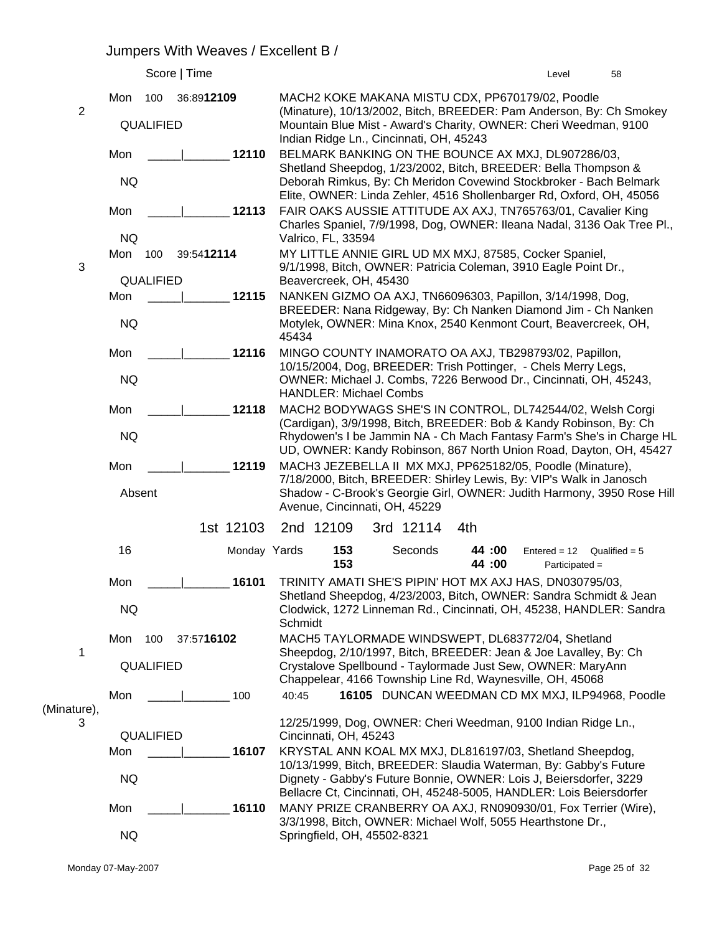|                |                  |                  | $\frac{1}{2}$ |              |         |                               |                                         |                |                                                                                                                                                                                                |                  |                                                                                                                                                 |
|----------------|------------------|------------------|---------------|--------------|---------|-------------------------------|-----------------------------------------|----------------|------------------------------------------------------------------------------------------------------------------------------------------------------------------------------------------------|------------------|-------------------------------------------------------------------------------------------------------------------------------------------------|
|                |                  |                  | Score   Time  |              |         |                               |                                         |                | Level                                                                                                                                                                                          |                  | 58                                                                                                                                              |
| $\overline{2}$ | Mon              | 100<br>QUALIFIED | 36:8912109    |              |         |                               | Indian Ridge Ln., Cincinnati, OH, 45243 |                | MACH2 KOKE MAKANA MISTU CDX, PP670179/02, Poodle<br>Mountain Blue Mist - Award's Charity, OWNER: Cheri Weedman, 9100                                                                           |                  | (Minature), 10/13/2002, Bitch, BREEDER: Pam Anderson, By: Ch Smokey                                                                             |
|                | Mon<br><b>NQ</b> |                  |               | 12110        |         |                               |                                         |                | BELMARK BANKING ON THE BOUNCE AX MXJ, DL907286/03,<br>Shetland Sheepdog, 1/23/2002, Bitch, BREEDER: Bella Thompson &                                                                           |                  | Deborah Rimkus, By: Ch Meridon Covewind Stockbroker - Bach Belmark                                                                              |
|                | Mon<br><b>NQ</b> |                  |               | 12113        |         | Valrico, FL, 33594            |                                         |                | FAIR OAKS AUSSIE ATTITUDE AX AXJ, TN765763/01, Cavalier King                                                                                                                                   |                  | Elite, OWNER: Linda Zehler, 4516 Shollenbarger Rd, Oxford, OH, 45056<br>Charles Spaniel, 7/9/1998, Dog, OWNER: Ileana Nadal, 3136 Oak Tree Pl., |
| 3              | Mon 100          |                  | 39:5412114    |              |         |                               |                                         |                | MY LITTLE ANNIE GIRL UD MX MXJ, 87585, Cocker Spaniel,<br>9/1/1998, Bitch, OWNER: Patricia Coleman, 3910 Eagle Point Dr.,                                                                      |                  |                                                                                                                                                 |
|                |                  | QUALIFIED        |               |              |         | Beavercreek, OH, 45430        |                                         |                |                                                                                                                                                                                                |                  |                                                                                                                                                 |
|                | Mon<br><b>NQ</b> |                  |               | 12115        |         |                               |                                         |                | NANKEN GIZMO OA AXJ, TN66096303, Papillon, 3/14/1998, Dog,<br>BREEDER: Nana Ridgeway, By: Ch Nanken Diamond Jim - Ch Nanken<br>Motylek, OWNER: Mina Knox, 2540 Kenmont Court, Beavercreek, OH, |                  |                                                                                                                                                 |
|                |                  |                  |               |              | 45434   |                               |                                         |                |                                                                                                                                                                                                |                  |                                                                                                                                                 |
|                | Mon              |                  |               | 12116        |         |                               |                                         |                | MINGO COUNTY INAMORATO OA AXJ, TB298793/02, Papillon,<br>10/15/2004, Dog, BREEDER: Trish Pottinger, - Chels Merry Legs,                                                                        |                  |                                                                                                                                                 |
|                | <b>NQ</b>        |                  |               |              |         | <b>HANDLER: Michael Combs</b> |                                         |                | OWNER: Michael J. Combs, 7226 Berwood Dr., Cincinnati, OH, 45243,                                                                                                                              |                  |                                                                                                                                                 |
|                | Mon              |                  |               | 12118        |         |                               |                                         |                | MACH2 BODYWAGS SHE'S IN CONTROL, DL742544/02, Welsh Corgi                                                                                                                                      |                  |                                                                                                                                                 |
|                | <b>NQ</b>        |                  |               |              |         |                               |                                         |                | (Cardigan), 3/9/1998, Bitch, BREEDER: Bob & Kandy Robinson, By: Ch                                                                                                                             |                  | Rhydowen's I be Jammin NA - Ch Mach Fantasy Farm's She's in Charge HL<br>UD, OWNER: Kandy Robinson, 867 North Union Road, Dayton, OH, 45427     |
|                | Mon<br>Absent    |                  |               | 12119        |         |                               |                                         |                | MACH3 JEZEBELLA II MX MXJ, PP625182/05, Poodle (Minature),<br>7/18/2000, Bitch, BREEDER: Shirley Lewis, By: VIP's Walk in Janosch                                                              |                  | Shadow - C-Brook's Georgie Girl, OWNER: Judith Harmony, 3950 Rose Hill                                                                          |
|                |                  |                  |               |              |         | Avenue, Cincinnati, OH, 45229 |                                         |                |                                                                                                                                                                                                |                  |                                                                                                                                                 |
|                |                  |                  |               | 1st 12103    |         | 2nd 12109                     | 3rd 12114                               | 4th            |                                                                                                                                                                                                |                  |                                                                                                                                                 |
|                | 16               |                  |               | Monday Yards |         | 153<br>153                    | Seconds                                 | 44:00<br>44:00 | $Entered = 12$                                                                                                                                                                                 | $Participated =$ | Qualified = $5$                                                                                                                                 |
|                | Mon<br><b>NQ</b> |                  |               | 16101        |         |                               |                                         |                | TRINITY AMATI SHE'S PIPIN' HOT MX AXJ HAS, DN030795/03,                                                                                                                                        |                  | Shetland Sheepdog, 4/23/2003, Bitch, OWNER: Sandra Schmidt & Jean<br>Clodwick, 1272 Linneman Rd., Cincinnati, OH, 45238, HANDLER: Sandra        |
|                |                  |                  |               |              | Schmidt |                               |                                         |                |                                                                                                                                                                                                |                  |                                                                                                                                                 |
| 1              | Mon 100          | <b>QUALIFIED</b> | 37:5716102    |              |         |                               |                                         |                | MACH5 TAYLORMADE WINDSWEPT, DL683772/04, Shetland<br>Sheepdog, 2/10/1997, Bitch, BREEDER: Jean & Joe Lavalley, By: Ch<br>Crystalove Spellbound - Taylormade Just Sew, OWNER: MaryAnn           |                  |                                                                                                                                                 |
|                |                  |                  |               |              |         |                               |                                         |                | Chappelear, 4166 Township Line Rd, Waynesville, OH, 45068                                                                                                                                      |                  |                                                                                                                                                 |
| (Minature),    | Mon              |                  |               | 100          | 40:45   |                               |                                         |                |                                                                                                                                                                                                |                  | 16105 DUNCAN WEEDMAN CD MX MXJ, ILP94968, Poodle                                                                                                |
| 3              |                  |                  |               |              |         |                               |                                         |                | 12/25/1999, Dog, OWNER: Cheri Weedman, 9100 Indian Ridge Ln.,                                                                                                                                  |                  |                                                                                                                                                 |
|                | Mon              | QUALIFIED        |               | 16107        |         | Cincinnati, OH, 45243         |                                         |                | KRYSTAL ANN KOAL MX MXJ, DL816197/03, Shetland Sheepdog,                                                                                                                                       |                  |                                                                                                                                                 |
|                |                  |                  |               |              |         |                               |                                         |                | 10/13/1999, Bitch, BREEDER: Slaudia Waterman, By: Gabby's Future                                                                                                                               |                  |                                                                                                                                                 |
|                | <b>NQ</b>        |                  |               |              |         |                               |                                         |                | Dignety - Gabby's Future Bonnie, OWNER: Lois J, Beiersdorfer, 3229<br>Bellacre Ct, Cincinnati, OH, 45248-5005, HANDLER: Lois Beiersdorfer                                                      |                  |                                                                                                                                                 |
|                | Mon              |                  |               | 16110        |         |                               |                                         |                | 3/3/1998, Bitch, OWNER: Michael Wolf, 5055 Hearthstone Dr.,                                                                                                                                    |                  | MANY PRIZE CRANBERRY OA AXJ, RN090930/01, Fox Terrier (Wire),                                                                                   |
|                | <b>NQ</b>        |                  |               |              |         | Springfield, OH, 45502-8321   |                                         |                |                                                                                                                                                                                                |                  |                                                                                                                                                 |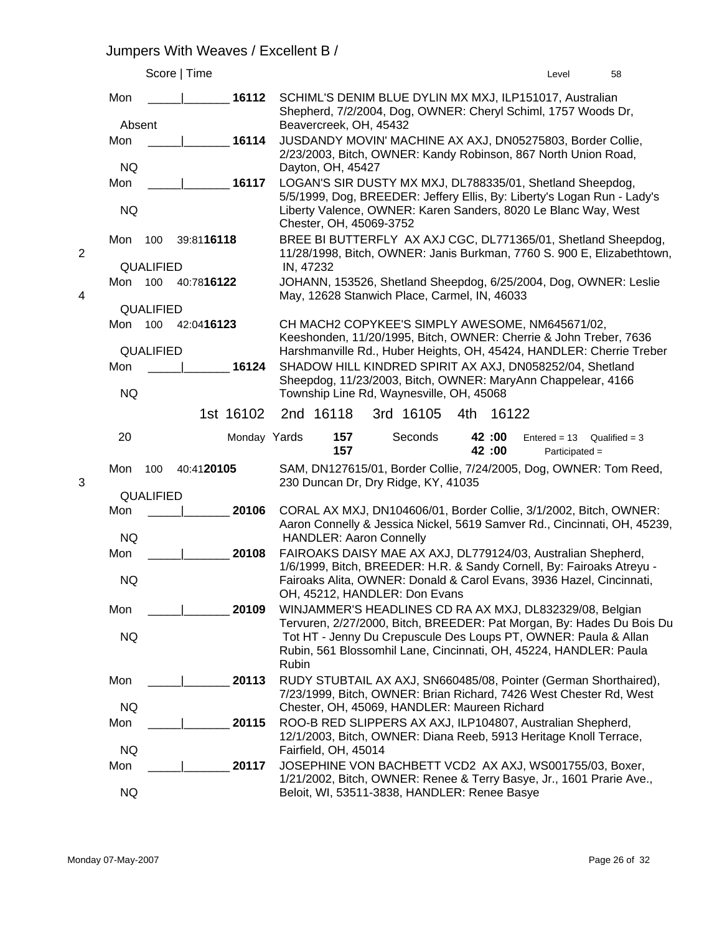|                |                             | Score   Time | 58<br>Level                                                                                                                                                                                                                       |
|----------------|-----------------------------|--------------|-----------------------------------------------------------------------------------------------------------------------------------------------------------------------------------------------------------------------------------|
|                | Mon<br>Absent               | 16112        | SCHIML'S DENIM BLUE DYLIN MX MXJ, ILP151017, Australian<br>Shepherd, 7/2/2004, Dog, OWNER: Cheryl Schiml, 1757 Woods Dr,<br>Beavercreek, OH, 45432                                                                                |
|                | Mon<br><b>NQ</b>            | 16114        | JUSDANDY MOVIN' MACHINE AX AXJ, DN05275803, Border Collie,<br>2/23/2003, Bitch, OWNER: Kandy Robinson, 867 North Union Road,<br>Dayton, OH, 45427                                                                                 |
|                | Mon<br><b>NQ</b>            | 16117        | LOGAN'S SIR DUSTY MX MXJ, DL788335/01, Shetland Sheepdog,<br>5/5/1999, Dog, BREEDER: Jeffery Ellis, By: Liberty's Logan Run - Lady's<br>Liberty Valence, OWNER: Karen Sanders, 8020 Le Blanc Way, West<br>Chester, OH, 45069-3752 |
| $\overline{2}$ | Mon<br>100                  | 39:8116118   | BREE BI BUTTERFLY AX AXJ CGC, DL771365/01, Shetland Sheepdog,<br>11/28/1998, Bitch, OWNER: Janis Burkman, 7760 S. 900 E, Elizabethtown,                                                                                           |
|                | <b>QUALIFIED</b><br>Mon 100 | 40:7816122   | IN, 47232<br>JOHANN, 153526, Shetland Sheepdog, 6/25/2004, Dog, OWNER: Leslie                                                                                                                                                     |
| 4              | QUALIFIED                   |              | May, 12628 Stanwich Place, Carmel, IN, 46033                                                                                                                                                                                      |
|                | Mon 100                     | 42:0416123   | CH MACH2 COPYKEE'S SIMPLY AWESOME, NM645671/02,<br>Keeshonden, 11/20/1995, Bitch, OWNER: Cherrie & John Treber, 7636                                                                                                              |
|                | QUALIFIED                   |              | Harshmanville Rd., Huber Heights, OH, 45424, HANDLER: Cherrie Treber                                                                                                                                                              |
|                | Mon                         | 16124        | SHADOW HILL KINDRED SPIRIT AX AXJ, DN058252/04, Shetland<br>Sheepdog, 11/23/2003, Bitch, OWNER: MaryAnn Chappelear, 4166                                                                                                          |
|                | <b>NQ</b>                   |              | Township Line Rd, Waynesville, OH, 45068                                                                                                                                                                                          |
|                |                             | 1st 16102    | 2nd 16118<br>3rd 16105<br>16122<br>4th                                                                                                                                                                                            |
|                | 20                          | Monday Yards | 157<br>Seconds<br>42:00<br>$Entered = 13$<br>$Qualified = 3$<br>157<br>42:00<br>Participated =                                                                                                                                    |
| 3              | Mon<br>100<br>QUALIFIED     | 40:4120105   | SAM, DN127615/01, Border Collie, 7/24/2005, Dog, OWNER: Tom Reed,<br>230 Duncan Dr, Dry Ridge, KY, 41035                                                                                                                          |
|                |                             |              |                                                                                                                                                                                                                                   |
|                | Mon<br><b>NQ</b>            | 20106        | CORAL AX MXJ, DN104606/01, Border Collie, 3/1/2002, Bitch, OWNER:<br>Aaron Connelly & Jessica Nickel, 5619 Samver Rd., Cincinnati, OH, 45239,<br><b>HANDLER: Aaron Connelly</b>                                                   |
|                | Mon                         | 20108        | FAIROAKS DAISY MAE AX AXJ, DL779124/03, Australian Shepherd,                                                                                                                                                                      |
|                | <b>NQ</b>                   |              | 1/6/1999, Bitch, BREEDER: H.R. & Sandy Cornell, By: Fairoaks Atreyu -<br>Fairoaks Alita, OWNER: Donald & Carol Evans, 3936 Hazel, Cincinnati,<br>OH, 45212, HANDLER: Don Evans                                                    |
|                | Mon                         | 20109        | WINJAMMER'S HEADLINES CD RA AX MXJ, DL832329/08, Belgian                                                                                                                                                                          |
|                | <b>NQ</b>                   |              | Tervuren, 2/27/2000, Bitch, BREEDER: Pat Morgan, By: Hades Du Bois Du<br>Tot HT - Jenny Du Crepuscule Des Loups PT, OWNER: Paula & Allan<br>Rubin, 561 Blossomhil Lane, Cincinnati, OH, 45224, HANDLER: Paula<br><b>Rubin</b>     |
|                | Mon<br><b>NQ</b>            | 20113        | RUDY STUBTAIL AX AXJ, SN660485/08, Pointer (German Shorthaired),<br>7/23/1999, Bitch, OWNER: Brian Richard, 7426 West Chester Rd, West<br>Chester, OH, 45069, HANDLER: Maureen Richard                                            |
|                | Mon                         | 20115        | ROO-B RED SLIPPERS AX AXJ, ILP104807, Australian Shepherd,                                                                                                                                                                        |
|                | <b>NQ</b>                   |              | 12/1/2003, Bitch, OWNER: Diana Reeb, 5913 Heritage Knoll Terrace,<br>Fairfield, OH, 45014                                                                                                                                         |
|                | Mon                         | 20117        | JOSEPHINE VON BACHBETT VCD2 AX AXJ, WS001755/03, Boxer,                                                                                                                                                                           |
|                | <b>NQ</b>                   |              | 1/21/2002, Bitch, OWNER: Renee & Terry Basye, Jr., 1601 Prarie Ave.,<br>Beloit, WI, 53511-3838, HANDLER: Renee Basye                                                                                                              |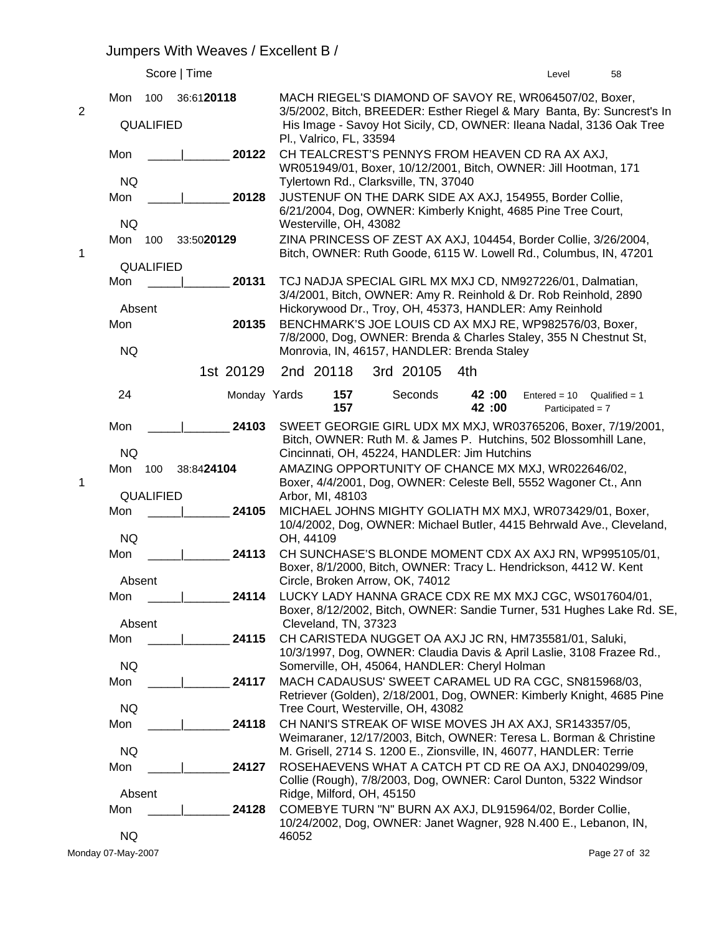|                |                         | Score   Time |                                                                                                                                                                                                                                      | 58<br>Level                                        |  |  |  |  |  |  |
|----------------|-------------------------|--------------|--------------------------------------------------------------------------------------------------------------------------------------------------------------------------------------------------------------------------------------|----------------------------------------------------|--|--|--|--|--|--|
| $\overline{2}$ | Mon<br>100<br>QUALIFIED | 36:6120118   | MACH RIEGEL'S DIAMOND OF SAVOY RE, WR064507/02, Boxer,<br>3/5/2002, Bitch, BREEDER: Esther Riegel & Mary Banta, By: Suncrest's In<br>His Image - Savoy Hot Sicily, CD, OWNER: Ileana Nadal, 3136 Oak Tree<br>Pl., Valrico, FL, 33594 |                                                    |  |  |  |  |  |  |
|                | Mon                     | 20122        | CH TEALCREST'S PENNYS FROM HEAVEN CD RA AX AXJ,<br>WR051949/01, Boxer, 10/12/2001, Bitch, OWNER: Jill Hootman, 171                                                                                                                   |                                                    |  |  |  |  |  |  |
|                | <b>NQ</b>               |              | Tylertown Rd., Clarksville, TN, 37040                                                                                                                                                                                                |                                                    |  |  |  |  |  |  |
|                | Mon<br><b>NQ</b>        | 20128        | JUSTENUF ON THE DARK SIDE AX AXJ, 154955, Border Collie,<br>6/21/2004, Dog, OWNER: Kimberly Knight, 4685 Pine Tree Court,<br>Westerville, OH, 43082                                                                                  |                                                    |  |  |  |  |  |  |
| 1              | Mon 100                 | 33:5020129   | ZINA PRINCESS OF ZEST AX AXJ, 104454, Border Collie, 3/26/2004,<br>Bitch, OWNER: Ruth Goode, 6115 W. Lowell Rd., Columbus, IN, 47201                                                                                                 |                                                    |  |  |  |  |  |  |
|                | <b>QUALIFIED</b>        |              |                                                                                                                                                                                                                                      |                                                    |  |  |  |  |  |  |
|                | Mon<br>Absent           | 20131        | TCJ NADJA SPECIAL GIRL MX MXJ CD, NM927226/01, Dalmatian,<br>3/4/2001, Bitch, OWNER: Amy R. Reinhold & Dr. Rob Reinhold, 2890<br>Hickorywood Dr., Troy, OH, 45373, HANDLER: Amy Reinhold                                             |                                                    |  |  |  |  |  |  |
|                | Mon                     | 20135        | BENCHMARK'S JOE LOUIS CD AX MXJ RE, WP982576/03, Boxer,                                                                                                                                                                              |                                                    |  |  |  |  |  |  |
|                | <b>NQ</b>               |              | 7/8/2000, Dog, OWNER: Brenda & Charles Staley, 355 N Chestnut St,<br>Monrovia, IN, 46157, HANDLER: Brenda Staley                                                                                                                     |                                                    |  |  |  |  |  |  |
|                |                         | 1st 20129    | 2nd 20118<br>3rd 20105<br>4th                                                                                                                                                                                                        |                                                    |  |  |  |  |  |  |
|                | 24                      | Monday Yards | 157<br>Seconds<br>42:00<br>157<br>42:00                                                                                                                                                                                              | $Entered = 10$ Qualified = 1<br>Participated = $7$ |  |  |  |  |  |  |
|                | Mon<br><b>NQ</b>        | 24103        | SWEET GEORGIE GIRL UDX MX MXJ, WR03765206, Boxer, 7/19/2001,<br>Bitch, OWNER: Ruth M. & James P. Hutchins, 502 Blossomhill Lane,<br>Cincinnati, OH, 45224, HANDLER: Jim Hutchins                                                     |                                                    |  |  |  |  |  |  |
|                | Mon 100                 | 38:8424104   | AMAZING OPPORTUNITY OF CHANCE MX MXJ, WR022646/02,                                                                                                                                                                                   |                                                    |  |  |  |  |  |  |
| 1              | QUALIFIED               |              | Boxer, 4/4/2001, Dog, OWNER: Celeste Bell, 5552 Wagoner Ct., Ann<br>Arbor, MI, 48103                                                                                                                                                 |                                                    |  |  |  |  |  |  |
|                | Mon                     | 24105        | MICHAEL JOHNS MIGHTY GOLIATH MX MXJ, WR073429/01, Boxer,<br>10/4/2002, Dog, OWNER: Michael Butler, 4415 Behrwald Ave., Cleveland,                                                                                                    |                                                    |  |  |  |  |  |  |
|                | <b>NQ</b>               |              | OH, 44109                                                                                                                                                                                                                            |                                                    |  |  |  |  |  |  |
|                | Mon<br>Absent           | 24113        | CH SUNCHASE'S BLONDE MOMENT CDX AX AXJ RN, WP995105/01,<br>Boxer, 8/1/2000, Bitch, OWNER: Tracy L. Hendrickson, 4412 W. Kent<br>Circle, Broken Arrow, OK, 74012                                                                      |                                                    |  |  |  |  |  |  |
|                | Mon                     | 24114        | LUCKY LADY HANNA GRACE CDX RE MX MXJ CGC, WS017604/01,<br>Boxer, 8/12/2002, Bitch, OWNER: Sandie Turner, 531 Hughes Lake Rd. SE,                                                                                                     |                                                    |  |  |  |  |  |  |
|                | Absent                  |              | Cleveland, TN, 37323                                                                                                                                                                                                                 |                                                    |  |  |  |  |  |  |
|                | Mon                     | 24115        | CH CARISTEDA NUGGET OA AXJ JC RN, HM735581/01, Saluki,<br>10/3/1997, Dog, OWNER: Claudia Davis & April Laslie, 3108 Frazee Rd.,                                                                                                      |                                                    |  |  |  |  |  |  |
|                | NQ.                     |              | Somerville, OH, 45064, HANDLER: Cheryl Holman<br>MACH CADAUSUS' SWEET CARAMEL UD RA CGC, SN815968/03,                                                                                                                                |                                                    |  |  |  |  |  |  |
|                | Mon                     | 24117        | Retriever (Golden), 2/18/2001, Dog, OWNER: Kimberly Knight, 4685 Pine                                                                                                                                                                |                                                    |  |  |  |  |  |  |
|                | <b>NQ</b>               |              | Tree Court, Westerville, OH, 43082                                                                                                                                                                                                   |                                                    |  |  |  |  |  |  |
|                | Mon<br><b>NQ</b>        | 24118        | CH NANI'S STREAK OF WISE MOVES JH AX AXJ, SR143357/05,<br>Weimaraner, 12/17/2003, Bitch, OWNER: Teresa L. Borman & Christine                                                                                                         |                                                    |  |  |  |  |  |  |
|                | Mon                     | 24127        | M. Grisell, 2714 S. 1200 E., Zionsville, IN, 46077, HANDLER: Terrie<br>ROSEHAEVENS WHAT A CATCH PT CD RE OA AXJ, DN040299/09,                                                                                                        |                                                    |  |  |  |  |  |  |
|                | Absent                  |              | Collie (Rough), 7/8/2003, Dog, OWNER: Carol Dunton, 5322 Windsor<br>Ridge, Milford, OH, 45150                                                                                                                                        |                                                    |  |  |  |  |  |  |
|                | Mon                     | 24128        | COMEBYE TURN "N" BURN AX AXJ, DL915964/02, Border Collie,                                                                                                                                                                            |                                                    |  |  |  |  |  |  |
|                | NQ.                     |              | 10/24/2002, Dog, OWNER: Janet Wagner, 928 N.400 E., Lebanon, IN,<br>46052                                                                                                                                                            |                                                    |  |  |  |  |  |  |

Monday 07-May-2007 Page 27 of 32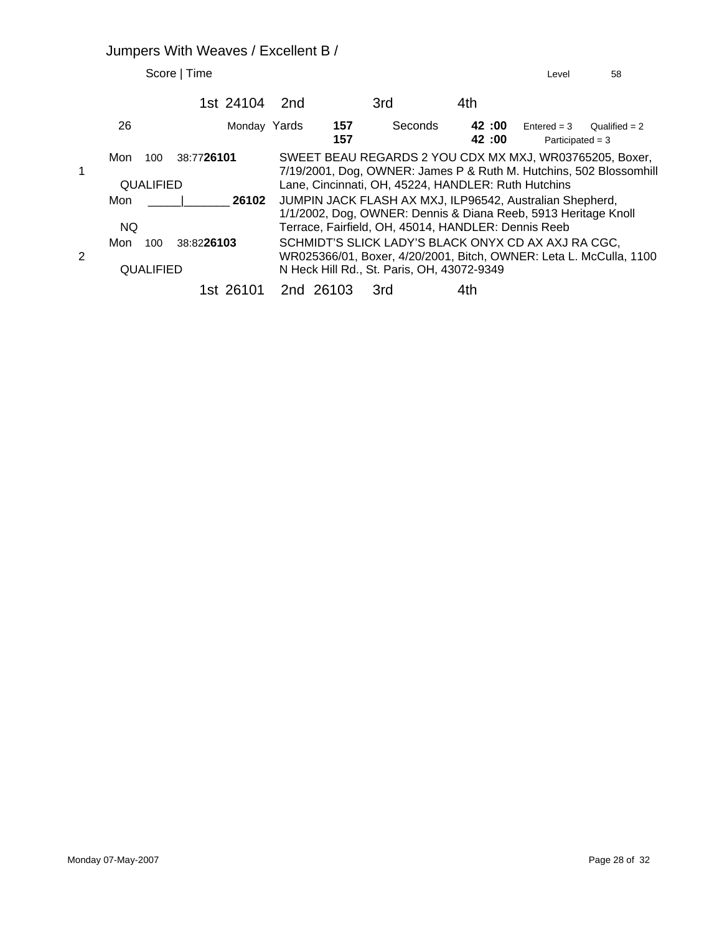Score | Time Level 58

|   |                  |                                       | 1st 24104    | 2 <sub>nd</sub> |                                                     | 3rd     | 4th                                                                                                                        |                |                                     |                                                                                                                               |  |  |
|---|------------------|---------------------------------------|--------------|-----------------|-----------------------------------------------------|---------|----------------------------------------------------------------------------------------------------------------------------|----------------|-------------------------------------|-------------------------------------------------------------------------------------------------------------------------------|--|--|
|   | 26               |                                       | Monday Yards |                 | 157<br>157                                          | Seconds |                                                                                                                            | 42:00<br>42:00 | $Entered = 3$<br>Participated = $3$ | Qualified $= 2$                                                                                                               |  |  |
| 1 | Mon              | 38:7726101<br>100                     |              |                 |                                                     |         |                                                                                                                            |                |                                     | SWEET BEAU REGARDS 2 YOU CDX MX MXJ, WR03765205, Boxer,<br>7/19/2001, Dog, OWNER: James P & Ruth M. Hutchins, 502 Blossomhill |  |  |
|   | <b>QUALIFIED</b> |                                       |              |                 | Lane, Cincinnati, OH, 45224, HANDLER: Ruth Hutchins |         |                                                                                                                            |                |                                     |                                                                                                                               |  |  |
|   | Mon              |                                       | 26102        |                 |                                                     |         | JUMPIN JACK FLASH AX MXJ, ILP96542, Australian Shepherd,<br>1/1/2002, Dog, OWNER: Dennis & Diana Reeb, 5913 Heritage Knoll |                |                                     |                                                                                                                               |  |  |
|   | NQ.              |                                       |              |                 |                                                     |         | Terrace, Fairfield, OH, 45014, HANDLER: Dennis Reeb                                                                        |                |                                     |                                                                                                                               |  |  |
| 2 | Mon              | 38:8226103<br>100<br><b>QUALIFIED</b> |              |                 |                                                     |         | SCHMIDT'S SLICK LADY'S BLACK ONYX CD AX AXJ RA CGC,<br>N Heck Hill Rd., St. Paris, OH, 43072-9349                          |                |                                     | WR025366/01, Boxer, 4/20/2001, Bitch, OWNER: Leta L. McCulla, 1100                                                            |  |  |
|   |                  |                                       | 1st 26101    | 2nd 26103       |                                                     | 3rd     | 4th                                                                                                                        |                |                                     |                                                                                                                               |  |  |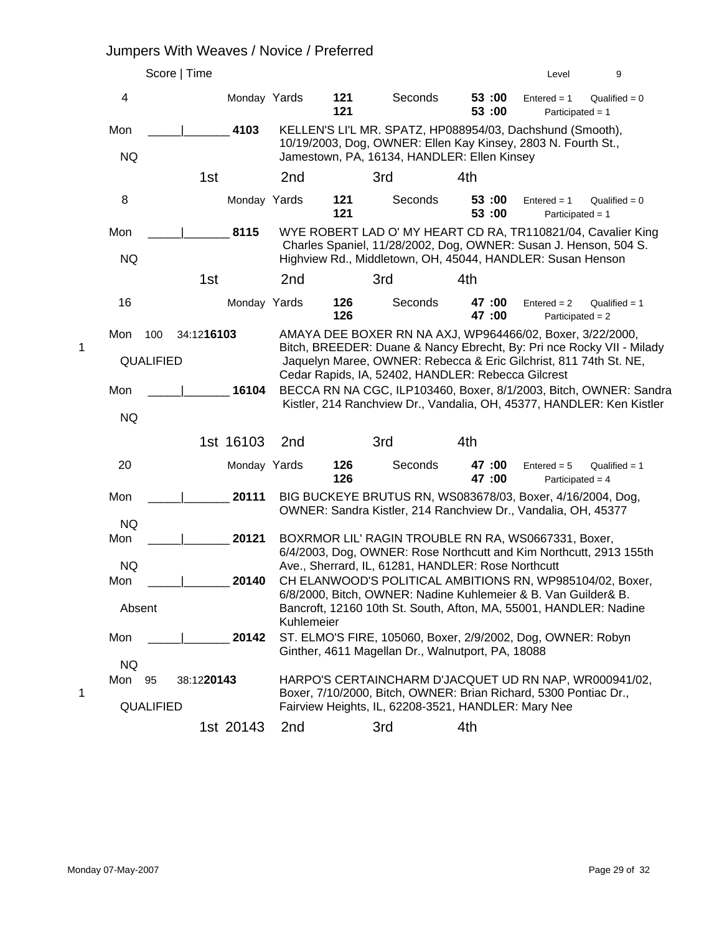#### Jumpers With Weaves / Novice / Preferred

|   | Score   Time              |            |              |                                                                                                                                                                                                                                                               |            |                                                                                                                                                                                                  |                  | Level                               | 9                                                                                                                                          |  |  |
|---|---------------------------|------------|--------------|---------------------------------------------------------------------------------------------------------------------------------------------------------------------------------------------------------------------------------------------------------------|------------|--------------------------------------------------------------------------------------------------------------------------------------------------------------------------------------------------|------------------|-------------------------------------|--------------------------------------------------------------------------------------------------------------------------------------------|--|--|
|   | 4                         |            | Monday Yards |                                                                                                                                                                                                                                                               | 121<br>121 | Seconds                                                                                                                                                                                          | 53 :00<br>53 :00 | $Entered = 1$<br>Participated = $1$ | $Qualified = 0$                                                                                                                            |  |  |
|   | Mon<br><b>NQ</b>          |            | 4103         | KELLEN'S LI'L MR. SPATZ, HP088954/03, Dachshund (Smooth),<br>10/19/2003, Dog, OWNER: Ellen Kay Kinsey, 2803 N. Fourth St.,<br>Jamestown, PA, 16134, HANDLER: Ellen Kinsey                                                                                     |            |                                                                                                                                                                                                  |                  |                                     |                                                                                                                                            |  |  |
|   |                           | 1st        |              | 2nd                                                                                                                                                                                                                                                           |            | 3rd                                                                                                                                                                                              | 4th              |                                     |                                                                                                                                            |  |  |
|   | 8                         |            | Monday Yards |                                                                                                                                                                                                                                                               | 121<br>121 | Seconds                                                                                                                                                                                          | 53 :00<br>53 :00 | $Entered = 1$<br>Participated = $1$ | $Qualified = 0$                                                                                                                            |  |  |
|   | Mon<br><b>NQ</b>          |            | 8115         |                                                                                                                                                                                                                                                               |            | WYE ROBERT LAD O' MY HEART CD RA, TR110821/04, Cavalier King<br>Charles Spaniel, 11/28/2002, Dog, OWNER: Susan J. Henson, 504 S.<br>Highview Rd., Middletown, OH, 45044, HANDLER: Susan Henson   |                  |                                     |                                                                                                                                            |  |  |
|   |                           | 1st        |              | 2 <sub>nd</sub>                                                                                                                                                                                                                                               |            | 3rd                                                                                                                                                                                              | 4th              |                                     |                                                                                                                                            |  |  |
|   | 16                        |            | Monday Yards |                                                                                                                                                                                                                                                               | 126<br>126 | Seconds                                                                                                                                                                                          | 47:00<br>47:00   | $Entered = 2$<br>Participated = $2$ | Qualified $= 1$                                                                                                                            |  |  |
| 1 | Mon<br>100<br>QUALIFIED   | 34:1216103 |              | AMAYA DEE BOXER RN NA AXJ, WP964466/02, Boxer, 3/22/2000,<br>Bitch, BREEDER: Duane & Nancy Ebrecht, By: Pri nce Rocky VII - Milady<br>Jaquelyn Maree, OWNER: Rebecca & Eric Gilchrist, 811 74th St. NE,<br>Cedar Rapids, IA, 52402, HANDLER: Rebecca Gilcrest |            |                                                                                                                                                                                                  |                  |                                     |                                                                                                                                            |  |  |
|   | Mon                       |            | 16104        |                                                                                                                                                                                                                                                               |            |                                                                                                                                                                                                  |                  |                                     | BECCA RN NA CGC, ILP103460, Boxer, 8/1/2003, Bitch, OWNER: Sandra<br>Kistler, 214 Ranchview Dr., Vandalia, OH, 45377, HANDLER: Ken Kistler |  |  |
|   | <b>NQ</b>                 |            |              |                                                                                                                                                                                                                                                               |            |                                                                                                                                                                                                  |                  |                                     |                                                                                                                                            |  |  |
|   |                           |            | 1st 16103    | 2nd                                                                                                                                                                                                                                                           |            | 3rd                                                                                                                                                                                              | 4th              |                                     |                                                                                                                                            |  |  |
|   | 20                        |            | Monday Yards |                                                                                                                                                                                                                                                               | 126<br>126 | Seconds                                                                                                                                                                                          | 47:00<br>47:00   | $Entered = 5$<br>Participated = $4$ | Qualified $= 1$                                                                                                                            |  |  |
|   | Mon<br><b>NQ</b>          |            | 20111        |                                                                                                                                                                                                                                                               |            | BIG BUCKEYE BRUTUS RN, WS083678/03, Boxer, 4/16/2004, Dog,<br>OWNER: Sandra Kistler, 214 Ranchview Dr., Vandalia, OH, 45377                                                                      |                  |                                     |                                                                                                                                            |  |  |
|   | Mon<br><b>NQ</b>          |            | 20121        |                                                                                                                                                                                                                                                               |            | BOXRMOR LIL' RAGIN TROUBLE RN RA, WS0667331, Boxer,<br>6/4/2003, Dog, OWNER: Rose Northcutt and Kim Northcutt, 2913 155th<br>Ave., Sherrard, IL, 61281, HANDLER: Rose Northcutt                  |                  |                                     |                                                                                                                                            |  |  |
|   | Mon<br>Absent             |            | 20140        | Kuhlemeier                                                                                                                                                                                                                                                    |            | CH ELANWOOD'S POLITICAL AMBITIONS RN, WP985104/02, Boxer,<br>6/8/2000, Bitch, OWNER: Nadine Kuhlemeier & B. Van Guilder& B.<br>Bancroft, 12160 10th St. South, Afton, MA, 55001, HANDLER: Nadine |                  |                                     |                                                                                                                                            |  |  |
|   | Mon                       |            | 20142        |                                                                                                                                                                                                                                                               |            | ST. ELMO'S FIRE, 105060, Boxer, 2/9/2002, Dog, OWNER: Robyn<br>Ginther, 4611 Magellan Dr., Walnutport, PA, 18088                                                                                 |                  |                                     |                                                                                                                                            |  |  |
| 1 | NQ<br>Mon 95<br>QUALIFIED | 38:1220143 |              |                                                                                                                                                                                                                                                               |            | HARPO'S CERTAINCHARM D'JACQUET UD RN NAP, WR000941/02,<br>Boxer, 7/10/2000, Bitch, OWNER: Brian Richard, 5300 Pontiac Dr.,<br>Fairview Heights, IL, 62208-3521, HANDLER: Mary Nee                |                  |                                     |                                                                                                                                            |  |  |
|   |                           |            | 1st 20143    | 2 <sub>nd</sub>                                                                                                                                                                                                                                               |            | 3rd                                                                                                                                                                                              | 4th              |                                     |                                                                                                                                            |  |  |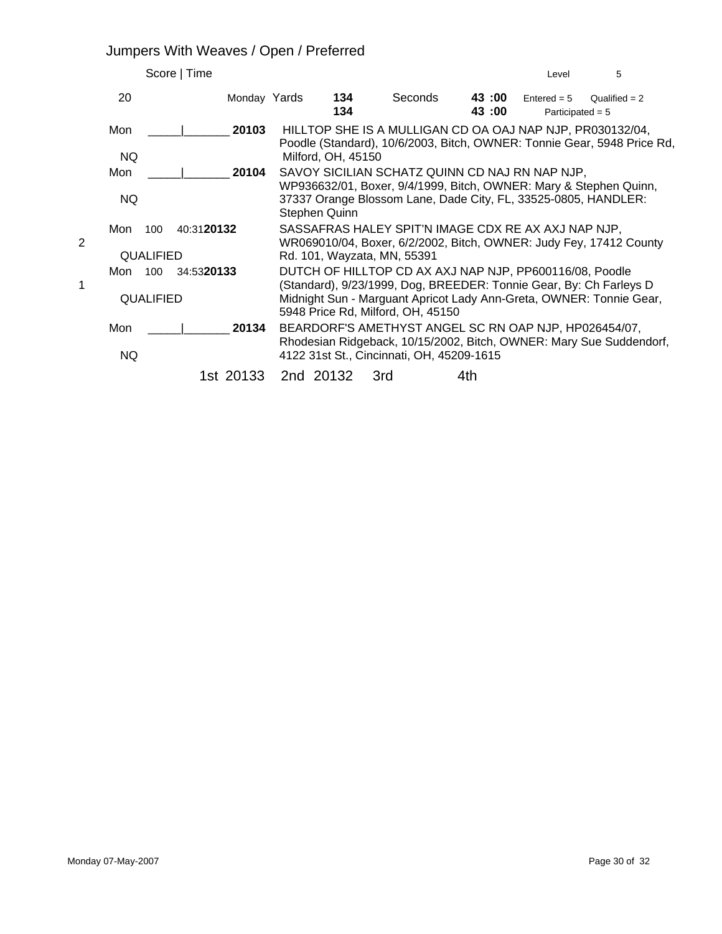## Jumpers With Weaves / Open / Preferred

|   |            |                         | Score   Time |              |                                                                                                                                                                                                                                           |                                                                                                    |         |     |  |                | Level         |                    | 5                                                                                                                                    |  |
|---|------------|-------------------------|--------------|--------------|-------------------------------------------------------------------------------------------------------------------------------------------------------------------------------------------------------------------------------------------|----------------------------------------------------------------------------------------------------|---------|-----|--|----------------|---------------|--------------------|--------------------------------------------------------------------------------------------------------------------------------------|--|
|   | 20         |                         |              | Monday Yards |                                                                                                                                                                                                                                           | 134<br>134                                                                                         | Seconds |     |  | 43:00<br>43:00 | $Entered = 5$ | Participated $= 5$ | Qualified $= 2$                                                                                                                      |  |
|   | Mon        |                         |              | 20103        |                                                                                                                                                                                                                                           |                                                                                                    |         |     |  |                |               |                    | HILLTOP SHE IS A MULLIGAN CD OA OAJ NAP NJP, PR030132/04,<br>Poodle (Standard), 10/6/2003, Bitch, OWNER: Tonnie Gear, 5948 Price Rd, |  |
|   | NQ.        |                         |              |              |                                                                                                                                                                                                                                           | Milford, OH, 45150                                                                                 |         |     |  |                |               |                    |                                                                                                                                      |  |
|   | Mon        |                         |              | 20104        |                                                                                                                                                                                                                                           | SAVOY SICILIAN SCHATZ QUINN CD NAJ RN NAP NJP,                                                     |         |     |  |                |               |                    | WP936632/01, Boxer, 9/4/1999, Bitch, OWNER: Mary & Stephen Quinn,                                                                    |  |
|   | NQ.        |                         |              |              |                                                                                                                                                                                                                                           | 37337 Orange Blossom Lane, Dade City, FL, 33525-0805, HANDLER:<br>Stephen Quinn                    |         |     |  |                |               |                    |                                                                                                                                      |  |
| 2 | Mon        | 100                     | 40:3120132   |              |                                                                                                                                                                                                                                           | SASSAFRAS HALEY SPIT'N IMAGE CDX RE AX AXJ NAP NJP,                                                |         |     |  |                |               |                    | WR069010/04, Boxer, 6/2/2002, Bitch, OWNER: Judy Fey, 17412 County                                                                   |  |
|   |            | <b>QUALIFIED</b>        |              |              |                                                                                                                                                                                                                                           | Rd. 101, Wayzata, MN, 55391                                                                        |         |     |  |                |               |                    |                                                                                                                                      |  |
|   | Mon        | 100<br><b>QUALIFIED</b> | 34:5320133   |              | DUTCH OF HILLTOP CD AX AXJ NAP NJP, PP600116/08, Poodle<br>(Standard), 9/23/1999, Dog, BREEDER: Tonnie Gear, By: Ch Farleys D<br>Midnight Sun - Marguant Apricot Lady Ann-Greta, OWNER: Tonnie Gear,<br>5948 Price Rd, Milford, OH, 45150 |                                                                                                    |         |     |  |                |               |                    |                                                                                                                                      |  |
|   | Mon<br>NQ. |                         |              | 20134        |                                                                                                                                                                                                                                           | BEARDORF'S AMETHYST ANGEL SC RN OAP NJP, HP026454/07,<br>4122 31st St., Cincinnati, OH, 45209-1615 |         |     |  |                |               |                    | Rhodesian Ridgeback, 10/15/2002, Bitch, OWNER: Mary Sue Suddendorf,                                                                  |  |
|   |            |                         |              | 1st 20133    |                                                                                                                                                                                                                                           | 2nd 20132                                                                                          | 3rd     | 4th |  |                |               |                    |                                                                                                                                      |  |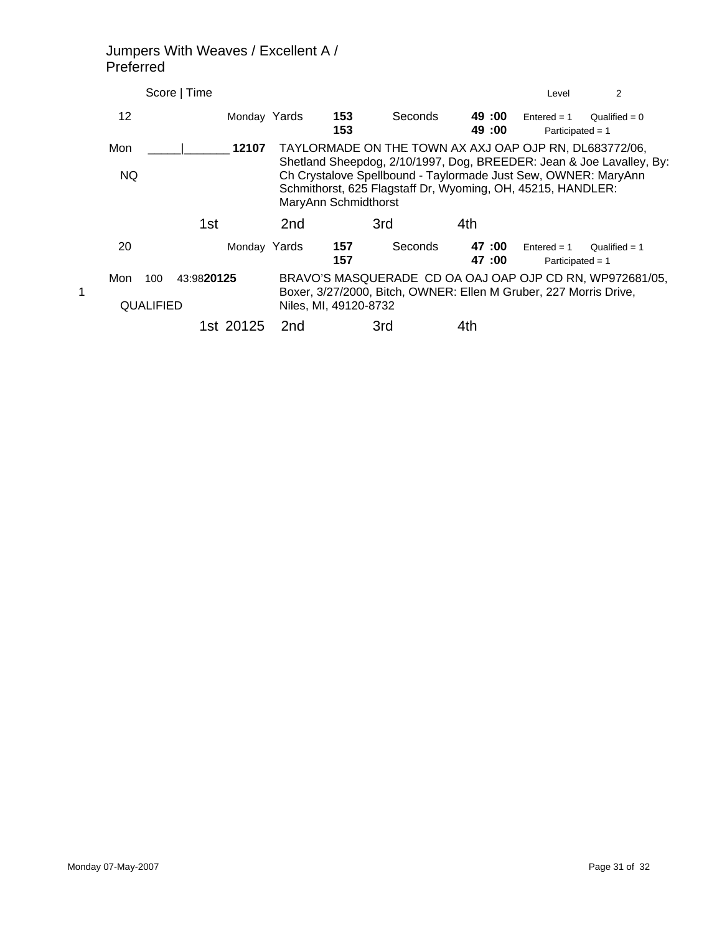Jumpers With Weaves / Excellent A / Preferred

|                         | Score   Time |                 |                       |                                                                                                                          |                | Level                               | 2                                                                    |
|-------------------------|--------------|-----------------|-----------------------|--------------------------------------------------------------------------------------------------------------------------|----------------|-------------------------------------|----------------------------------------------------------------------|
| 12                      | Monday Yards |                 | 153<br>153            | Seconds                                                                                                                  | 49:00<br>49:00 | $Entered = 1$<br>Participated = $1$ | Qualified = $0$                                                      |
| Mon<br>NQ.              | 12107        |                 |                       | TAYLORMADE ON THE TOWN AX AXJ OAP OJP RN, DL683772/06,<br>Ch Crystalove Spellbound - Taylormade Just Sew, OWNER: MaryAnn |                |                                     | Shetland Sheepdog, 2/10/1997, Dog, BREEDER: Jean & Joe Lavalley, By: |
|                         |              |                 | MaryAnn Schmidthorst  | Schmithorst, 625 Flagstaff Dr, Wyoming, OH, 45215, HANDLER:                                                              |                |                                     |                                                                      |
|                         | 1st          | 2 <sub>nd</sub> |                       | 3rd                                                                                                                      | 4th            |                                     |                                                                      |
| 20                      | Monday Yards |                 | 157<br>157            | Seconds                                                                                                                  | 47:00<br>47:00 | $Entered = 1$<br>Participated = $1$ | Qualified = $1$                                                      |
| Mon<br>100<br>QUALIFIED | 43:9820125   |                 | Niles, MI, 49120-8732 | Boxer, 3/27/2000, Bitch, OWNER: Ellen M Gruber, 227 Morris Drive,                                                        |                |                                     | BRAVO'S MASQUERADE CD OA OAJ OAP OJP CD RN, WP972681/05,             |
|                         | 1st 20125    | 2 <sub>nd</sub> |                       | 3rd                                                                                                                      | 4th            |                                     |                                                                      |